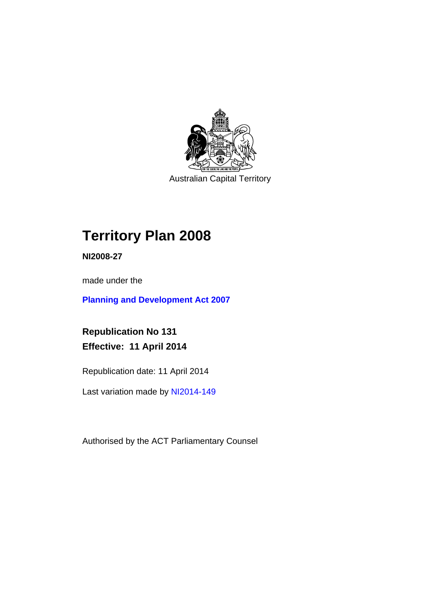

Australian Capital Territory

# **Territory Plan 2008**

**NI2008-27** 

made under the

**[Planning and Development Act 2007](http://www.legislation.act.gov.au/a/2007-24/default.asp)**

**Republication No 131 Effective: 11 April 2014** 

Republication date: 11 April 2014

Last variation made by [NI2014-149](http://www.legislation.act.gov.au/ni/2014-149/default.asp)

Authorised by the ACT Parliamentary Counsel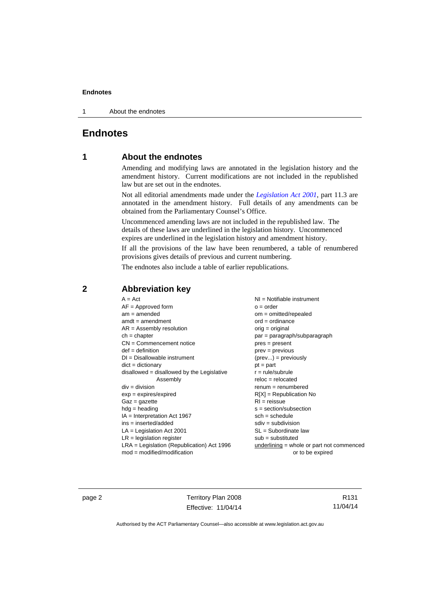1 About the endnotes

# **Endnotes**

# **1 About the endnotes**

Amending and modifying laws are annotated in the legislation history and the amendment history. Current modifications are not included in the republished law but are set out in the endnotes.

Not all editorial amendments made under the *[Legislation Act 2001](http://www.legislation.act.gov.au/a/2001-14/default.asp)*, part 11.3 are annotated in the amendment history. Full details of any amendments can be obtained from the Parliamentary Counsel's Office.

Uncommenced amending laws are not included in the republished law. The details of these laws are underlined in the legislation history. Uncommenced expires are underlined in the legislation history and amendment history.

If all the provisions of the law have been renumbered, a table of renumbered provisions gives details of previous and current numbering.

The endnotes also include a table of earlier republications.

## **2 Abbreviation key**

page 2 Territory Plan 2008 Effective: 11/04/14

R131 11/04/14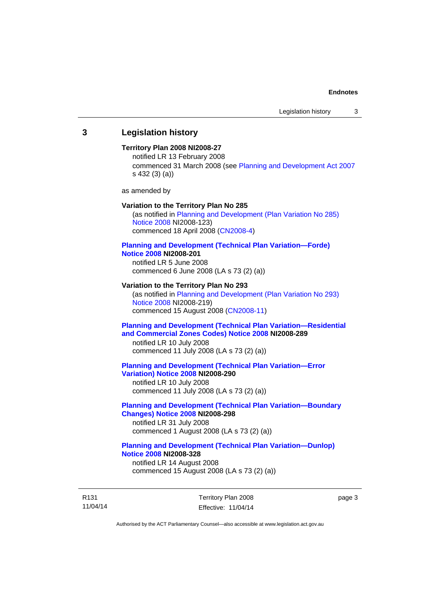### **3 Legislation history**

### **Territory Plan 2008 NI2008-27**

notified LR 13 February 2008 commenced 31 March 2008 (see [Planning and Development Act 2007](http://www.legislation.act.gov.au/a/2007-24/default.asp) s 432 (3) (a))

as amended by

#### **Variation to the Territory Plan No 285**

(as notified in [Planning and Development \(Plan Variation No 285\)](http://www.legislation.act.gov.au/ni/2008-123/)  [Notice 2008](http://www.legislation.act.gov.au/ni/2008-123/) NI2008-123) commenced 18 April 2008 [\(CN2008-4\)](http://www.legislation.act.gov.au/cn/2008-4/)

#### **[Planning and Development \(Technical Plan Variation—Forde\)](http://www.legislation.act.gov.au/ni/2008-201/)  [Notice 2008](http://www.legislation.act.gov.au/ni/2008-201/) NI2008-201**

notified LR 5 June 2008 commenced 6 June 2008 (LA s 73 (2) (a))

#### **Variation to the Territory Plan No 293**

(as notified in [Planning and Development \(Plan Variation No 293\)](http://www.legislation.act.gov.au/ni/2008-219/)  [Notice 2008](http://www.legislation.act.gov.au/ni/2008-219/) NI2008-219) commenced 15 August 2008 [\(CN2008-11\)](http://www.legislation.act.gov.au/cn/2008-11/)

### **[Planning and Development \(Technical Plan Variation—Residential](http://www.legislation.act.gov.au/ni/2008-289/)  [and Commercial Zones Codes\) Notice 2008](http://www.legislation.act.gov.au/ni/2008-289/) NI2008-289**

notified LR 10 July 2008 commenced 11 July 2008 (LA s 73 (2) (a))

#### **[Planning and Development \(Technical Plan Variation—Error](http://www.legislation.act.gov.au/ni/2008-290/)  [Variation\) Notice 2008](http://www.legislation.act.gov.au/ni/2008-290/) NI2008-290**

notified LR 10 July 2008 commenced 11 July 2008 (LA s 73 (2) (a))

### **[Planning and Development \(Technical Plan Variation—Boundary](http://www.legislation.act.gov.au/ni/2008-298/)  [Changes\) Notice 2008](http://www.legislation.act.gov.au/ni/2008-298/) NI2008-298**  notified LR 31 July 2008

commenced 1 August 2008 (LA s 73 (2) (a))

### **[Planning and Development \(Technical Plan Variation—Dunlop\)](http://www.legislation.act.gov.au/ni/2008-328/)  [Notice 2008](http://www.legislation.act.gov.au/ni/2008-328/) NI2008-328**

notified LR 14 August 2008 commenced 15 August 2008 (LA s 73 (2) (a))

R131 11/04/14 Territory Plan 2008 Effective: 11/04/14 page 3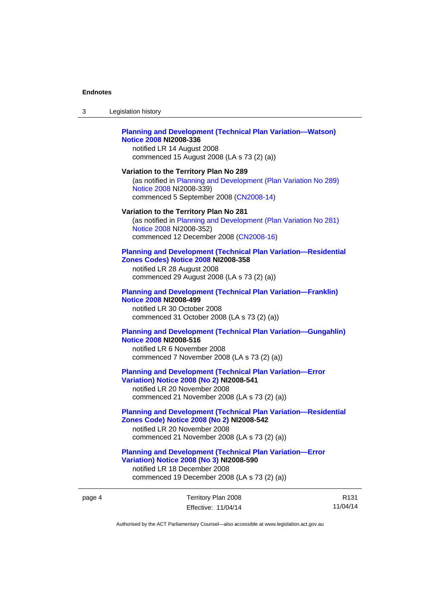$3<sub>l</sub>$ 

| 3      | Legislation history                                                                                                                                                                                |
|--------|----------------------------------------------------------------------------------------------------------------------------------------------------------------------------------------------------|
|        | <b>Planning and Development (Technical Plan Variation-Watson)</b><br><b>Notice 2008 NI2008-336</b><br>notified LR 14 August 2008<br>commenced 15 August 2008 (LA s 73 (2) (a))                     |
|        | Variation to the Territory Plan No 289<br>(as notified in Planning and Development (Plan Variation No 289)<br>Notice 2008 NI2008-339)<br>commenced 5 September 2008 (CN2008-14)                    |
|        | Variation to the Territory Plan No 281<br>(as notified in Planning and Development (Plan Variation No 281)<br>Notice 2008 NI2008-352)<br>commenced 12 December 2008 (CN2008-16)                    |
|        | <b>Planning and Development (Technical Plan Variation-Residential</b><br><b>Zones Codes) Notice 2008 NI2008-358</b><br>notified LR 28 August 2008<br>commenced 29 August 2008 (LA s 73 (2) (a))    |
|        | <b>Planning and Development (Technical Plan Variation-Franklin)</b><br><b>Notice 2008 NI2008-499</b><br>notified LR 30 October 2008<br>commenced 31 October 2008 (LA s 73 (2) (a))                 |
|        | <b>Planning and Development (Technical Plan Variation-Gungahlin)</b><br><b>Notice 2008 NI2008-516</b><br>notified LR 6 November 2008<br>commenced 7 November 2008 (LA s 73 (2) (a))                |
|        | <b>Planning and Development (Technical Plan Variation-Error</b><br><b>Variation) Notice 2008 (No 2) NI2008-541</b><br>notified LR 20 November 2008<br>commenced 21 November 2008 (LA s 73 (2) (a)) |
|        | <b>Planning and Development (Technical Plan Variation-Residential</b><br>Zones Code) Notice 2008 (No 2) NI2008-542<br>notified LR 20 November 2008<br>commenced 21 November 2008 (LA s 73 (2) (a)) |
|        | <b>Planning and Development (Technical Plan Variation-Error</b><br>Variation) Notice 2008 (No 3) NI2008-590<br>notified LR 18 December 2008<br>commenced 19 December 2008 (LA s 73 (2) (a))        |
| page 4 | Territory Plan 2008<br>R<br>11/04<br>Effective: 11/04/14<br>Authorised by the ACT Parliamentary Counsel-also accessible at www.legislation.act.gov.au                                              |
|        |                                                                                                                                                                                                    |

R131 11/04/14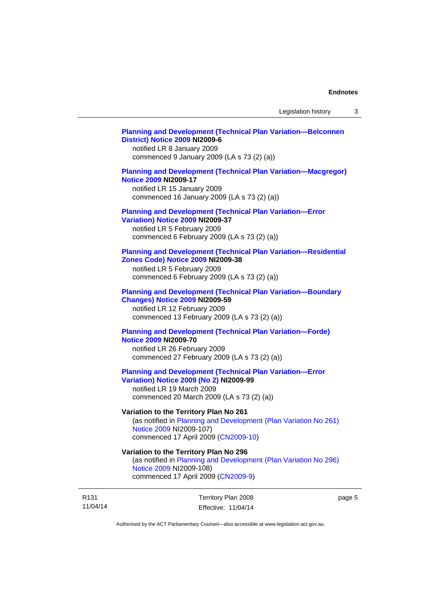### **[Planning and Development \(Technical Plan Variation—Belconnen](http://www.legislation.act.gov.au/ni/2009-6/)  [District\) Notice 2009](http://www.legislation.act.gov.au/ni/2009-6/) NI2009-6**

notified LR 8 January 2009 commenced 9 January 2009 (LA s 73 (2) (a))

### **[Planning and Development \(Technical Plan Variation—Macgregor\)](http://www.legislation.act.gov.au/ni/2009-17/)  [Notice 2009](http://www.legislation.act.gov.au/ni/2009-17/) NI2009-17**

notified LR 15 January 2009 commenced 16 January 2009 (LA s 73 (2) (a))

# **[Planning and Development \(Technical Plan Variation—Error](http://www.legislation.act.gov.au/ni/2009-37/)**

**[Variation\) Notice 2009](http://www.legislation.act.gov.au/ni/2009-37/) NI2009-37** 

notified LR 5 February 2009 commenced 6 February 2009 (LA s 73 (2) (a))

### **[Planning and Development \(Technical Plan Variation—Residential](http://www.legislation.act.gov.au/ni/2009-38/)  [Zones Code\) Notice 2009](http://www.legislation.act.gov.au/ni/2009-38/) NI2009-38**

notified LR 5 February 2009 commenced 6 February 2009 (LA s 73 (2) (a))

#### **[Planning and Development \(Technical Plan Variation—Boundary](http://www.legislation.act.gov.au/ni/2009-59/)  [Changes\) Notice 2009](http://www.legislation.act.gov.au/ni/2009-59/) NI2009-59**

notified LR 12 February 2009 commenced 13 February 2009 (LA s 73 (2) (a))

### **[Planning and Development \(Technical Plan Variation—Forde\)](http://www.legislation.act.gov.au/ni/2009-70/)  [Notice 2009](http://www.legislation.act.gov.au/ni/2009-70/) NI2009-70**

notified LR 26 February 2009 commenced 27 February 2009 (LA s 73 (2) (a))

### **[Planning and Development \(Technical Plan Variation—Error](http://www.legislation.act.gov.au/ni/2009-99/)  [Variation\) Notice 2009 \(No 2\)](http://www.legislation.act.gov.au/ni/2009-99/) NI2009-99**

notified LR 19 March 2009 commenced 20 March 2009 (LA s 73 (2) (a))

### **Variation to the Territory Plan No 261**

(as notified in [Planning and Development \(Plan Variation No 261\)](http://www.legislation.act.gov.au/ni/2009-107/)  [Notice 2009](http://www.legislation.act.gov.au/ni/2009-107/) NI2009-107) commenced 17 April 2009 [\(CN2009-10\)](http://www.legislation.act.gov.au/cn/2009-10/)

### **Variation to the Territory Plan No 296**

(as notified in [Planning and Development \(Plan Variation No 296\)](http://www.legislation.act.gov.au/ni/2009-108/)  [Notice 2009](http://www.legislation.act.gov.au/ni/2009-108/) NI2009-108) commenced 17 April 2009 [\(CN2009-9\)](http://www.legislation.act.gov.au/cn/2009-9/)

R131 11/04/14 Territory Plan 2008 Effective: 11/04/14 page 5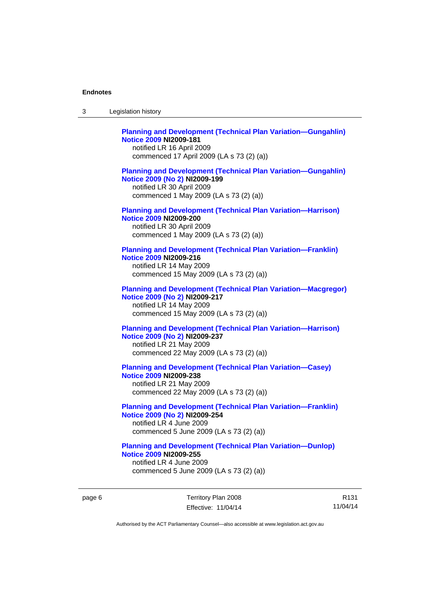| 3 | Legislation history                                                                                                                                                             |
|---|---------------------------------------------------------------------------------------------------------------------------------------------------------------------------------|
|   | <b>Planning and Development (Technical Plan Variation-Gungahlin)</b><br><b>Notice 2009 NI2009-181</b><br>notified LR 16 April 2009<br>commenced 17 April 2009 (LA s 73 (2) (a)) |
|   | <b>Planning and Development (Technical Plan Variation-Gungahlin)</b><br>Notice 2009 (No 2) NI2009-199<br>notified LR 30 April 2009<br>commenced 1 May 2009 (LA s 73 (2) (a))    |
|   | <b>Planning and Development (Technical Plan Variation-Harrison)</b><br><b>Notice 2009 NI2009-200</b><br>notified LR 30 April 2009<br>commenced 1 May 2009 (LA s 73 (2) (a))     |
|   | <b>Planning and Development (Technical Plan Variation-Franklin)</b><br>Notice 2009 NI2009-216<br>notified LR 14 May 2009<br>commenced 15 May 2009 (LA s 73 (2) (a))             |
|   | <b>Planning and Development (Technical Plan Variation-Macgregor)</b><br>Notice 2009 (No 2) NI2009-217<br>notified LR 14 May 2009<br>commenced 15 May 2009 (LA s 73 (2) (a))     |
|   | <b>Planning and Development (Technical Plan Variation-Harrison)</b><br>Notice 2009 (No 2) NI2009-237<br>notified LR 21 May 2009<br>commenced 22 May 2009 (LA s 73 (2) (a))      |
|   | <b>Planning and Development (Technical Plan Variation-Casey)</b><br><b>Notice 2009 NI2009-238</b><br>notified LR 21 May 2009<br>commenced 22 May 2009 (LA s 73 (2) (a))         |
|   | <b>Planning and Development (Technical Plan Variation-Franklin)</b><br>Notice 2009 (No 2) NI2009-254<br>notified LR 4 June 2009<br>commenced 5 June 2009 (LA s 73 (2) (a))      |
|   | <b>Planning and Development (Technical Plan Variation-Dunlop)</b><br><b>Notice 2009 NI2009-255</b><br>notified LR 4 June 2009<br>commenced 5 June 2009 (LA s 73 (2) (a))        |

page 6 Territory Plan 2008 Effective: 11/04/14

R131 11/04/14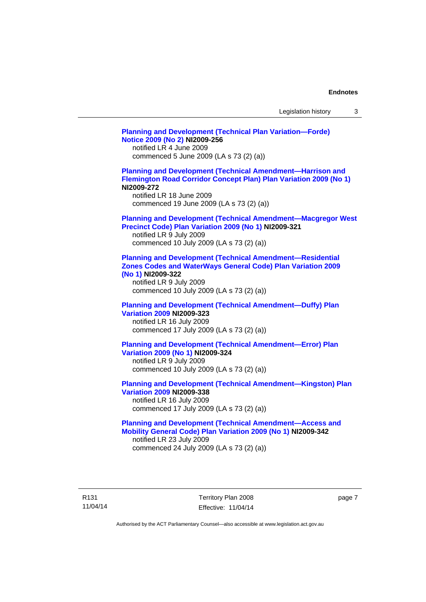| Legislation history |  |  |
|---------------------|--|--|
|---------------------|--|--|

**[Planning and Development \(Technical Plan Variation—Forde\)](http://www.legislation.act.gov.au/ni/2009-256/)  [Notice 2009 \(No 2\)](http://www.legislation.act.gov.au/ni/2009-256/) NI2009-256**  notified LR 4 June 2009 commenced 5 June 2009 (LA s 73 (2) (a)) **[Planning and Development \(Technical Amendment—Harrison and](http://www.legislation.act.gov.au/ni/2009-272/)  [Flemington Road Corridor Concept Plan\) Plan Variation 2009 \(No 1\)](http://www.legislation.act.gov.au/ni/2009-272/) NI2009-272**  notified LR 18 June 2009 commenced 19 June 2009 (LA s 73 (2) (a)) **[Planning and Development \(Technical Amendment—Macgregor West](http://www.legislation.act.gov.au/ni/2009-321/)  [Precinct Code\) Plan Variation 2009 \(No 1\)](http://www.legislation.act.gov.au/ni/2009-321/) NI2009-321**  notified LR 9 July 2009 commenced 10 July 2009 (LA s 73 (2) (a)) **[Planning and Development \(Technical Amendment—Residential](http://www.legislation.act.gov.au/ni/2009-322/)  [Zones Codes and WaterWays General Code\) Plan Variation 2009](http://www.legislation.act.gov.au/ni/2009-322/)  [\(No 1\)](http://www.legislation.act.gov.au/ni/2009-322/) NI2009-322**  notified LR 9 July 2009 commenced 10 July 2009 (LA s 73 (2) (a)) **[Planning and Development \(Technical Amendment—Duffy\) Plan](http://www.legislation.act.gov.au/ni/2009-323/)  [Variation 2009](http://www.legislation.act.gov.au/ni/2009-323/) NI2009-323**  notified LR 16 July 2009 commenced 17 July 2009 (LA s 73 (2) (a)) **[Planning and Development \(Technical Amendment—Error\) Plan](http://www.legislation.act.gov.au/ni/2009-324/)  [Variation 2009 \(No 1\)](http://www.legislation.act.gov.au/ni/2009-324/) NI2009-324**  notified LR 9 July 2009 commenced 10 July 2009 (LA s 73 (2) (a)) **[Planning and Development \(Technical Amendment—Kingston\) Plan](http://www.legislation.act.gov.au/ni/2009-338/)  [Variation 2009](http://www.legislation.act.gov.au/ni/2009-338/) NI2009-338**  notified LR 16 July 2009 commenced 17 July 2009 (LA s 73 (2) (a)) **[Planning and Development \(Technical Amendment—Access and](http://www.legislation.act.gov.au/ni/2009-342/)  [Mobility General Code\) Plan Variation 2009 \(No 1\)](http://www.legislation.act.gov.au/ni/2009-342/) NI2009-342**  notified LR 23 July 2009 commenced 24 July 2009 (LA s 73 (2) (a))

R131 11/04/14 Territory Plan 2008 Effective: 11/04/14 page 7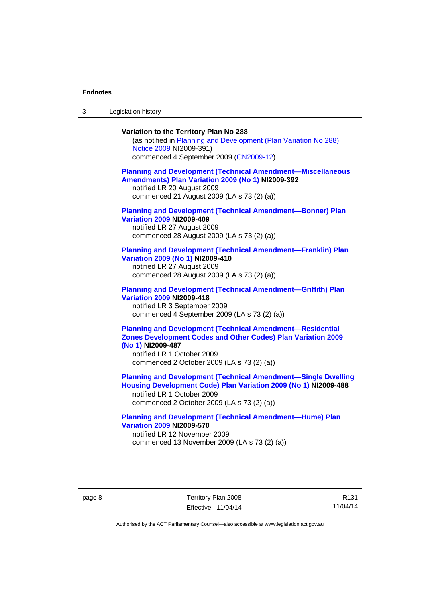3 Legislation history

### **Variation to the Territory Plan No 288**

(as notified in [Planning and Development \(Plan Variation No 288\)](http://www.legislation.act.gov.au/ni/2009-391/)  [Notice 2009](http://www.legislation.act.gov.au/ni/2009-391/) NI2009-391) commenced 4 September 2009 ([CN2009-12\)](http://www.legislation.act.gov.au/cn/2009-12/)

#### **[Planning and Development \(Technical Amendment—Miscellaneous](http://www.legislation.act.gov.au/ni/2009-392/)  [Amendments\) Plan Variation 2009 \(No 1\)](http://www.legislation.act.gov.au/ni/2009-392/) NI2009-392**  notified LR 20 August 2009

commenced 21 August 2009 (LA s 73 (2) (a))

### **[Planning and Development \(Technical Amendment—Bonner\) Plan](http://www.legislation.act.gov.au/ni/2009-409/)  [Variation 2009](http://www.legislation.act.gov.au/ni/2009-409/) NI2009-409**

notified LR 27 August 2009 commenced 28 August 2009 (LA s 73 (2) (a))

#### **[Planning and Development \(Technical Amendment—Franklin\) Plan](http://www.legislation.act.gov.au/ni/2009-410/)  [Variation 2009 \(No 1\)](http://www.legislation.act.gov.au/ni/2009-410/) NI2009-410**

notified LR 27 August 2009 commenced 28 August 2009 (LA s 73 (2) (a))

#### **[Planning and Development \(Technical Amendment—Griffith\) Plan](http://www.legislation.act.gov.au/ni/2009-418/)  [Variation 2009](http://www.legislation.act.gov.au/ni/2009-418/) NI2009-418**  notified LR 3 September 2009

commenced 4 September 2009 (LA s 73 (2) (a))

### **[Planning and Development \(Technical Amendment—Residential](http://www.legislation.act.gov.au/ni/2009-487/)  [Zones Development Codes and Other Codes\) Plan Variation 2009](http://www.legislation.act.gov.au/ni/2009-487/)  [\(No 1\)](http://www.legislation.act.gov.au/ni/2009-487/) NI2009-487**

notified LR 1 October 2009 commenced 2 October 2009 (LA s 73 (2) (a))

**[Planning and Development \(Technical Amendment—Single Dwelling](http://www.legislation.act.gov.au/ni/2009-488/)  [Housing Development Code\) Plan Variation 2009 \(No 1\)](http://www.legislation.act.gov.au/ni/2009-488/) NI2009-488** 

notified LR 1 October 2009 commenced 2 October 2009 (LA s 73 (2) (a))

### **[Planning and Development \(Technical Amendment—Hume\) Plan](http://www.legislation.act.gov.au/ni/2009-570/)  [Variation 2009](http://www.legislation.act.gov.au/ni/2009-570/) NI2009-570**

notified LR 12 November 2009 commenced 13 November 2009 (LA s 73 (2) (a))

R131 11/04/14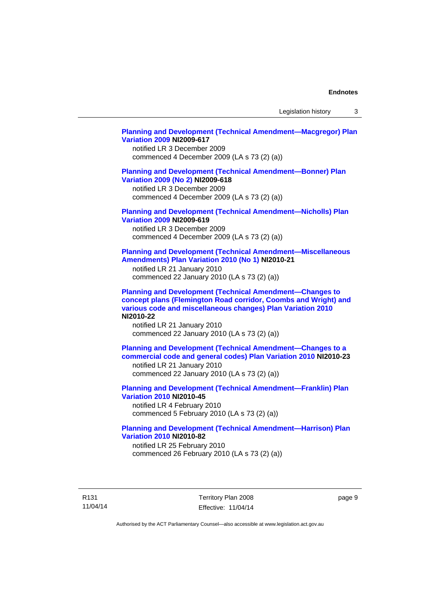Legislation history 3

### **[Planning and Development \(Technical Amendment—Macgregor\) Plan](http://www.legislation.act.gov.au/ni/2009-617/)  [Variation 2009](http://www.legislation.act.gov.au/ni/2009-617/) NI2009-617**

notified LR 3 December 2009 commenced 4 December 2009 (LA s 73 (2) (a))

### **[Planning and Development \(Technical Amendment—Bonner\) Plan](http://www.legislation.act.gov.au/ni/2009-618/)  [Variation 2009 \(No 2\)](http://www.legislation.act.gov.au/ni/2009-618/) NI2009-618**

notified LR 3 December 2009 commenced 4 December 2009 (LA s 73 (2) (a))

### **[Planning and Development \(Technical Amendment—Nicholls\) Plan](http://www.legislation.act.gov.au/ni/2009-619/)  [Variation 2009](http://www.legislation.act.gov.au/ni/2009-619/) NI2009-619**

notified LR 3 December 2009 commenced 4 December 2009 (LA s 73 (2) (a))

### **[Planning and Development \(Technical Amendment—Miscellaneous](http://www.legislation.act.gov.au/ni/2010-21/)  [Amendments\) Plan Variation 2010 \(No 1\)](http://www.legislation.act.gov.au/ni/2010-21/) NI2010-21**

notified LR 21 January 2010 commenced 22 January 2010 (LA s 73 (2) (a))

**[Planning and Development \(Technical Amendment—Changes to](http://www.legislation.act.gov.au/ni/2010-22/)  [concept plans \(Flemington Road corridor, Coombs and Wright\) and](http://www.legislation.act.gov.au/ni/2010-22/)  [various code and miscellaneous changes\) Plan Variation 2010](http://www.legislation.act.gov.au/ni/2010-22/) NI2010-22** 

notified LR 21 January 2010 commenced 22 January 2010 (LA s 73 (2) (a))

**[Planning and Development \(Technical Amendment—Changes to a](http://www.legislation.act.gov.au/ni/2010-23/)  [commercial code and general codes\) Plan Variation 2010](http://www.legislation.act.gov.au/ni/2010-23/) NI2010-23**  notified LR 21 January 2010

commenced 22 January 2010 (LA s 73 (2) (a))

**[Planning and Development \(Technical Amendment—Franklin\) Plan](http://www.legislation.act.gov.au/ni/2010-45/)  [Variation 2010](http://www.legislation.act.gov.au/ni/2010-45/) NI2010-45**  notified LR 4 February 2010 commenced 5 February 2010 (LA s 73 (2) (a))

### **[Planning and Development \(Technical Amendment—Harrison\) Plan](http://www.legislation.act.gov.au/ni/2010-82/)  [Variation 2010](http://www.legislation.act.gov.au/ni/2010-82/) NI2010-82**

notified LR 25 February 2010 commenced 26 February 2010 (LA s 73 (2) (a))

R131 11/04/14 Territory Plan 2008 Effective: 11/04/14 page 9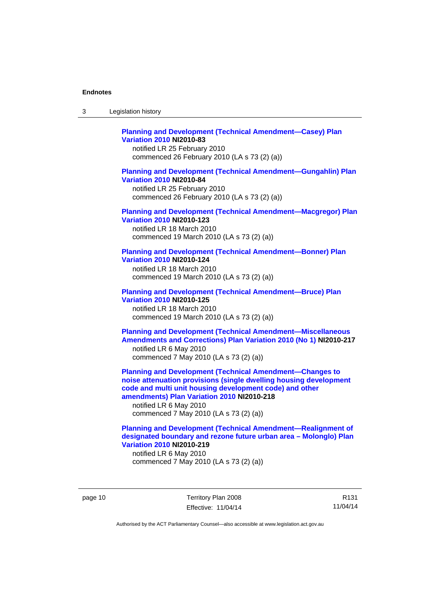| -3 | Legislation history |  |
|----|---------------------|--|
|----|---------------------|--|

### **[Planning and Development \(Technical Amendment—Casey\) Plan](http://www.legislation.act.gov.au/ni/2010-83/)  [Variation 2010](http://www.legislation.act.gov.au/ni/2010-83/) NI2010-83**

notified LR 25 February 2010 commenced 26 February 2010 (LA s 73 (2) (a))

### **[Planning and Development \(Technical Amendment—Gungahlin\) Plan](http://www.legislation.act.gov.au/ni/2010-84/)  [Variation 2010](http://www.legislation.act.gov.au/ni/2010-84/) NI2010-84**

notified LR 25 February 2010 commenced 26 February 2010 (LA s 73 (2) (a))

### **[Planning and Development \(Technical Amendment—Macgregor\) Plan](http://www.legislation.act.gov.au/ni/2010-123/)  [Variation 2010](http://www.legislation.act.gov.au/ni/2010-123/) NI2010-123**

notified LR 18 March 2010 commenced 19 March 2010 (LA s 73 (2) (a))

# **[Planning and Development \(Technical Amendment—Bonner\) Plan](http://www.legislation.act.gov.au/ni/2010-124/)**

**[Variation 2010](http://www.legislation.act.gov.au/ni/2010-124/) NI2010-124**  notified LR 18 March 2010 commenced 19 March 2010 (LA s 73 (2) (a))

#### **[Planning and Development \(Technical Amendment—Bruce\) Plan](http://www.legislation.act.gov.au/ni/2010-125/)  [Variation 2010](http://www.legislation.act.gov.au/ni/2010-125/) NI2010-125**

notified LR 18 March 2010 commenced 19 March 2010 (LA s 73 (2) (a))

### **[Planning and Development \(Technical Amendment—Miscellaneous](http://www.legislation.act.gov.au/ni/2010-217/)  [Amendments and Corrections\) Plan Variation 2010 \(No 1\)](http://www.legislation.act.gov.au/ni/2010-217/) NI2010-217**  notified LR 6 May 2010 commenced 7 May 2010 (LA s 73 (2) (a))

**[Planning and Development \(Technical Amendment—Changes to](http://www.legislation.act.gov.au/ni/2010-218/)  [noise attenuation provisions \(single dwelling housing development](http://www.legislation.act.gov.au/ni/2010-218/)  [code and multi unit housing development code\) and other](http://www.legislation.act.gov.au/ni/2010-218/)  [amendments\) Plan Variation 2010](http://www.legislation.act.gov.au/ni/2010-218/) NI2010-218** 

notified LR 6 May 2010 commenced 7 May 2010 (LA s 73 (2) (a))

### **[Planning and Development \(Technical Amendment—Realignment of](http://www.legislation.act.gov.au/ni/2010-219/)  [designated boundary and rezone future urban area – Molonglo\) Plan](http://www.legislation.act.gov.au/ni/2010-219/)  [Variation 2010](http://www.legislation.act.gov.au/ni/2010-219/) NI2010-219**

notified LR 6 May 2010 commenced 7 May 2010 (LA s 73 (2) (a))

page 10 Territory Plan 2008 Effective: 11/04/14

R131 11/04/14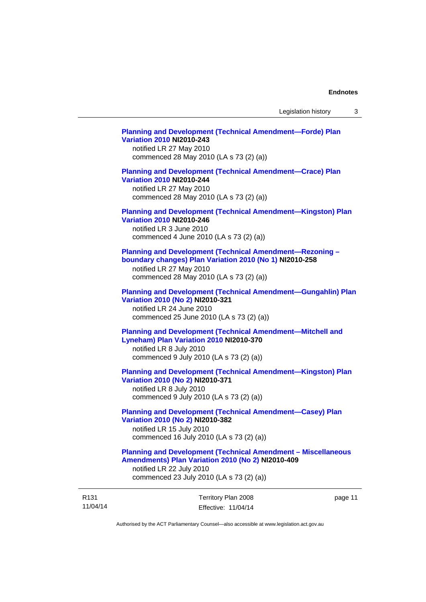# **[Planning and Development \(Technical Amendment—Forde\) Plan](http://www.legislation.act.gov.au/ni/2010-243/)  [Variation 2010](http://www.legislation.act.gov.au/ni/2010-243/) NI2010-243**  notified LR 27 May 2010 commenced 28 May 2010 (LA s 73 (2) (a)) **[Planning and Development \(Technical Amendment—Crace\) Plan](http://www.legislation.act.gov.au/ni/2010-244/)  [Variation 2010](http://www.legislation.act.gov.au/ni/2010-244/) NI2010-244**  notified LR 27 May 2010 commenced 28 May 2010 (LA s 73 (2) (a)) **[Planning and Development \(Technical Amendment—Kingston\) Plan](http://www.legislation.act.gov.au/ni/2010-246/)  [Variation 2010](http://www.legislation.act.gov.au/ni/2010-246/) NI2010-246**  notified LR 3 June 2010 commenced 4 June 2010 (LA s 73 (2) (a)) **[Planning and Development \(Technical Amendment—Rezoning –](http://www.legislation.act.gov.au/ni/2010-258/)  [boundary changes\) Plan Variation 2010 \(No 1\)](http://www.legislation.act.gov.au/ni/2010-258/) NI2010-258**  notified LR 27 May 2010 commenced 28 May 2010 (LA s 73 (2) (a)) **[Planning and Development \(Technical Amendment—Gungahlin\) Plan](http://www.legislation.act.gov.au/ni/2010-321/)  [Variation 2010 \(No 2\)](http://www.legislation.act.gov.au/ni/2010-321/) NI2010-321**  notified LR 24 June 2010 commenced 25 June 2010 (LA s 73 (2) (a)) **[Planning and Development \(Technical Amendment—Mitchell and](http://www.legislation.act.gov.au/ni/2010-370/)  [Lyneham\) Plan Variation 2010](http://www.legislation.act.gov.au/ni/2010-370/) NI2010-370**  notified LR 8 July 2010 commenced 9 July 2010 (LA s 73 (2) (a)) **[Planning and Development \(Technical Amendment—Kingston\) Plan](http://www.legislation.act.gov.au/ni/2010-371/)  [Variation 2010 \(No 2\)](http://www.legislation.act.gov.au/ni/2010-371/) NI2010-371**  notified LR 8 July 2010 commenced 9 July 2010 (LA s 73 (2) (a)) **[Planning and Development \(Technical Amendment—Casey\) Plan](http://www.legislation.act.gov.au/ni/2010-382/)  [Variation 2010 \(No 2\)](http://www.legislation.act.gov.au/ni/2010-382/) NI2010-382**  notified LR 15 July 2010 commenced 16 July 2010 (LA s 73 (2) (a)) **[Planning and Development \(Technical Amendment – Miscellaneous](http://www.legislation.act.gov.au/ni/2010-409/)  [Amendments\) Plan Variation 2010 \(No 2\)](http://www.legislation.act.gov.au/ni/2010-409/) NI2010-409**

notified LR 22 July 2010 commenced 23 July 2010 (LA s 73 (2) (a))

| R <sub>131</sub> | Territory Plan 2008 | page 11 |
|------------------|---------------------|---------|
| 11/04/14         | Effective: 11/04/14 |         |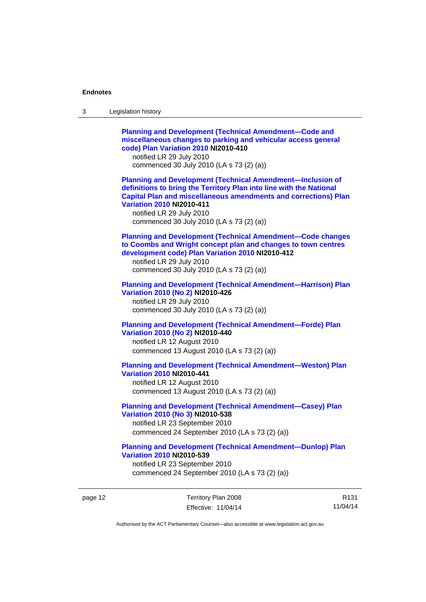| 3 | Legislation history                                                                                                                                                                                                                                                                                                            |
|---|--------------------------------------------------------------------------------------------------------------------------------------------------------------------------------------------------------------------------------------------------------------------------------------------------------------------------------|
|   | <b>Planning and Development (Technical Amendment-Code and</b><br>miscellaneous changes to parking and vehicular access general<br>code) Plan Variation 2010 NI2010-410<br>notified LR 29 July 2010<br>commenced 30 July 2010 (LA s 73 (2) (a))                                                                                 |
|   | <b>Planning and Development (Technical Amendment-Inclusion of</b><br>definitions to bring the Territory Plan into line with the National<br><b>Capital Plan and miscellaneous amendments and corrections) Plan</b><br><b>Variation 2010 NI2010-411</b><br>notified LR 29 July 2010<br>commenced 30 July 2010 (LA s 73 (2) (a)) |
|   | <b>Planning and Development (Technical Amendment-Code changes</b><br>to Coombs and Wright concept plan and changes to town centres<br>development code) Plan Variation 2010 NI2010-412<br>notified LR 29 July 2010<br>commenced 30 July 2010 (LA s 73 (2) (a))                                                                 |
|   | <b>Planning and Development (Technical Amendment-Harrison) Plan</b><br>Variation 2010 (No 2) NI2010-426<br>notified LR 29 July 2010<br>commenced 30 July 2010 (LA s 73 (2) (a))                                                                                                                                                |
|   | <b>Planning and Development (Technical Amendment-Forde) Plan</b><br>Variation 2010 (No 2) NI2010-440<br>notified LR 12 August 2010<br>commenced 13 August 2010 (LA s 73 (2) (a))                                                                                                                                               |
|   | <b>Planning and Development (Technical Amendment-Weston) Plan</b><br><b>Variation 2010 NI2010-441</b><br>notified LR 12 August 2010<br>commenced 13 August 2010 (LA s 73 (2) (a))                                                                                                                                              |
|   | <b>Planning and Development (Technical Amendment-Casey) Plan</b><br>Variation 2010 (No 3) NI2010-538<br>notified LR 23 September 2010<br>commenced 24 September 2010 (LA s 73 (2) (a))                                                                                                                                         |
|   | <b>Planning and Development (Technical Amendment-Dunlop) Plan</b><br><b>Variation 2010 NI2010-539</b><br>notified LR 23 September 2010<br>commenced 24 September 2010 (LA s 73 (2) (a))                                                                                                                                        |

page 12 Territory Plan 2008 Effective: 11/04/14

R131 11/04/14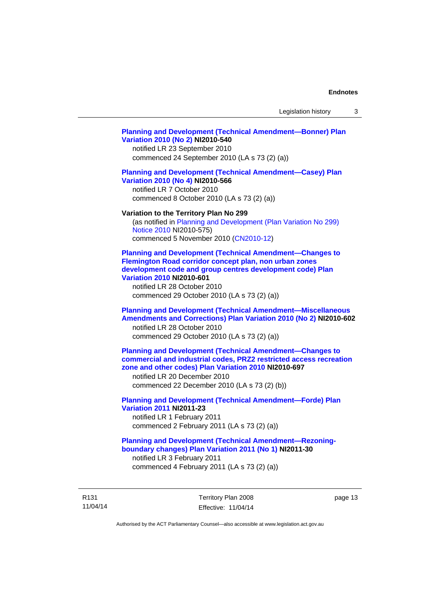### **[Planning and Development \(Technical Amendment—Bonner\) Plan](http://www.legislation.act.gov.au/ni/2010-540/)  [Variation 2010 \(No 2\)](http://www.legislation.act.gov.au/ni/2010-540/) NI2010-540**

notified LR 23 September 2010 commenced 24 September 2010 (LA s 73 (2) (a))

### **[Planning and Development \(Technical Amendment—Casey\) Plan](http://www.legislation.act.gov.au/ni/2010-566/)  [Variation 2010 \(No 4\)](http://www.legislation.act.gov.au/ni/2010-566/) NI2010-566**

notified LR 7 October 2010 commenced 8 October 2010 (LA s 73 (2) (a))

#### **Variation to the Territory Plan No 299**

(as notified in [Planning and Development \(Plan Variation No 299\)](http://www.legislation.act.gov.au/ni/2010-575/)  [Notice 2010](http://www.legislation.act.gov.au/ni/2010-575/) NI2010-575) commenced 5 November 2010 ([CN2010-12](http://www.legislation.act.gov.au/cn/2010-12/))

**[Planning and Development \(Technical Amendment—Changes to](http://www.legislation.act.gov.au/ni/2010-601/)  [Flemington Road corridor concept plan, non urban zones](http://www.legislation.act.gov.au/ni/2010-601/)  [development code and group centres development code\) Plan](http://www.legislation.act.gov.au/ni/2010-601/)  [Variation 2010](http://www.legislation.act.gov.au/ni/2010-601/) NI2010-601** 

notified LR 28 October 2010 commenced 29 October 2010 (LA s 73 (2) (a))

### **[Planning and Development \(Technical Amendment—Miscellaneous](http://www.legislation.act.gov.au/ni/2010-602/)  [Amendments and Corrections\) Plan Variation 2010 \(No 2\)](http://www.legislation.act.gov.au/ni/2010-602/) NI2010-602**

notified LR 28 October 2010 commenced 29 October 2010 (LA s 73 (2) (a))

### **[Planning and Development \(Technical Amendment—Changes to](http://www.legislation.act.gov.au/ni/2010-697/)  [commercial and industrial codes, PRZ2 restricted access recreation](http://www.legislation.act.gov.au/ni/2010-697/)  [zone and other codes\) Plan Variation 2010](http://www.legislation.act.gov.au/ni/2010-697/) NI2010-697**

notified LR 20 December 2010 commenced 22 December 2010 (LA s 73 (2) (b))

# **[Planning and Development \(Technical Amendment—Forde\) Plan](http://www.legislation.act.gov.au/ni/2011-23/)  [Variation 2011](http://www.legislation.act.gov.au/ni/2011-23/) NI2011-23**  notified LR 1 February 2011

commenced 2 February 2011 (LA s 73 (2) (a))

### **[Planning and Development \(Technical Amendment—Rezoning](http://www.legislation.act.gov.au/ni/2011-30/)[boundary changes\) Plan Variation 2011 \(No 1\)](http://www.legislation.act.gov.au/ni/2011-30/) NI2011-30**  notified LR 3 February 2011

commenced 4 February 2011 (LA s 73 (2) (a))

R131 11/04/14 Territory Plan 2008 Effective: 11/04/14 page 13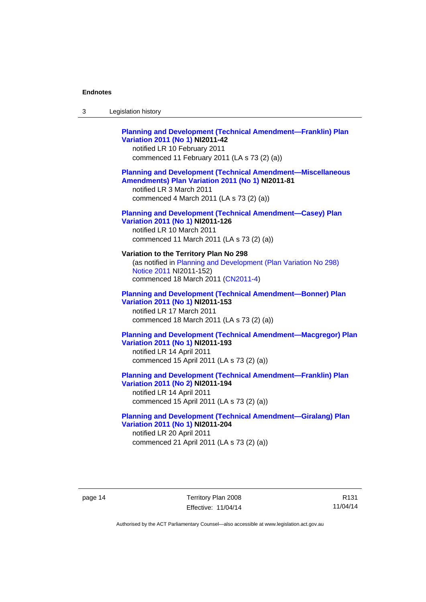| Legislation history<br>3 |
|--------------------------|
|--------------------------|

### **[Planning and Development \(Technical Amendment—Franklin\) Plan](http://www.legislation.act.gov.au/ni/2011-42/)  [Variation 2011 \(No 1\)](http://www.legislation.act.gov.au/ni/2011-42/) NI2011-42**  notified LR 10 February 2011 commenced 11 February 2011 (LA s 73 (2) (a))

### **[Planning and Development \(Technical Amendment—Miscellaneous](http://www.legislation.act.gov.au/ni/2011-81/)  [Amendments\) Plan Variation 2011 \(No 1\)](http://www.legislation.act.gov.au/ni/2011-81/) NI2011-81**

notified LR 3 March 2011 commenced 4 March 2011 (LA s 73 (2) (a))

### **[Planning and Development \(Technical Amendment—Casey\) Plan](http://www.legislation.act.gov.au/ni/2011-126/)  [Variation 2011 \(No 1\)](http://www.legislation.act.gov.au/ni/2011-126/) NI2011-126**

notified LR 10 March 2011 commenced 11 March 2011 (LA s 73 (2) (a))

# **Variation to the Territory Plan No 298**

(as notified in [Planning and Development \(Plan Variation No 298\)](http://www.legislation.act.gov.au/ni/2011-152/)  [Notice 2011](http://www.legislation.act.gov.au/ni/2011-152/) NI2011-152) commenced 18 March 2011 [\(CN2011-4\)](http://www.legislation.act.gov.au/cn/2011-4/)

### **[Planning and Development \(Technical Amendment—Bonner\) Plan](http://www.legislation.act.gov.au/ni/2011-153/)  [Variation 2011 \(No 1\)](http://www.legislation.act.gov.au/ni/2011-153/) NI2011-153**  notified LR 17 March 2011

commenced 18 March 2011 (LA s 73 (2) (a))

### **[Planning and Development \(Technical Amendment—Macgregor\) Plan](http://www.legislation.act.gov.au/ni/2011-193/)  [Variation 2011 \(No 1\)](http://www.legislation.act.gov.au/ni/2011-193/) NI2011-193**

notified LR 14 April 2011 commenced 15 April 2011 (LA s 73 (2) (a))

### **[Planning and Development \(Technical Amendment—Franklin\) Plan](http://www.legislation.act.gov.au/ni/2011-194/)  [Variation 2011 \(No 2\)](http://www.legislation.act.gov.au/ni/2011-194/) NI2011-194**

notified LR 14 April 2011 commenced 15 April 2011 (LA s 73 (2) (a))

### **[Planning and Development \(Technical Amendment—Giralang\) Plan](http://www.legislation.act.gov.au/ni/2011-204/)  [Variation 2011 \(No 1\)](http://www.legislation.act.gov.au/ni/2011-204/) NI2011-204**  notified LR 20 April 2011

commenced 21 April 2011 (LA s 73 (2) (a))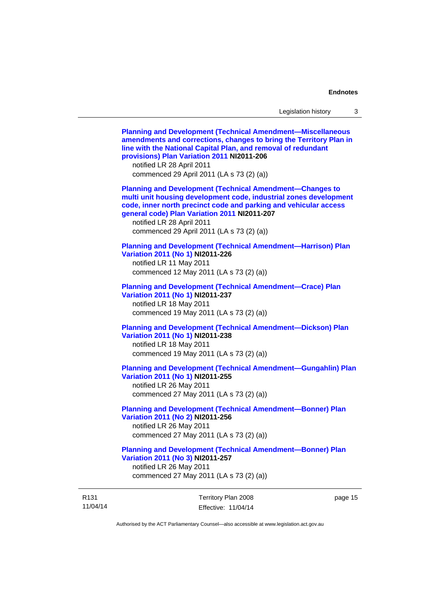11/04/14 Territory Plan 2008 Effective: 11/04/14 page 15 **[Planning and Development \(Technical Amendment—Miscellaneous](http://www.legislation.act.gov.au/ni/2011-206/)  [amendments and corrections, changes to bring the Territory Plan in](http://www.legislation.act.gov.au/ni/2011-206/)  [line with the National Capital Plan, and removal of redundant](http://www.legislation.act.gov.au/ni/2011-206/)  [provisions\) Plan Variation 2011](http://www.legislation.act.gov.au/ni/2011-206/) NI2011-206**  notified LR 28 April 2011 commenced 29 April 2011 (LA s 73 (2) (a)) **[Planning and Development \(Technical Amendment—Changes to](http://www.legislation.act.gov.au/ni/2011-207/)  [multi unit housing development code, industrial zones development](http://www.legislation.act.gov.au/ni/2011-207/)  [code, inner north precinct code and parking and vehicular access](http://www.legislation.act.gov.au/ni/2011-207/)  [general code\) Plan Variation 2011](http://www.legislation.act.gov.au/ni/2011-207/) NI2011-207**  notified LR 28 April 2011 commenced 29 April 2011 (LA s 73 (2) (a)) **[Planning and Development \(Technical Amendment—Harrison\) Plan](http://www.legislation.act.gov.au/ni/2011-226/)  [Variation 2011 \(No 1\)](http://www.legislation.act.gov.au/ni/2011-226/) NI2011-226**  notified LR 11 May 2011 commenced 12 May 2011 (LA s 73 (2) (a)) **[Planning and Development \(Technical Amendment—Crace\) Plan](http://www.legislation.act.gov.au/ni/2011-237/)  [Variation 2011 \(No 1\)](http://www.legislation.act.gov.au/ni/2011-237/) NI2011-237**  notified LR 18 May 2011 commenced 19 May 2011 (LA s 73 (2) (a)) **[Planning and Development \(Technical Amendment—Dickson\) Plan](http://www.legislation.act.gov.au/ni/2011-238/)  [Variation 2011 \(No 1\)](http://www.legislation.act.gov.au/ni/2011-238/) NI2011-238**  notified LR 18 May 2011 commenced 19 May 2011 (LA s 73 (2) (a)) **[Planning and Development \(Technical Amendment—Gungahlin\) Plan](http://www.legislation.act.gov.au/ni/2011-255/)  [Variation 2011 \(No 1\)](http://www.legislation.act.gov.au/ni/2011-255/) NI2011-255**  notified LR 26 May 2011 commenced 27 May 2011 (LA s 73 (2) (a)) **[Planning and Development \(Technical Amendment—Bonner\) Plan](http://www.legislation.act.gov.au/ni/2011-256/)  [Variation 2011 \(No 2\)](http://www.legislation.act.gov.au/ni/2011-256/) NI2011-256**  notified LR 26 May 2011 commenced 27 May 2011 (LA s 73 (2) (a)) **[Planning and Development \(Technical Amendment—Bonner\) Plan](http://www.legislation.act.gov.au/ni/2011-257/)  [Variation 2011 \(No 3\)](http://www.legislation.act.gov.au/ni/2011-257/) NI2011-257**  notified LR 26 May 2011 commenced 27 May 2011 (LA s 73 (2) (a))

Authorised by the ACT Parliamentary Counsel—also accessible at www.legislation.act.gov.au

R131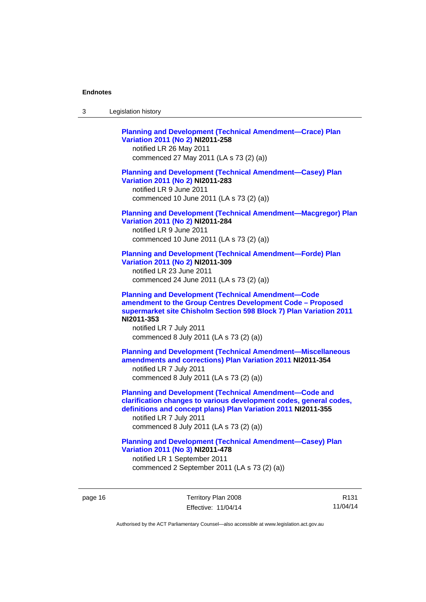| Legislation history<br>-3 |  |
|---------------------------|--|
|---------------------------|--|

**[Planning and Development \(Technical Amendment—Crace\) Plan](http://www.legislation.act.gov.au/ni/2011-258/)  [Variation 2011 \(No 2\)](http://www.legislation.act.gov.au/ni/2011-258/) NI2011-258**  notified LR 26 May 2011 commenced 27 May 2011 (LA s 73 (2) (a)) **[Planning and Development \(Technical Amendment—Casey\) Plan](http://www.legislation.act.gov.au/ni/2011-283/)  [Variation 2011 \(No 2\)](http://www.legislation.act.gov.au/ni/2011-283/) NI2011-283**  notified LR 9 June 2011 commenced 10 June 2011 (LA s 73 (2) (a)) **[Planning and Development \(Technical Amendment—Macgregor\) Plan](http://www.legislation.act.gov.au/ni/2011-284/)  [Variation 2011 \(No 2\)](http://www.legislation.act.gov.au/ni/2011-284/) NI2011-284**  notified LR 9 June 2011 commenced 10 June 2011 (LA s 73 (2) (a)) **[Planning and Development \(Technical Amendment—Forde\) Plan](http://www.legislation.act.gov.au/ni/2011-309/)  [Variation 2011 \(No 2\)](http://www.legislation.act.gov.au/ni/2011-309/) NI2011-309**  notified LR 23 June 2011 commenced 24 June 2011 (LA s 73 (2) (a)) **[Planning and Development \(Technical Amendment—Code](http://www.legislation.act.gov.au/ni/2011-353/)  [amendment to the Group Centres Development Code – Proposed](http://www.legislation.act.gov.au/ni/2011-353/)  [supermarket site Chisholm Section 598 Block 7\) Plan Variation 2011](http://www.legislation.act.gov.au/ni/2011-353/) NI2011-353**  notified LR 7 July 2011 commenced 8 July 2011 (LA s 73 (2) (a)) **[Planning and Development \(Technical Amendment—Miscellaneous](http://www.legislation.act.gov.au/ni/2011-354/)  [amendments and corrections\) Plan Variation 2011](http://www.legislation.act.gov.au/ni/2011-354/) NI2011-354**  notified LR 7 July 2011 commenced 8 July 2011 (LA s 73 (2) (a)) **[Planning and Development \(Technical Amendment—Code and](http://www.legislation.act.gov.au/ni/2011-355/)  [clarification changes to various development codes, general codes,](http://www.legislation.act.gov.au/ni/2011-355/)  [definitions and concept plans\) Plan Variation 2011](http://www.legislation.act.gov.au/ni/2011-355/) NI2011-355**  notified LR 7 July 2011 commenced 8 July 2011 (LA s 73 (2) (a)) **[Planning and Development \(Technical Amendment—Casey\) Plan](http://www.legislation.act.gov.au/ni/2011-478/)  [Variation 2011 \(No 3\)](http://www.legislation.act.gov.au/ni/2011-478/) NI2011-478** 

notified LR 1 September 2011 commenced 2 September 2011 (LA s 73 (2) (a))

page 16 Territory Plan 2008 Effective: 11/04/14

R131 11/04/14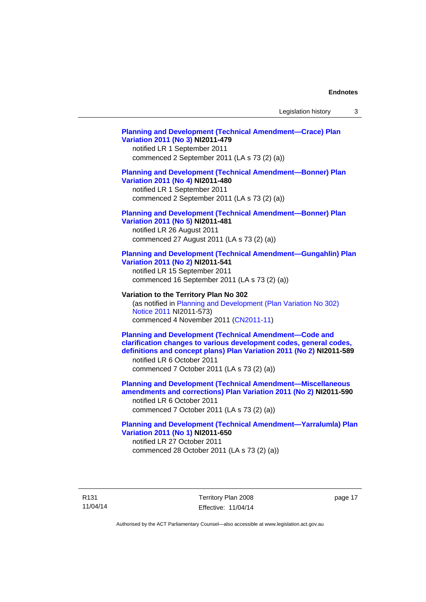# **[Planning and Development \(Technical Amendment—Crace\) Plan](http://www.legislation.act.gov.au/ni/2011-479/)  [Variation 2011 \(No 3\)](http://www.legislation.act.gov.au/ni/2011-479/) NI2011-479**  notified LR 1 September 2011 commenced 2 September 2011 (LA s 73 (2) (a)) **[Planning and Development \(Technical Amendment—Bonner\) Plan](http://www.legislation.act.gov.au/ni/2011-480/)  [Variation 2011 \(No 4\)](http://www.legislation.act.gov.au/ni/2011-480/) NI2011-480**  notified LR 1 September 2011 commenced 2 September 2011 (LA s 73 (2) (a)) **[Planning and Development \(Technical Amendment—Bonner\) Plan](http://www.legislation.act.gov.au/ni/2011-481/)  [Variation 2011 \(No 5\)](http://www.legislation.act.gov.au/ni/2011-481/) NI2011-481**  notified LR 26 August 2011 commenced 27 August 2011 (LA s 73 (2) (a)) **[Planning and Development \(Technical Amendment—Gungahlin\) Plan](http://www.legislation.act.gov.au/ni/2011-541/)  [Variation 2011 \(No 2\)](http://www.legislation.act.gov.au/ni/2011-541/) NI2011-541**  notified LR 15 September 2011 commenced 16 September 2011 (LA s 73 (2) (a)) **Variation to the Territory Plan No 302**  (as notified in [Planning and Development \(Plan Variation No 302\)](http://www.legislation.act.gov.au/ni/2011-573/)  [Notice 2011](http://www.legislation.act.gov.au/ni/2011-573/) NI2011-573) commenced 4 November 2011 ([CN2011-11](http://www.legislation.act.gov.au/cn/2011-11/)) **[Planning and Development \(Technical Amendment—Code and](http://www.legislation.act.gov.au/ni/2011-589/)  [clarification changes to various development codes, general codes,](http://www.legislation.act.gov.au/ni/2011-589/)  [definitions and concept plans\) Plan Variation 2011 \(No 2\)](http://www.legislation.act.gov.au/ni/2011-589/) NI2011-589**  notified LR 6 October 2011 commenced 7 October 2011 (LA s 73 (2) (a)) **[Planning and Development \(Technical Amendment—Miscellaneous](http://www.legislation.act.gov.au/ni/2011-590/)  [amendments and corrections\) Plan Variation 2011 \(No 2\)](http://www.legislation.act.gov.au/ni/2011-590/) NI2011-590**  notified LR 6 October 2011 commenced 7 October 2011 (LA s 73 (2) (a)) **[Planning and Development \(Technical Amendment—Yarralumla\) Plan](http://www.legislation.act.gov.au/ni/2011-650/)  [Variation 2011 \(No 1\)](http://www.legislation.act.gov.au/ni/2011-650/) NI2011-650**

notified LR 27 October 2011 commenced 28 October 2011 (LA s 73 (2) (a))

R131 11/04/14 Territory Plan 2008 Effective: 11/04/14 page 17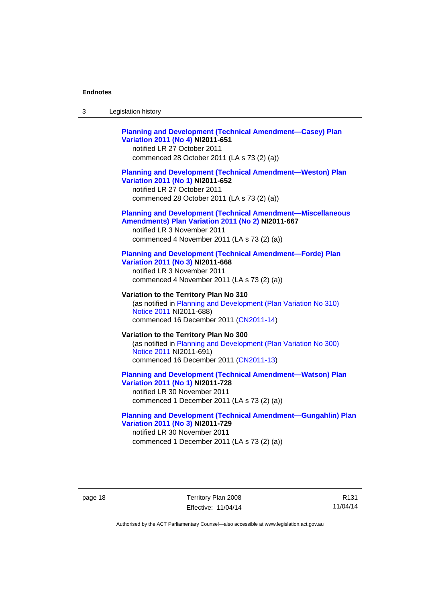| -3 | Legislation history |  |
|----|---------------------|--|
|----|---------------------|--|

# **[Planning and Development \(Technical Amendment—Casey\) Plan](http://www.legislation.act.gov.au/ni/2011-651/)  [Variation 2011 \(No 4\)](http://www.legislation.act.gov.au/ni/2011-651/) NI2011-651**

notified LR 27 October 2011 commenced 28 October 2011 (LA s 73 (2) (a))

### **[Planning and Development \(Technical Amendment—Weston\) Plan](http://www.legislation.act.gov.au/ni/2011-652/)  [Variation 2011 \(No 1\)](http://www.legislation.act.gov.au/ni/2011-652/) NI2011-652**

notified LR 27 October 2011 commenced 28 October 2011 (LA s 73 (2) (a))

#### **[Planning and Development \(Technical Amendment—Miscellaneous](http://www.legislation.act.gov.au/ni/2011-667/)  [Amendments\) Plan Variation 2011 \(No 2\)](http://www.legislation.act.gov.au/ni/2011-667/) NI2011-667**

notified LR 3 November 2011 commenced 4 November 2011 (LA s 73 (2) (a))

#### **[Planning and Development \(Technical Amendment—Forde\) Plan](http://www.legislation.act.gov.au/ni/2011-668/)  [Variation 2011 \(No 3\)](http://www.legislation.act.gov.au/ni/2011-668/) NI2011-668**

notified LR 3 November 2011 commenced 4 November 2011 (LA s 73 (2) (a))

**Variation to the Territory Plan No 310**  (as notified in [Planning and Development \(Plan Variation No 310\)](http://www.legislation.act.gov.au/ni/2011-688/)  [Notice 2011](http://www.legislation.act.gov.au/ni/2011-688/) NI2011-688) commenced 16 December 2011 [\(CN2011-14\)](http://www.legislation.act.gov.au/cn/2011-14/)

### **Variation to the Territory Plan No 300**  (as notified in [Planning and Development \(Plan Variation No 300\)](http://www.legislation.act.gov.au/ni/2011-691/)  [Notice 2011](http://www.legislation.act.gov.au/ni/2011-691/) NI2011-691) commenced 16 December 2011 [\(CN2011-13\)](http://www.legislation.act.gov.au/cn/2011-13/)

### **[Planning and Development \(Technical Amendment—Watson\) Plan](http://www.legislation.act.gov.au/ni/2011-728/)  [Variation 2011 \(No 1\)](http://www.legislation.act.gov.au/ni/2011-728/) NI2011-728**

notified LR 30 November 2011 commenced 1 December 2011 (LA s 73 (2) (a))

### **[Planning and Development \(Technical Amendment—Gungahlin\) Plan](http://www.legislation.act.gov.au/ni/2011-729/)  [Variation 2011 \(No 3\)](http://www.legislation.act.gov.au/ni/2011-729/) NI2011-729**

notified LR 30 November 2011 commenced 1 December 2011 (LA s 73 (2) (a))

R131 11/04/14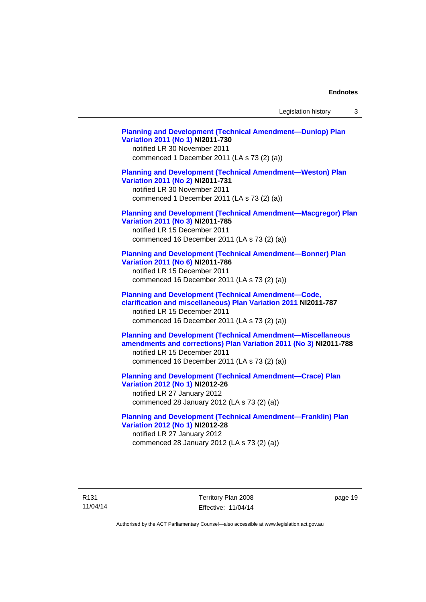Legislation history 3

**[Planning and Development \(Technical Amendment—Dunlop\) Plan](http://www.legislation.act.gov.au/ni/2011-730/)  [Variation 2011 \(No 1\)](http://www.legislation.act.gov.au/ni/2011-730/) NI2011-730**  notified LR 30 November 2011 commenced 1 December 2011 (LA s 73 (2) (a)) **[Planning and Development \(Technical Amendment—Weston\) Plan](http://www.legislation.act.gov.au/ni/2011-731/)  [Variation 2011 \(No 2\)](http://www.legislation.act.gov.au/ni/2011-731/) NI2011-731**  notified LR 30 November 2011 commenced 1 December 2011 (LA s 73 (2) (a)) **[Planning and Development \(Technical Amendment—Macgregor\) Plan](http://www.legislation.act.gov.au/ni/2011-785/)  [Variation 2011 \(No 3\)](http://www.legislation.act.gov.au/ni/2011-785/) NI2011-785**  notified LR 15 December 2011 commenced 16 December 2011 (LA s 73 (2) (a)) **[Planning and Development \(Technical Amendment—Bonner\) Plan](http://www.legislation.act.gov.au/ni/2011-786/)  [Variation 2011 \(No 6\)](http://www.legislation.act.gov.au/ni/2011-786/) NI2011-786**  notified LR 15 December 2011 commenced 16 December 2011 (LA s 73 (2) (a)) **[Planning and Development \(Technical Amendment—Code,](http://www.legislation.act.gov.au/ni/2011-787/)  [clarification and miscellaneous\) Plan Variation 2011](http://www.legislation.act.gov.au/ni/2011-787/) NI2011-787**  notified LR 15 December 2011 commenced 16 December 2011 (LA s 73 (2) (a)) **[Planning and Development \(Technical Amendment—Miscellaneous](http://www.legislation.act.gov.au/ni/2011-788/)  [amendments and corrections\) Plan Variation 2011 \(No 3\)](http://www.legislation.act.gov.au/ni/2011-788/) NI2011-788**  notified LR 15 December 2011 commenced 16 December 2011 (LA s 73 (2) (a)) **[Planning and Development \(Technical Amendment—Crace\) Plan](http://www.legislation.act.gov.au/ni/2012-26/)  [Variation 2012 \(No 1\)](http://www.legislation.act.gov.au/ni/2012-26/) NI2012-26**  notified LR 27 January 2012 commenced 28 January 2012 (LA s 73 (2) (a)) **[Planning and Development \(Technical Amendment—Franklin\) Plan](http://www.legislation.act.gov.au/ni/2012-28/)  [Variation 2012 \(No 1\)](http://www.legislation.act.gov.au/ni/2012-28/) NI2012-28**  notified LR 27 January 2012

commenced 28 January 2012 (LA s 73 (2) (a))

R131 11/04/14 Territory Plan 2008 Effective: 11/04/14 page 19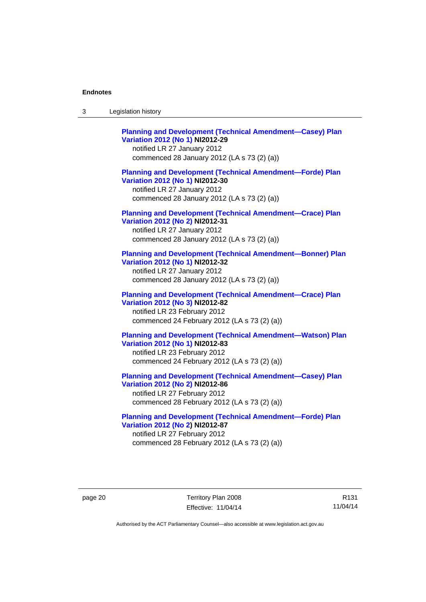| -3 | Legislation history |  |
|----|---------------------|--|
|----|---------------------|--|

**[Planning and Development \(Technical Amendment—Casey\) Plan](http://www.legislation.act.gov.au/ni/2012-29/)  [Variation 2012 \(No 1\)](http://www.legislation.act.gov.au/ni/2012-29/) NI2012-29**  notified LR 27 January 2012 commenced 28 January 2012 (LA s 73 (2) (a)) **[Planning and Development \(Technical Amendment—Forde\) Plan](http://www.legislation.act.gov.au/ni/2012-30/)  [Variation 2012 \(No 1\)](http://www.legislation.act.gov.au/ni/2012-30/) NI2012-30**  notified LR 27 January 2012 commenced 28 January 2012 (LA s 73 (2) (a)) **[Planning and Development \(Technical Amendment—Crace\) Plan](http://www.legislation.act.gov.au/ni/2012-31/)  [Variation 2012 \(No 2\)](http://www.legislation.act.gov.au/ni/2012-31/) NI2012-31**  notified LR 27 January 2012 commenced 28 January 2012 (LA s 73 (2) (a)) **[Planning and Development \(Technical Amendment—Bonner\) Plan](http://www.legislation.act.gov.au/ni/2012-32/)  [Variation 2012 \(No 1\)](http://www.legislation.act.gov.au/ni/2012-32/) NI2012-32**  notified LR 27 January 2012 commenced 28 January 2012 (LA s 73 (2) (a)) **[Planning and Development \(Technical Amendment—Crace\) Plan](http://www.legislation.act.gov.au/ni/2012-82/)  [Variation 2012 \(No 3\)](http://www.legislation.act.gov.au/ni/2012-82/) NI2012-82**  notified LR 23 February 2012 commenced 24 February 2012 (LA s 73 (2) (a)) **[Planning and Development \(Technical Amendment—Watson\) Plan](http://www.legislation.act.gov.au/ni/2012-83/)  [Variation 2012 \(No 1\)](http://www.legislation.act.gov.au/ni/2012-83/) NI2012-83**  notified LR 23 February 2012 commenced 24 February 2012 (LA s 73 (2) (a)) **[Planning and Development \(Technical Amendment—Casey\) Plan](http://www.legislation.act.gov.au/ni/2012-86/)  [Variation 2012 \(No 2\)](http://www.legislation.act.gov.au/ni/2012-86/) NI2012-86**  notified LR 27 February 2012

commenced 28 February 2012 (LA s 73 (2) (a))

**[Planning and Development \(Technical Amendment—Forde\) Plan](http://www.legislation.act.gov.au/ni/2012-87/)  [Variation 2012 \(No 2\)](http://www.legislation.act.gov.au/ni/2012-87/) NI2012-87**  notified LR 27 February 2012 commenced 28 February 2012 (LA s 73 (2) (a))

R131 11/04/14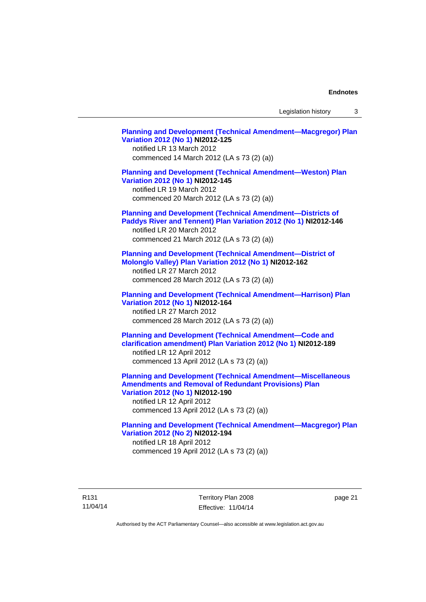Legislation history 3

**[Planning and Development \(Technical Amendment—Macgregor\) Plan](http://www.legislation.act.gov.au/ni/2012-125/)  [Variation 2012 \(No 1\)](http://www.legislation.act.gov.au/ni/2012-125/) NI2012-125**  notified LR 13 March 2012 commenced 14 March 2012 (LA s 73 (2) (a)) **[Planning and Development \(Technical Amendment—Weston\) Plan](http://www.legislation.act.gov.au/ni/2012-145/)  [Variation 2012 \(No 1\)](http://www.legislation.act.gov.au/ni/2012-145/) NI2012-145**  notified LR 19 March 2012 commenced 20 March 2012 (LA s 73 (2) (a)) **[Planning and Development \(Technical Amendment—Districts of](http://www.legislation.act.gov.au/ni/2012-146/)  [Paddys River and Tennent\) Plan Variation 2012 \(No 1\)](http://www.legislation.act.gov.au/ni/2012-146/) NI2012-146**  notified LR 20 March 2012 commenced 21 March 2012 (LA s 73 (2) (a)) **[Planning and Development \(Technical Amendment—District of](http://www.legislation.act.gov.au/ni/2012-162/)  [Molonglo Valley\) Plan Variation 2012 \(No 1\)](http://www.legislation.act.gov.au/ni/2012-162/) NI2012-162**  notified LR 27 March 2012 commenced 28 March 2012 (LA s 73 (2) (a)) **[Planning and Development \(Technical Amendment—Harrison\) Plan](http://www.legislation.act.gov.au/ni/2012-164/)  [Variation 2012 \(No 1\)](http://www.legislation.act.gov.au/ni/2012-164/) NI2012-164**  notified LR 27 March 2012 commenced 28 March 2012 (LA s 73 (2) (a)) **[Planning and Development \(Technical Amendment—Code and](http://www.legislation.act.gov.au/ni/2012-189/)  [clarification amendment\) Plan Variation 2012 \(No 1\)](http://www.legislation.act.gov.au/ni/2012-189/) NI2012-189**  notified LR 12 April 2012 commenced 13 April 2012 (LA s 73 (2) (a)) **[Planning and Development \(Technical Amendment—Miscellaneous](http://www.legislation.act.gov.au/ni/2012-190/)  [Amendments and Removal of Redundant Provisions\) Plan](http://www.legislation.act.gov.au/ni/2012-190/)  [Variation 2012 \(No 1\)](http://www.legislation.act.gov.au/ni/2012-190/) NI2012-190**  notified LR 12 April 2012 commenced 13 April 2012 (LA s 73 (2) (a)) **[Planning and Development \(Technical Amendment—Macgregor\) Plan](http://www.legislation.act.gov.au/ni/2012-194/)  [Variation 2012 \(No 2\)](http://www.legislation.act.gov.au/ni/2012-194/) NI2012-194**  notified LR 18 April 2012 commenced 19 April 2012 (LA s 73 (2) (a))

R131 11/04/14 Territory Plan 2008 Effective: 11/04/14 page 21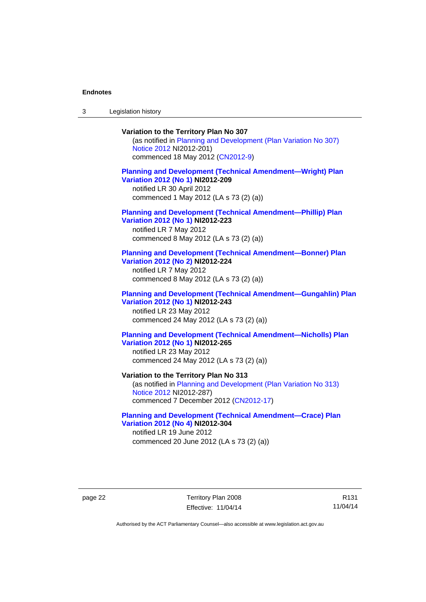3 Legislation history

# **Variation to the Territory Plan No 307**

(as notified in [Planning and Development \(Plan Variation No 307\)](http://www.legislation.act.gov.au/ni/2012-201/)  [Notice 2012](http://www.legislation.act.gov.au/ni/2012-201/) NI2012-201) commenced 18 May 2012 [\(CN2012-9\)](http://www.legislation.act.gov.au/cn/2012-9/)

### **[Planning and Development \(Technical Amendment—Wright\) Plan](http://www.legislation.act.gov.au/ni/2012-209/)  [Variation 2012 \(No 1\)](http://www.legislation.act.gov.au/ni/2012-209/) NI2012-209**

notified LR 30 April 2012 commenced 1 May 2012 (LA s 73 (2) (a))

#### **[Planning and Development \(Technical Amendment—Phillip\) Plan](http://www.legislation.act.gov.au/ni/2012-223/)  [Variation 2012 \(No 1\)](http://www.legislation.act.gov.au/ni/2012-223/) NI2012-223**

notified LR 7 May 2012 commenced 8 May 2012 (LA s 73 (2) (a))

### **[Planning and Development \(Technical Amendment—Bonner\) Plan](http://www.legislation.act.gov.au/ni/2012-224/)  [Variation 2012 \(No 2\)](http://www.legislation.act.gov.au/ni/2012-224/) NI2012-224**

notified LR 7 May 2012 commenced 8 May 2012 (LA s 73 (2) (a))

### **[Planning and Development \(Technical Amendment—Gungahlin\) Plan](http://www.legislation.act.gov.au/ni/2012-243/)  [Variation 2012 \(No 1\)](http://www.legislation.act.gov.au/ni/2012-243/) NI2012-243**  notified LR 23 May 2012

commenced 24 May 2012 (LA s 73 (2) (a))

### **[Planning and Development \(Technical Amendment—Nicholls\) Plan](http://www.legislation.act.gov.au/ni/2012-265/)  [Variation 2012 \(No 1\)](http://www.legislation.act.gov.au/ni/2012-265/) NI2012-265**

notified LR 23 May 2012 commenced 24 May 2012 (LA s 73 (2) (a))

### **Variation to the Territory Plan No 313**

(as notified in [Planning and Development \(Plan Variation No 313\)](http://www.legislation.act.gov.au/ni/2012-287/default.asp)  [Notice 2012](http://www.legislation.act.gov.au/ni/2012-287/default.asp) NI2012-287) commenced 7 December 2012 ([CN2012-17](http://www.legislation.act.gov.au/cn/2012-17/default.asp))

### **[Planning and Development \(Technical Amendment—Crace\) Plan](http://www.legislation.act.gov.au/ni/2012-304/)  [Variation 2012 \(No 4\)](http://www.legislation.act.gov.au/ni/2012-304/) NI2012-304**

notified LR 19 June 2012 commenced 20 June 2012 (LA s 73 (2) (a))

page 22 Territory Plan 2008 Effective: 11/04/14

R131 11/04/14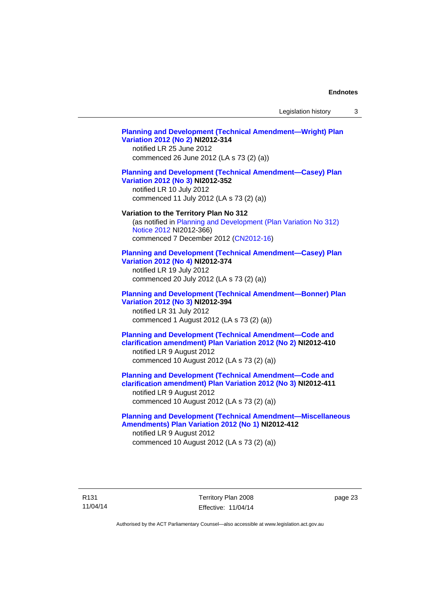Legislation history 3

# **[Planning and Development \(Technical Amendment—Wright\) Plan](http://www.legislation.act.gov.au/ni/2012-314/)  [Variation 2012 \(No 2\)](http://www.legislation.act.gov.au/ni/2012-314/) NI2012-314**  notified LR 25 June 2012 commenced 26 June 2012 (LA s 73 (2) (a)) **[Planning and Development \(Technical Amendment—Casey\) Plan](http://www.legislation.act.gov.au/ni/2012-352/)  [Variation 2012 \(No 3\)](http://www.legislation.act.gov.au/ni/2012-352/) NI2012-352**  notified LR 10 July 2012 commenced 11 July 2012 (LA s 73 (2) (a)) **Variation to the Territory Plan No 312**  (as notified in [Planning and Development \(Plan Variation No 312\)](http://www.legislation.act.gov.au/ni/2012-366/default.asp)  [Notice 2012](http://www.legislation.act.gov.au/ni/2012-366/default.asp) NI2012-366) commenced 7 December 2012 ([CN2012-16](http://www.legislation.act.gov.au/cn/2012-16/default.asp)) **[Planning and Development \(Technical Amendment—Casey\) Plan](http://www.legislation.act.gov.au/ni/2012-374/)  [Variation 2012 \(No 4\)](http://www.legislation.act.gov.au/ni/2012-374/) NI2012-374**  notified LR 19 July 2012 commenced 20 July 2012 (LA s 73 (2) (a)) **[Planning and Development \(Technical Amendment—Bonner\) Plan](http://www.legislation.act.gov.au/ni/2012-394/)  [Variation 2012 \(No 3\)](http://www.legislation.act.gov.au/ni/2012-394/) NI2012-394**  notified LR 31 July 2012 commenced 1 August 2012 (LA s 73 (2) (a)) **[Planning and Development \(Technical Amendment—Code and](http://www.legislation.act.gov.au/ni/2012-410/)  [clarification amendment\) Plan Variation 2012 \(No 2\)](http://www.legislation.act.gov.au/ni/2012-410/) NI2012-410**  notified LR 9 August 2012 commenced 10 August 2012 (LA s 73 (2) (a)) **[Planning and Development \(Technical Amendment—Code and](http://www.legislation.act.gov.au/ni/2012-411/)  [clarification amendment\) Plan Variation 2012 \(No 3\)](http://www.legislation.act.gov.au/ni/2012-411/) NI2012-411**  notified LR 9 August 2012 commenced 10 August 2012 (LA s 73 (2) (a)) **[Planning and Development \(Technical Amendment—Miscellaneous](http://www.legislation.act.gov.au/ni/2012-412/)  [Amendments\) Plan Variation 2012 \(No 1\)](http://www.legislation.act.gov.au/ni/2012-412/) NI2012-412**  notified LR 9 August 2012 commenced 10 August 2012 (LA s 73 (2) (a))

page 23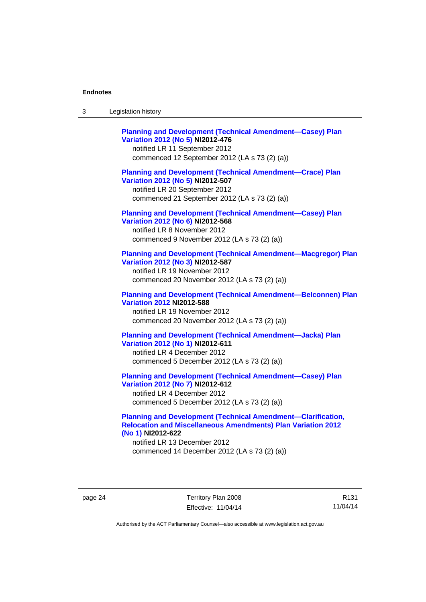| Legislation history<br>-3 |  |
|---------------------------|--|
|---------------------------|--|

| <b>Planning and Development (Technical Amendment-Casey) Plan</b><br>Variation 2012 (No 5) NI2012-476<br>notified LR 11 September 2012<br>commenced 12 September 2012 (LA s 73 (2) (a))   |
|------------------------------------------------------------------------------------------------------------------------------------------------------------------------------------------|
| <b>Planning and Development (Technical Amendment-Crace) Plan</b><br>Variation 2012 (No 5) NI2012-507<br>notified LR 20 September 2012<br>commenced 21 September 2012 (LA s 73 (2) (a))   |
| <b>Planning and Development (Technical Amendment-Casey) Plan</b><br>Variation 2012 (No 6) NI2012-568<br>notified LR 8 November 2012<br>commenced 9 November 2012 (LA s 73 (2) (a))       |
| <b>Planning and Development (Technical Amendment-Macgregor) Plan</b><br>Variation 2012 (No 3) NI2012-587<br>notified LR 19 November 2012<br>commenced 20 November 2012 (LA s 73 (2) (a)) |
| <b>Planning and Development (Technical Amendment-Belconnen) Plan</b><br><b>Variation 2012 NI2012-588</b><br>notified LR 19 November 2012<br>commenced 20 November 2012 (LA s 73 (2) (a)) |
| <b>Planning and Development (Technical Amendment-Jacka) Plan</b><br>Variation 2012 (No 1) NI2012-611<br>notified LR 4 December 2012<br>commenced 5 December 2012 (LA s 73 (2) (a))       |
| <b>Planning and Development (Technical Amendment-Casey) Plan</b><br>Variation 2012 (No 7) NI2012-612<br>notified LR 4 December 2012<br>commenced 5 December 2012 (LA s 73 (2) (a))       |

### **[Planning and Development \(Technical Amendment—Clarification,](http://www.legislation.act.gov.au/ni/2012-622/default.asp)  [Relocation and Miscellaneous Amendments\) Plan Variation 2012](http://www.legislation.act.gov.au/ni/2012-622/default.asp)  [\(No 1\)](http://www.legislation.act.gov.au/ni/2012-622/default.asp) NI2012-622**

notified LR 13 December 2012 commenced 14 December 2012 (LA s 73 (2) (a))

page 24 Territory Plan 2008 Effective: 11/04/14

R131 11/04/14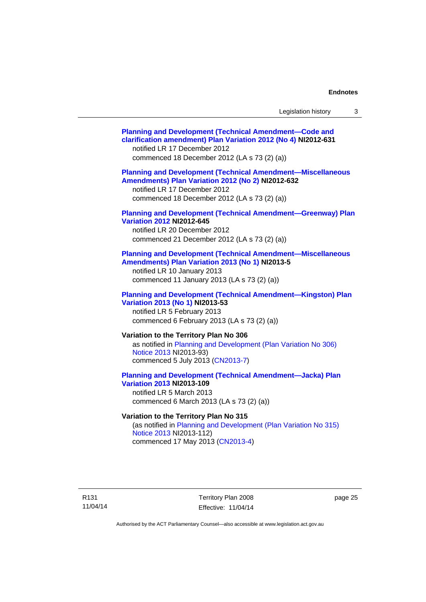| Legislation history |  |
|---------------------|--|
|---------------------|--|

| <b>Planning and Development (Technical Amendment-Code and</b><br>clarification amendment) Plan Variation 2012 (No 4) NI2012-631<br>notified LR 17 December 2012<br>commenced 18 December 2012 (LA s 73 (2) (a)) |
|-----------------------------------------------------------------------------------------------------------------------------------------------------------------------------------------------------------------|
| <b>Planning and Development (Technical Amendment-Miscellaneous</b><br>Amendments) Plan Variation 2012 (No 2) NI2012-632<br>notified LR 17 December 2012<br>commenced 18 December 2012 (LA s 73 (2) (a))         |
| <b>Planning and Development (Technical Amendment-Greenway) Plan</b><br><b>Variation 2012 NI2012-645</b><br>notified LR 20 December 2012<br>commenced 21 December 2012 (LA s 73 (2) (a))                         |
| <b>Planning and Development (Technical Amendment-Miscellaneous</b><br>Amendments) Plan Variation 2013 (No 1) NI2013-5<br>notified LR 10 January 2013<br>commenced 11 January 2013 (LA s 73 (2) (a))             |
| <b>Planning and Development (Technical Amendment-Kingston) Plan</b><br>Variation 2013 (No 1) NI2013-53<br>notified LR 5 February 2013<br>commenced 6 February 2013 (LA s 73 (2) (a))                            |
| Variation to the Territory Plan No 306<br>as notified in Planning and Development (Plan Variation No 306)<br>Notice 2013 NI2013-93)<br>commenced 5 July 2013 (CN2013-7)                                         |
| <b>Planning and Development (Technical Amendment-Jacka) Plan</b><br><b>Variation 2013 NI2013-109</b><br>notified LR 5 March 2013<br>commenced 6 March 2013 (LA s 73 (2) (a))                                    |
| Variation to the Territory Plan No 315<br>(as notified in Planning and Development (Plan Variation No 315)<br>Notice 2013 NI2013-112)                                                                           |

commenced 17 May 2013 [\(CN2013-4\)](http://www.legislation.act.gov.au/cn/2013-4/default.asp)

R131 11/04/14

Territory Plan 2008 Effective: 11/04/14 page 25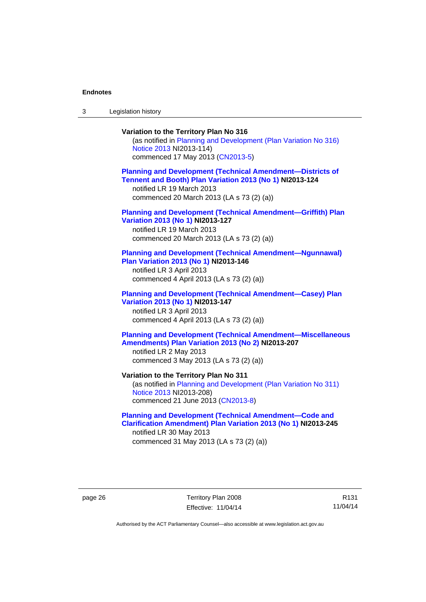3 Legislation history

# **Variation to the Territory Plan No 316**  (as notified in [Planning and Development \(Plan Variation No 316\)](http://www.legislation.act.gov.au/ni/2013-114/default.asp)  [Notice 2013](http://www.legislation.act.gov.au/ni/2013-114/default.asp) NI2013-114) commenced 17 May 2013 [\(CN2013-5\)](http://www.legislation.act.gov.au/cn/2013-5/default.asp) **[Planning and Development \(Technical Amendment—Districts of](http://www.legislation.act.gov.au/ni/2013-124/default.asp)  [Tennent and Booth\) Plan Variation 2013 \(No 1\)](http://www.legislation.act.gov.au/ni/2013-124/default.asp) NI2013-124**  notified LR 19 March 2013 commenced 20 March 2013 (LA s 73 (2) (a)) **[Planning and Development \(Technical Amendment—Griffith\) Plan](http://www.legislation.act.gov.au/ni/2013-127/default.asp)  [Variation 2013 \(No 1\)](http://www.legislation.act.gov.au/ni/2013-127/default.asp) NI2013-127**  notified LR 19 March 2013 commenced 20 March 2013 (LA s 73 (2) (a)) **[Planning and Development \(Technical Amendment—Ngunnawal\)](http://www.legislation.act.gov.au/ni/2013-146/default.asp)  [Plan Variation 2013 \(No 1\)](http://www.legislation.act.gov.au/ni/2013-146/default.asp) NI2013-146**  notified LR 3 April 2013 commenced 4 April 2013 (LA s 73 (2) (a)) **[Planning and Development \(Technical Amendment—Casey\) Plan](http://www.legislation.act.gov.au/ni/2013-147/default.asp)  [Variation 2013 \(No 1\)](http://www.legislation.act.gov.au/ni/2013-147/default.asp) NI2013-147**  notified LR 3 April 2013 commenced 4 April 2013 (LA s 73 (2) (a)) **[Planning and Development \(Technical Amendment—Miscellaneous](http://www.legislation.act.gov.au/ni/2013-207/default.asp)  [Amendments\) Plan Variation 2013 \(No 2\)](http://www.legislation.act.gov.au/ni/2013-207/default.asp) NI2013-207**  notified LR 2 May 2013 commenced 3 May 2013 (LA s 73 (2) (a)) **Variation to the Territory Plan No 311**  (as notified in [Planning and Development \(Plan Variation No 311\)](http://www.legislation.act.gov.au/ni/2013-208/default.asp)  [Notice 2013](http://www.legislation.act.gov.au/ni/2013-208/default.asp) NI2013-208) commenced 21 June 2013 ([CN2013-8\)](http://www.legislation.act.gov.au/cn/2013-8/default.asp) **[Planning and Development \(Technical Amendment—Code and](http://www.legislation.act.gov.au/ni/2013-245/default.asp)  [Clarification Amendment\) Plan Variation 2013 \(No 1\)](http://www.legislation.act.gov.au/ni/2013-245/default.asp) NI2013-245**

notified LR 30 May 2013 commenced 31 May 2013 (LA s 73 (2) (a))

page 26 Territory Plan 2008 Effective: 11/04/14

R131 11/04/14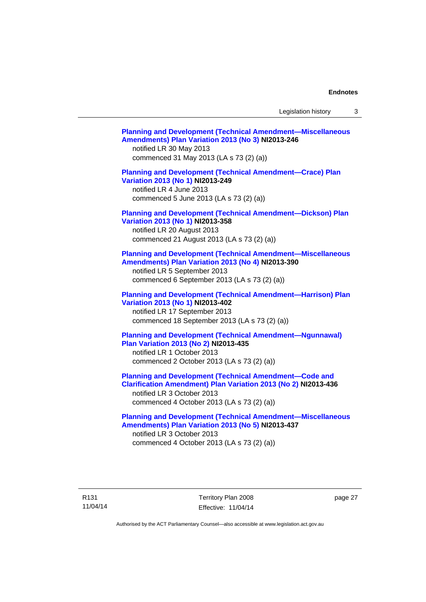Legislation history 3

| <b>Planning and Development (Technical Amendment-Miscellaneous</b><br>Amendments) Plan Variation 2013 (No 3) NI2013-246<br>notified LR 30 May 2013<br>commenced 31 May 2013 (LA s 73 (2) (a))               |  |
|-------------------------------------------------------------------------------------------------------------------------------------------------------------------------------------------------------------|--|
| <b>Planning and Development (Technical Amendment-Crace) Plan</b><br>Variation 2013 (No 1) NI2013-249<br>notified LR 4 June 2013<br>commenced 5 June 2013 (LA s 73 (2) (a))                                  |  |
| <b>Planning and Development (Technical Amendment-Dickson) Plan</b><br>Variation 2013 (No 1) NI2013-358<br>notified LR 20 August 2013<br>commenced 21 August 2013 (LA s 73 (2) (a))                          |  |
| <b>Planning and Development (Technical Amendment-Miscellaneous</b><br>Amendments) Plan Variation 2013 (No 4) NI2013-390<br>notified LR 5 September 2013<br>commenced 6 September 2013 (LA s 73 (2) (a))     |  |
| <b>Planning and Development (Technical Amendment-Harrison) Plan</b><br>Variation 2013 (No 1) NI2013-402<br>notified LR 17 September 2013<br>commenced 18 September 2013 (LA s 73 (2) (a))                   |  |
| <b>Planning and Development (Technical Amendment-Ngunnawal)</b><br><b>Plan Variation 2013 (No 2) NI2013-435</b><br>notified LR 1 October 2013<br>commenced 2 October 2013 (LA s 73 (2) (a))                 |  |
| <b>Planning and Development (Technical Amendment-Code and</b><br>Clarification Amendment) Plan Variation 2013 (No 2) NI2013-436<br>notified LR 3 October 2013<br>commenced 4 October 2013 (LA s 73 (2) (a)) |  |
| <b>Planning and Development (Technical Amendment-Miscellaneous</b><br>Amendments) Plan Variation 2013 (No 5) NI2013-437<br>notified LR 3 October 2013<br>commenced 4 October 2013 (LA s 73 (2) (a))         |  |

page 27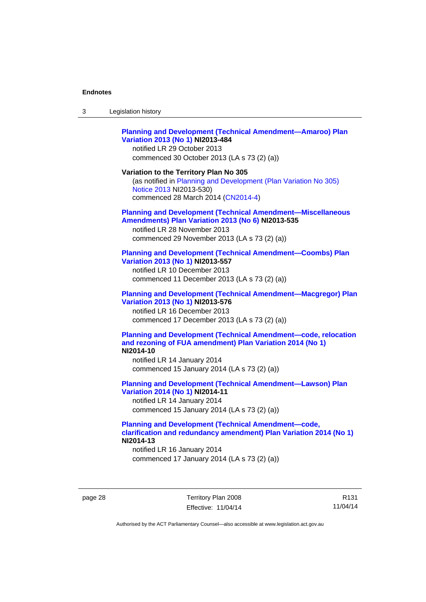| 3 | Legislation history |  |
|---|---------------------|--|
|---|---------------------|--|

### **[Planning and Development \(Technical Amendment—Amaroo\) Plan](http://www.legislation.act.gov.au/ni/2013-484/default.asp)  [Variation 2013 \(No 1\)](http://www.legislation.act.gov.au/ni/2013-484/default.asp) NI2013-484**

notified LR 29 October 2013 commenced 30 October 2013 (LA s 73 (2) (a))

#### **Variation to the Territory Plan No 305**

(as notified in [Planning and Development \(Plan Variation No 305\)](http://www.legislation.act.gov.au/ni/2013-530/default.asp)  [Notice 2013](http://www.legislation.act.gov.au/ni/2013-530/default.asp) NI2013-530) commenced 28 March 2014 [\(CN2014-4\)](http://www.legislation.act.gov.au/cn/2014-4/default.asp)

#### **[Planning and Development \(Technical Amendment—Miscellaneous](http://www.legislation.act.gov.au/ni/2013-535/default.asp)  [Amendments\) Plan Variation 2013 \(No 6\)](http://www.legislation.act.gov.au/ni/2013-535/default.asp) NI2013-535**

notified LR 28 November 2013 commenced 29 November 2013 (LA s 73 (2) (a))

### **[Planning and Development \(Technical Amendment—Coombs\) Plan](http://www.legislation.act.gov.au/ni/2013-557/default.asp)  [Variation 2013 \(No 1\)](http://www.legislation.act.gov.au/ni/2013-557/default.asp) NI2013-557**

notified LR 10 December 2013 commenced 11 December 2013 (LA s 73 (2) (a))

## **[Planning and Development \(Technical Amendment—Macgregor\) Plan](http://www.legislation.act.gov.au/ni/2013-576/default.asp)  [Variation 2013 \(No 1\)](http://www.legislation.act.gov.au/ni/2013-576/default.asp) NI2013-576**  notified LR 16 December 2013

commenced 17 December 2013 (LA s 73 (2) (a))

#### **[Planning and Development \(Technical Amendment—code, relocation](http://www.legislation.act.gov.au/ni/2014-10/default.asp)  [and rezoning of FUA amendment\) Plan Variation 2014 \(No 1\)](http://www.legislation.act.gov.au/ni/2014-10/default.asp) NI2014-10**

notified LR 14 January 2014 commenced 15 January 2014 (LA s 73 (2) (a))

### **[Planning and Development \(Technical Amendment—Lawson\) Plan](http://www.legislation.act.gov.au/ni/2014-11/default.asp)  [Variation 2014 \(No 1\)](http://www.legislation.act.gov.au/ni/2014-11/default.asp) NI2014-11**

notified LR 14 January 2014 commenced 15 January 2014 (LA s 73 (2) (a))

### **[Planning and Development \(Technical Amendment—code,](http://www.legislation.act.gov.au/ni/2014-13/default.asp)  [clarification and redundancy amendment\) Plan Variation 2014 \(No 1\)](http://www.legislation.act.gov.au/ni/2014-13/default.asp) NI2014-13**

notified LR 16 January 2014 commenced 17 January 2014 (LA s 73 (2) (a))

page 28 Territory Plan 2008 Effective: 11/04/14

R131 11/04/14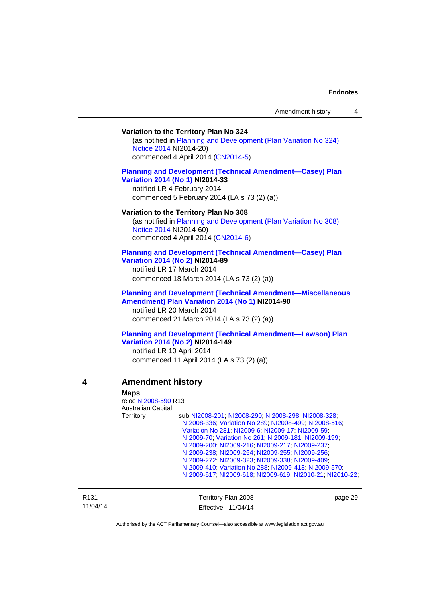#### **Variation to the Territory Plan No 324**

(as notified in [Planning and Development \(Plan Variation No 324\)](http://www.legislation.act.gov.au/ni/2014-20/default.asp)  [Notice 2014](http://www.legislation.act.gov.au/ni/2014-20/default.asp) NI2014-20) commenced 4 April 2014 ([CN2014-5](http://www.legislation.act.gov.au/cn/2014-5/default.asp))

### **[Planning and Development \(Technical Amendment—Casey\) Plan](http://www.legislation.act.gov.au/ni/2014-33/default.asp)  [Variation 2014 \(No 1\)](http://www.legislation.act.gov.au/ni/2014-33/default.asp) NI2014-33**

notified LR 4 February 2014 commenced 5 February 2014 (LA s 73 (2) (a))

#### **Variation to the Territory Plan No 308**

(as notified in [Planning and Development \(Plan Variation No 308\)](http://www.legislation.act.gov.au/ni/2014-60/default.asp)  [Notice 2014](http://www.legislation.act.gov.au/ni/2014-60/default.asp) NI2014-60) commenced 4 April 2014 ([CN2014-6](http://www.legislation.act.gov.au/cn/2014-6/default.asp))

#### **[Planning and Development \(Technical Amendment—Casey\) Plan](http://www.legislation.act.gov.au/ni/2014-89/default.asp)  [Variation 2014 \(No 2\)](http://www.legislation.act.gov.au/ni/2014-89/default.asp) NI2014-89**

notified LR 17 March 2014 commenced 18 March 2014 (LA s 73 (2) (a))

### **[Planning and Development \(Technical Amendment—Miscellaneous](http://www.legislation.act.gov.au/ni/2014-90/default.asp)  [Amendment\) Plan Variation 2014 \(No 1\)](http://www.legislation.act.gov.au/ni/2014-90/default.asp) NI2014-90**  notified LR 20 March 2014 commenced 21 March 2014 (LA s 73 (2) (a))

### **[Planning and Development \(Technical Amendment—Lawson\) Plan](http://www.legislation.act.gov.au/ni/2014-149/default.asp)  [Variation 2014 \(No 2\)](http://www.legislation.act.gov.au/ni/2014-149/default.asp) NI2014-149**

notified LR 10 April 2014 commenced 11 April 2014 (LA s 73 (2) (a))

### **4 Amendment history**

 **Maps** 

reloc [NI2008-590](http://www.legislation.act.gov.au/ni/2008-590/default.asp) R13 Australian Capital Territory sub [NI2008-201](http://www.legislation.act.gov.au/ni/2008-201/); [NI2008-290](http://www.legislation.act.gov.au/ni/2008-290/); [NI2008-298](http://www.legislation.act.gov.au/ni/2008-298/); [NI2008-328](http://www.legislation.act.gov.au/ni/2008-328/); [NI2008-336](http://www.legislation.act.gov.au/ni/2008-336/); [Variation No 289](http://www.legislation.act.gov.au/ni/2008-339/); [NI2008-499](http://www.legislation.act.gov.au/ni/2008-499/); [NI2008-516](http://www.legislation.act.gov.au/ni/2008-516/); [Variation No 281](http://www.legislation.act.gov.au/ni/2008-352/); [NI2009-6](http://www.legislation.act.gov.au/ni/2009-6/); [NI2009-17](http://www.legislation.act.gov.au/ni/2009-17/); [NI2009-59](http://www.legislation.act.gov.au/ni/2009-59/); [NI2009-70](http://www.legislation.act.gov.au/ni/2009-70/); [Variation No 261](http://www.legislation.act.gov.au/ni/2009-107/); [NI2009-181](http://www.legislation.act.gov.au/ni/2009-181/); [NI2009-199](http://www.legislation.act.gov.au/ni/2009-199/); [NI2009-200](http://www.legislation.act.gov.au/ni/2009-200/); [NI2009-216](http://www.legislation.act.gov.au/ni/2009-216/); [NI2009-217](http://www.legislation.act.gov.au/ni/2009-217/); [NI2009-237](http://www.legislation.act.gov.au/ni/2009-237/); [NI2009-238](http://www.legislation.act.gov.au/ni/2009-238/); [NI2009-254](http://www.legislation.act.gov.au/ni/2009-254/); [NI2009-255](http://www.legislation.act.gov.au/ni/2009-255/); [NI2009-256](http://www.legislation.act.gov.au/ni/2009-256/); [NI2009-272](http://www.legislation.act.gov.au/ni/2009-272/); [NI2009-323](http://www.legislation.act.gov.au/ni/2009-323/); [NI2009-338](http://www.legislation.act.gov.au/ni/2009-338/); [NI2009-409](http://www.legislation.act.gov.au/ni/2009-409/); [NI2009-410](http://www.legislation.act.gov.au/ni/2009-410/); [Variation No 288](http://www.legislation.act.gov.au/ni/2009-391/); [NI2009-418](http://www.legislation.act.gov.au/ni/2009-418/); [NI2009-570](http://www.legislation.act.gov.au/ni/2009-570/); [NI2009-617](http://www.legislation.act.gov.au/ni/2009-617/); [NI2009-618;](http://www.legislation.act.gov.au/ni/2009-618/) [NI2009-619;](http://www.legislation.act.gov.au/ni/2009-619/) [NI2010-21;](http://www.legislation.act.gov.au/ni/2010-21/) [NI2010-22](http://www.legislation.act.gov.au/ni/2010-22/);

| R131     |  |
|----------|--|
| 11/04/14 |  |

Territory Plan 2008 Effective: 11/04/14 page 29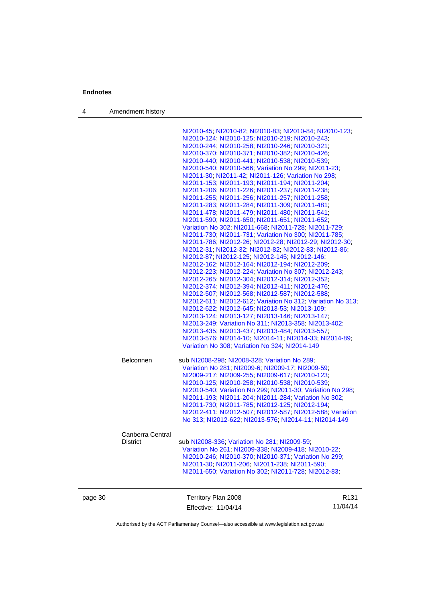4 Amendment history

| page 30 |                  | Territory Plan 2008<br>Effective: 11/04/14                                                                         | R <sub>131</sub><br>11/04/14 |
|---------|------------------|--------------------------------------------------------------------------------------------------------------------|------------------------------|
|         |                  | NI2011-30, NI2011-206, NI2011-238, NI2011-590,<br>NI2011-650; Variation No 302; NI2011-728; NI2012-83;             |                              |
|         |                  | NI2010-246; NI2010-370; NI2010-371; Variation No 299;                                                              |                              |
|         | District         | sub NI2008-336, Variation No 281, NI2009-59,<br>Variation No 261, NI2009-338, NI2009-418, NI2010-22,               |                              |
|         | Canberra Central |                                                                                                                    |                              |
|         |                  |                                                                                                                    |                              |
|         |                  | NI2012-411, NI2012-507, NI2012-587, NI2012-588, Variation<br>No 313; NI2012-622; NI2013-576; NI2014-11; NI2014-149 |                              |
|         |                  | NI2011-730; NI2011-785; NI2012-125; NI2012-194;                                                                    |                              |
|         |                  | NI2011-193; NI2011-204; NI2011-284; Variation No 302;                                                              |                              |
|         |                  | NI2010-540; Variation No 299; NI2011-30; Variation No 298;                                                         |                              |
|         |                  | NI2009-217, NI2009-255, NI2009-617, NI2010-123,<br>NI2010-125; NI2010-258; NI2010-538; NI2010-539;                 |                              |
|         |                  | Variation No 281, NI2009-6, NI2009-17, NI2009-59,                                                                  |                              |
|         | Belconnen        | sub NI2008-298; NI2008-328; Variation No 289;                                                                      |                              |
|         |                  |                                                                                                                    |                              |
|         |                  | Variation No 308, Variation No 324, NI2014-149                                                                     |                              |
|         |                  | NI2013-435; NI2013-437; NI2013-484; NI2013-557;<br>NI2013-576, NI2014-10, NI2014-11, NI2014-33, NI2014-89,         |                              |
|         |                  | NI2013-249; Variation No 311; NI2013-358; NI2013-402;                                                              |                              |
|         |                  | NI2013-124; NI2013-127; NI2013-146; NI2013-147;                                                                    |                              |
|         |                  | NI2012-622; NI2012-645; NI2013-53; NI2013-109;                                                                     |                              |
|         |                  | NI2012-611, NI2012-612, Variation No 312, Variation No 313,                                                        |                              |
|         |                  | NI2012-507, NI2012-568, NI2012-587, NI2012-588,                                                                    |                              |
|         |                  | NI2012-265; NI2012-304; NI2012-314; NI2012-352;<br>NI2012-374; NI2012-394; NI2012-411; NI2012-476;                 |                              |
|         |                  | NI2012-223; NI2012-224; Variation No 307; NI2012-243;                                                              |                              |
|         |                  | NI2012-162; NI2012-164; NI2012-194; NI2012-209;                                                                    |                              |
|         |                  | NI2012-87; NI2012-125; NI2012-145; NI2012-146;                                                                     |                              |
|         |                  | NI2012-31; NI2012-32; NI2012-82; NI2012-83; NI2012-86;                                                             |                              |
|         |                  | NI2011-786, NI2012-26, NI2012-28, NI2012-29, NI2012-30,                                                            |                              |
|         |                  | Variation No 302; NI2011-668; NI2011-728; NI2011-729;<br>NI2011-730; NI2011-731; Variation No 300; NI2011-785;     |                              |
|         |                  | NI2011-590; NI2011-650; NI2011-651; NI2011-652;                                                                    |                              |
|         |                  | NI2011-478, NI2011-479, NI2011-480, NI2011-541,                                                                    |                              |
|         |                  | NI2011-283; NI2011-284; NI2011-309; NI2011-481;                                                                    |                              |
|         |                  | NI2011-255, NI2011-256, NI2011-257, NI2011-258,                                                                    |                              |
|         |                  | NI2011-206, NI2011-226, NI2011-237, NI2011-238,                                                                    |                              |
|         |                  | NI2011-153, NI2011-193, NI2011-194, NI2011-204,                                                                    |                              |
|         |                  | NI2010-540; NI2010-566; Variation No 299; NI2011-23;<br>NI2011-30, NI2011-42, NI2011-126, Variation No 298,        |                              |
|         |                  | NI2010-440; NI2010-441; NI2010-538; NI2010-539;                                                                    |                              |
|         |                  | NI2010-370; NI2010-371; NI2010-382; NI2010-426;                                                                    |                              |
|         |                  | NI2010-244, NI2010-258, NI2010-246, NI2010-321,                                                                    |                              |
|         |                  | NI2010-124; NI2010-125; NI2010-219; NI2010-243;                                                                    |                              |
|         |                  | NI2010-45; NI2010-82; NI2010-83; NI2010-84; NI2010-123;                                                            |                              |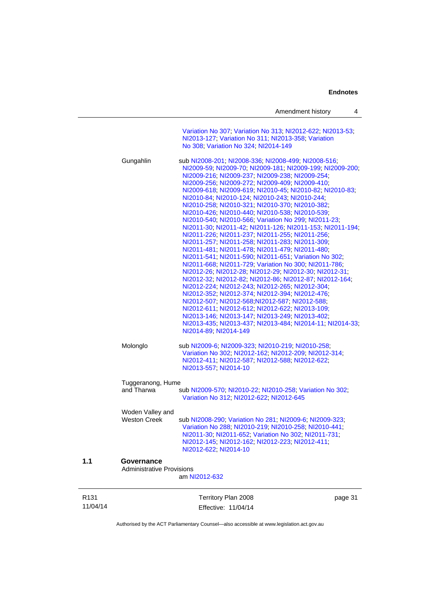|                              |                                         | Amendment history<br>4                                                                                                                                                                                                                                                                                                                                                                                                                                                                                                                                                                                                                                                                                                                                                                                                                                                                                                                                                                                                                                                                                                                                                                                                                                                                                               |
|------------------------------|-----------------------------------------|----------------------------------------------------------------------------------------------------------------------------------------------------------------------------------------------------------------------------------------------------------------------------------------------------------------------------------------------------------------------------------------------------------------------------------------------------------------------------------------------------------------------------------------------------------------------------------------------------------------------------------------------------------------------------------------------------------------------------------------------------------------------------------------------------------------------------------------------------------------------------------------------------------------------------------------------------------------------------------------------------------------------------------------------------------------------------------------------------------------------------------------------------------------------------------------------------------------------------------------------------------------------------------------------------------------------|
|                              |                                         | Variation No 307, Variation No 313, NI2012-622, NI2013-53,<br>NI2013-127; Variation No 311; NI2013-358; Variation<br>No 308; Variation No 324; NI2014-149                                                                                                                                                                                                                                                                                                                                                                                                                                                                                                                                                                                                                                                                                                                                                                                                                                                                                                                                                                                                                                                                                                                                                            |
|                              | Gungahlin                               | sub NI2008-201; NI2008-336; NI2008-499; NI2008-516;<br>NI2009-59, NI2009-70, NI2009-181, NI2009-199, NI2009-200,<br>NI2009-216, NI2009-237, NI2009-238, NI2009-254,<br>NI2009-256, NI2009-272, NI2009-409, NI2009-410,<br>NI2009-618, NI2009-619, NI2010-45, NI2010-82, NI2010-83,<br>NI2010-84, NI2010-124, NI2010-243, NI2010-244,<br>NI2010-258; NI2010-321; NI2010-370; NI2010-382;<br>NI2010-426, NI2010-440, NI2010-538, NI2010-539,<br>NI2010-540; NI2010-566; Variation No 299; NI2011-23;<br>NI2011-30, NI2011-42, NI2011-126, NI2011-153, NI2011-194,<br>NI2011-226, NI2011-237, NI2011-255, NI2011-256,<br>NI2011-257, NI2011-258, NI2011-283, NI2011-309,<br>NI2011-481, NI2011-478, NI2011-479, NI2011-480,<br>NI2011-541; NI2011-590; NI2011-651; Variation No 302;<br>NI2011-668, NI2011-729, Variation No 300, NI2011-786,<br>NI2012-26, NI2012-28, NI2012-29, NI2012-30, NI2012-31,<br>NI2012-32; NI2012-82; NI2012-86; NI2012-87; NI2012-164;<br>NI2012-224, NI2012-243, NI2012-265, NI2012-304,<br>NI2012-352, NI2012-374, NI2012-394, NI2012-476,<br>NI2012-507, NI2012-568, NI2012-587, NI2012-588,<br>NI2012-611, NI2012-612, NI2012-622, NI2013-109;<br>NI2013-146; NI2013-147; NI2013-249; NI2013-402;<br>NI2013-435, NI2013-437, NI2013-484, NI2014-11, NI2014-33,<br>NI2014-89, NI2014-149 |
|                              | Molonglo                                | sub NI2009-6; NI2009-323; NI2010-219; NI2010-258;<br>Variation No 302, NI2012-162, NI2012-209, NI2012-314,<br>NI2012-411; NI2012-587; NI2012-588; NI2012-622;<br>NI2013-557, NI2014-10                                                                                                                                                                                                                                                                                                                                                                                                                                                                                                                                                                                                                                                                                                                                                                                                                                                                                                                                                                                                                                                                                                                               |
|                              | Tuggeranong, Hume                       |                                                                                                                                                                                                                                                                                                                                                                                                                                                                                                                                                                                                                                                                                                                                                                                                                                                                                                                                                                                                                                                                                                                                                                                                                                                                                                                      |
|                              | and Tharwa                              | sub NI2009-570; NI2010-22; NI2010-258; Variation No 302;<br>Variation No 312, NI2012-622, NI2012-645                                                                                                                                                                                                                                                                                                                                                                                                                                                                                                                                                                                                                                                                                                                                                                                                                                                                                                                                                                                                                                                                                                                                                                                                                 |
|                              | Woden Valley and<br><b>Weston Creek</b> | sub NI2008-290; Variation No 281; NI2009-6; NI2009-323;<br>Variation No 288; NI2010-219; NI2010-258; NI2010-441;<br>NI2011-30; NI2011-652; Variation No 302; NI2011-731;<br>NI2012-145; NI2012-162; NI2012-223; NI2012-411;<br>NI2012-622; NI2014-10                                                                                                                                                                                                                                                                                                                                                                                                                                                                                                                                                                                                                                                                                                                                                                                                                                                                                                                                                                                                                                                                 |
| 1.1                          | Governance                              |                                                                                                                                                                                                                                                                                                                                                                                                                                                                                                                                                                                                                                                                                                                                                                                                                                                                                                                                                                                                                                                                                                                                                                                                                                                                                                                      |
|                              | <b>Administrative Provisions</b>        | am NI2012-632                                                                                                                                                                                                                                                                                                                                                                                                                                                                                                                                                                                                                                                                                                                                                                                                                                                                                                                                                                                                                                                                                                                                                                                                                                                                                                        |
| R <sub>131</sub><br>11/04/14 |                                         | Territory Plan 2008<br>page 31<br>Effective: 11/04/14                                                                                                                                                                                                                                                                                                                                                                                                                                                                                                                                                                                                                                                                                                                                                                                                                                                                                                                                                                                                                                                                                                                                                                                                                                                                |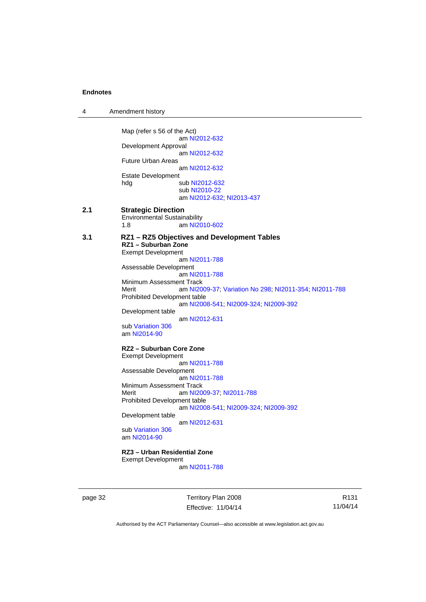4 Amendment history

|     | Map (refer s 56 of the Act)                                                                                                                                                 |
|-----|-----------------------------------------------------------------------------------------------------------------------------------------------------------------------------|
|     | am NI2012-632<br>Development Approval<br>am NI2012-632                                                                                                                      |
|     | <b>Future Urban Areas</b>                                                                                                                                                   |
|     | am NI2012-632<br><b>Estate Development</b>                                                                                                                                  |
|     | sub NI2012-632<br>hdg<br>sub NI2010-22<br>am NI2012-632, NI2013-437                                                                                                         |
| 2.1 | <b>Strategic Direction</b><br><b>Environmental Sustainability</b><br>am NI2010-602<br>1.8                                                                                   |
| 3.1 | RZ1 - RZ5 Objectives and Development Tables<br>RZ1 - Suburban Zone<br><b>Exempt Development</b>                                                                             |
|     | am NI2011-788<br>Assessable Development<br>am NI2011-788                                                                                                                    |
|     | Minimum Assessment Track<br>Merit<br>am NI2009-37; Variation No 298; NI2011-354; NI2011-788<br><b>Prohibited Development table</b><br>am NI2008-541, NI2009-324, NI2009-392 |
|     | Development table<br>am NI2012-631                                                                                                                                          |
|     | sub Variation 306<br>am NI2014-90                                                                                                                                           |
|     | RZ2 - Suburban Core Zone<br><b>Exempt Development</b><br>am NI2011-788                                                                                                      |
|     | Assessable Development<br>am NI2011-788                                                                                                                                     |
|     | Minimum Assessment Track<br>Merit<br>am NI2009-37; NI2011-788                                                                                                               |
|     | <b>Prohibited Development table</b><br>am NI2008-541; NI2009-324; NI2009-392<br>Development table                                                                           |
|     | am NI2012-631<br>sub Variation 306<br>am NI2014-90                                                                                                                          |
|     | RZ3 - Urban Residential Zone<br><b>Exempt Development</b><br>am NI2011-788                                                                                                  |
|     |                                                                                                                                                                             |

page 32 Territory Plan 2008 Effective: 11/04/14

R131 11/04/14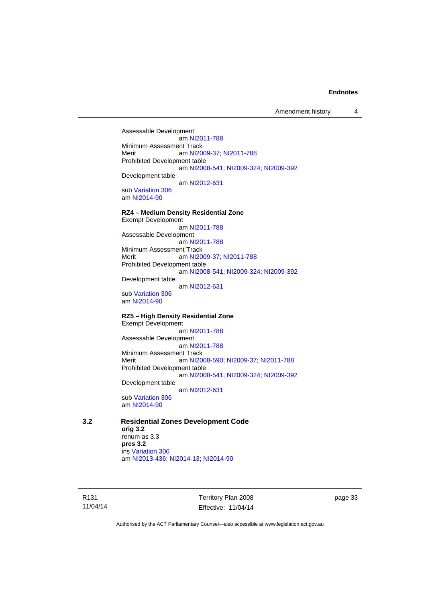Amendment history 4

Assessable Development am [NI2011-788](http://www.legislation.act.gov.au/ni/2011-788/) Minimum Assessment Track<br>Merit am NI20 am [NI2009-37](http://www.legislation.act.gov.au/ni/2009-37/); [NI2011-788](http://www.legislation.act.gov.au/ni/2011-788/) Prohibited Development table am [NI2008-541](http://www.legislation.act.gov.au/ni/2008-541/); [NI2009-324](http://www.legislation.act.gov.au/ni/2009-324/); [NI2009-392](http://www.legislation.act.gov.au/ni/2009-392/) Development table am [NI2012-631](http://www.legislation.act.gov.au/ni/2012-631/default.asp) sub [Variation 306](http://www.legislation.act.gov.au/ni/2013-93/default.asp) am [NI2014-90](http://www.legislation.act.gov.au/ni/2014-90/default.asp) **RZ4 – Medium Density Residential Zone**  Exempt Development am [NI2011-788](http://www.legislation.act.gov.au/ni/2011-788/) Assessable Development am [NI2011-788](http://www.legislation.act.gov.au/ni/2011-788/) Minimum Assessment Track Merit am [NI2009-37](http://www.legislation.act.gov.au/ni/2009-37/); [NI2011-788](http://www.legislation.act.gov.au/ni/2011-788/)

Prohibited Development table am [NI2008-541](http://www.legislation.act.gov.au/ni/2008-541/); [NI2009-324](http://www.legislation.act.gov.au/ni/2009-324/); [NI2009-392](http://www.legislation.act.gov.au/ni/2009-392/) Development table

am [NI2012-631](http://www.legislation.act.gov.au/ni/2012-631/default.asp)

sub [Variation 306](http://www.legislation.act.gov.au/ni/2013-93/default.asp) am [NI2014-90](http://www.legislation.act.gov.au/ni/2014-90/default.asp)

#### **RZ5 – High Density Residential Zone**  Exempt Development

 am [NI2011-788](http://www.legislation.act.gov.au/ni/2011-788/) Assessable Development am [NI2011-788](http://www.legislation.act.gov.au/ni/2011-788/) Minimum Assessment Track Merit am [NI2008-590](http://www.legislation.act.gov.au/ni/2008-590/default.asp); [NI2009-37](http://www.legislation.act.gov.au/ni/2009-37/); [NI2011-788](http://www.legislation.act.gov.au/ni/2011-788/) Prohibited Development table am [NI2008-541](http://www.legislation.act.gov.au/ni/2008-541/); [NI2009-324](http://www.legislation.act.gov.au/ni/2009-324/); [NI2009-392](http://www.legislation.act.gov.au/ni/2009-392/) Development table

am [NI2012-631](http://www.legislation.act.gov.au/ni/2012-631/default.asp)

sub [Variation 306](http://www.legislation.act.gov.au/ni/2013-93/default.asp) am [NI2014-90](http://www.legislation.act.gov.au/ni/2014-90/default.asp)

### **3.2 Residential Zones Development Code**

**orig 3.2**  renum as 3.3 **pres 3.2**  ins [Variation 306](http://www.legislation.act.gov.au/ni/2013-93/default.asp) am [NI2013-436](http://www.legislation.act.gov.au/ni/2013-436/default.asp); [NI2014-13](http://www.legislation.act.gov.au/ni/2014-13/default.asp); [NI2014-90](http://www.legislation.act.gov.au/ni/2014-90/default.asp)

R131 11/04/14 Territory Plan 2008 Effective: 11/04/14 page 33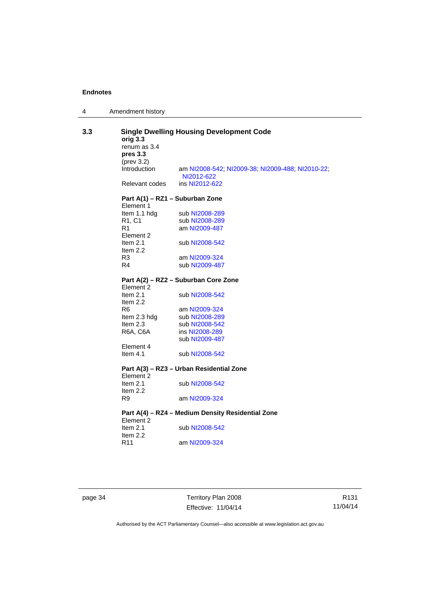| Amendment history |  |
|-------------------|--|
|                   |  |

| <b>Single Dwelling Housing Development Code</b><br>3.3<br>orig 3.3<br>renum as 3.4<br>pres 3.3 |                                              |                                                                |  |
|------------------------------------------------------------------------------------------------|----------------------------------------------|----------------------------------------------------------------|--|
|                                                                                                | (prev 3.2)<br>Introduction                   | am NI2008-542; NI2009-38; NI2009-488; NI2010-22;<br>NI2012-622 |  |
|                                                                                                | Relevant codes                               | ins NI2012-622                                                 |  |
|                                                                                                | Part A(1) – RZ1 – Suburban Zone<br>Element 1 |                                                                |  |
|                                                                                                | Item 1.1 hdg                                 | sub NI2008-289                                                 |  |
|                                                                                                | R1, C1                                       | sub NI2008-289                                                 |  |
|                                                                                                | R1                                           | am NI2009-487                                                  |  |
|                                                                                                | Element 2                                    |                                                                |  |
|                                                                                                | Item $2.1$<br>Item $2.2$                     | sub NI2008-542                                                 |  |
|                                                                                                | R3                                           | am NI2009-324                                                  |  |
|                                                                                                | R4                                           | sub NI2009-487                                                 |  |
|                                                                                                |                                              |                                                                |  |
|                                                                                                | Element 2                                    | Part A(2) - RZ2 - Suburban Core Zone                           |  |
|                                                                                                | Item $2.1$<br>Item 2.2                       | sub NI2008-542                                                 |  |
|                                                                                                | R6                                           | am NI2009-324                                                  |  |
|                                                                                                | Item 2.3 hdg                                 | sub NI2008-289                                                 |  |
|                                                                                                | Item $2.3$                                   | sub NI2008-542                                                 |  |
|                                                                                                | R6A, C6A                                     | ins NI2008-289                                                 |  |
|                                                                                                |                                              | sub NI2009-487                                                 |  |
|                                                                                                | Element 4                                    |                                                                |  |
|                                                                                                | Item $4.1$                                   | sub NI2008-542                                                 |  |
|                                                                                                |                                              | Part A(3) - RZ3 - Urban Residential Zone                       |  |
|                                                                                                | Element 2<br>Item $2.1$<br>Item $2.2$        | sub NI2008-542                                                 |  |
|                                                                                                | R9                                           | am NI2009-324                                                  |  |
|                                                                                                | Element 2                                    | Part A(4) - RZ4 - Medium Density Residential Zone              |  |
|                                                                                                | Item $2.1$<br>Item $2.2$                     | sub NI2008-542                                                 |  |
|                                                                                                | R11                                          | am NI2009-324                                                  |  |
|                                                                                                |                                              |                                                                |  |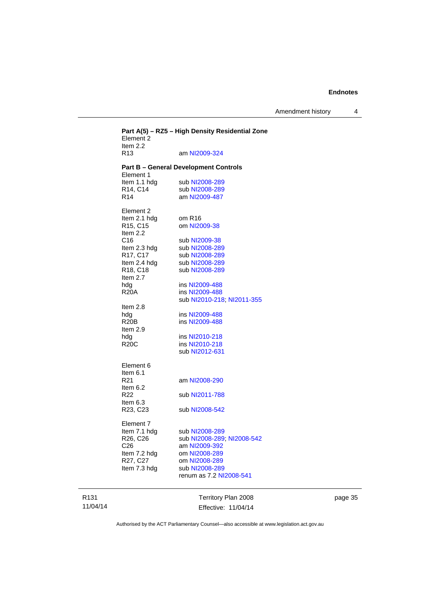Amendment history 4

|                                                                                                                                                                                                                                                                                                                                                                                                                                                                                                                                                           | Part A(5) - RZ5 - High Density Residential Zone |
|-----------------------------------------------------------------------------------------------------------------------------------------------------------------------------------------------------------------------------------------------------------------------------------------------------------------------------------------------------------------------------------------------------------------------------------------------------------------------------------------------------------------------------------------------------------|-------------------------------------------------|
| <b>Part B - General Development Controls</b><br>Element 1<br>Item 1.1 hdg<br>sub NI2008-289<br>R14, C14<br>sub NI2008-289                                                                                                                                                                                                                                                                                                                                                                                                                                 |                                                 |
| R <sub>14</sub><br>am NI2009-487<br>Element 2<br>Item 2.1 hdg<br>om R <sub>16</sub><br>R15, C15<br>om NI2009-38<br>Item 2.2<br>C16<br>sub NI2009-38<br>Item 2.3 hdg<br>sub NI2008-289<br>R17, C17<br>sub NI2008-289<br>Item 2.4 hdg<br>sub NI2008-289<br>R18, C18<br>sub NI2008-289<br>Item 2.7<br>hdg<br>ins NI2009-488<br><b>R20A</b><br>ins NI2009-488<br>sub NI2010-218; NI2011-355<br>Item $2.8$<br>ins NI2009-488<br>hda<br><b>R20B</b><br>ins NI2009-488<br>Item $2.9$<br>hda<br>ins NI2010-218<br><b>R20C</b><br>ins NI2010-218<br>sub NI2012-631 |                                                 |
| Element 6<br>Item 6.1<br>R21<br>am NI2008-290<br>Item 6.2<br>R <sub>22</sub><br>sub NI2011-788<br>Item 6.3<br>R23, C23<br>sub NI2008-542<br>Element 7<br>Item 7.1 hdg<br>sub NI2008-289<br>R <sub>26</sub> , C <sub>26</sub><br>sub NI2008-289, NI2008-542<br>C26<br>am NI2009-392<br>Item 7.2 hdg<br>om NI2008-289<br>R27, C27<br>om NI2008-289<br>Item 7.3 hdg<br>sub NI2008-289<br>renum as 7.2 NI2008-541                                                                                                                                             |                                                 |

R131 11/04/14

Territory Plan 2008 Effective: 11/04/14 page 35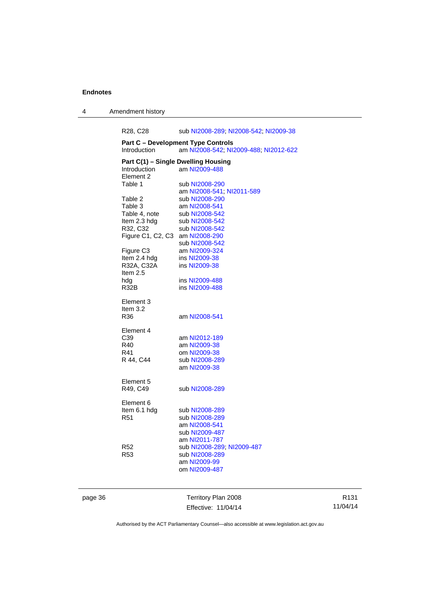4 Amendment history

R28, C28 sub [NI2008-289](http://www.legislation.act.gov.au/ni/2008-289/); [NI2008-542](http://www.legislation.act.gov.au/ni/2008-542/); [NI2009-38](http://www.legislation.act.gov.au/ni/2009-38/) **Part C – Development Type Controls**  Introduction am [NI2008-542](http://www.legislation.act.gov.au/ni/2008-542/); [NI2009-488](http://www.legislation.act.gov.au/ni/2009-488/); [NI2012-622](http://www.legislation.act.gov.au/ni/2012-622/default.asp) **Part C(1) – Single Dwelling Housing<br>Introduction am NI2009-488** am [NI2009-488](http://www.legislation.act.gov.au/ni/2009-488/) Element 2<br>Table 1 sub [NI2008-290](http://www.legislation.act.gov.au/ni/2008-290/) am [NI2008-541](http://www.legislation.act.gov.au/ni/2008-541/); [NI2011-589](http://www.legislation.act.gov.au/ni/2011-589/)<br>Table 2 sub NI2008-290 sub [NI2008-290](http://www.legislation.act.gov.au/ni/2008-290/) Table 3 am [NI2008-541](http://www.legislation.act.gov.au/ni/2008-541/) Table 4, note sub [NI2008-542](http://www.legislation.act.gov.au/ni/2008-542/)<br>Item 2.3 hdg sub NI2008-542 sub [NI2008-542](http://www.legislation.act.gov.au/ni/2008-542/) R32, C32 sub [NI2008-542](http://www.legislation.act.gov.au/ni/2008-542/) Figure C1, C2, C3 am [NI2008-290](http://www.legislation.act.gov.au/ni/2008-290/) sub [NI2008-542](http://www.legislation.act.gov.au/ni/2008-542/) Figure C3 am [NI2009-324](http://www.legislation.act.gov.au/ni/2009-324/) Item 2.4 hdg ins [NI2009-38](http://www.legislation.act.gov.au/ni/2009-38/)<br>R32A, C32A ins NI2009-38 ins [NI2009-38](http://www.legislation.act.gov.au/ni/2009-38/) Item 2.5 hdg ins [NI2009-488](http://www.legislation.act.gov.au/ni/2009-488/)<br>R32B ins NI2009-488 ins [NI2009-488](http://www.legislation.act.gov.au/ni/2009-488/) Element 3 Item 3.2<br>R36 am [NI2008-541](http://www.legislation.act.gov.au/ni/2008-541/) Element 4 C39 am [NI2012-189](http://www.legislation.act.gov.au/ni/2012-189/) R40 am [NI2009-38](http://www.legislation.act.gov.au/ni/2009-38/) R41 om [NI2009-38](http://www.legislation.act.gov.au/ni/2009-38/) R 44, C44 sub [NI2008-289](http://www.legislation.act.gov.au/ni/2008-289/) am [NI2009-38](http://www.legislation.act.gov.au/ni/2009-38/) Element 5<br>R49, C49 sub [NI2008-289](http://www.legislation.act.gov.au/ni/2008-289/) Element 6<br>Item 6.1 hdg Item 6.1 hdg sub [NI2008-289](http://www.legislation.act.gov.au/ni/2008-289/)<br>R51 sub NI2008-289 sub [NI2008-289](http://www.legislation.act.gov.au/ni/2008-289/) am [NI2008-541](http://www.legislation.act.gov.au/ni/2008-541/) sub [NI2009-487](http://www.legislation.act.gov.au/ni/2009-487/) am [NI2011-787](http://www.legislation.act.gov.au/ni/2011-787/) R52 sub [NI2008-289](http://www.legislation.act.gov.au/ni/2008-289/); [NI2009-487](http://www.legislation.act.gov.au/ni/2009-487/) sub [NI2008-289](http://www.legislation.act.gov.au/ni/2008-289/) am [NI2009-99](http://www.legislation.act.gov.au/ni/2009-99/) om [NI2009-487](http://www.legislation.act.gov.au/ni/2009-487/)

page 36 Territory Plan 2008 Effective: 11/04/14

R131 11/04/14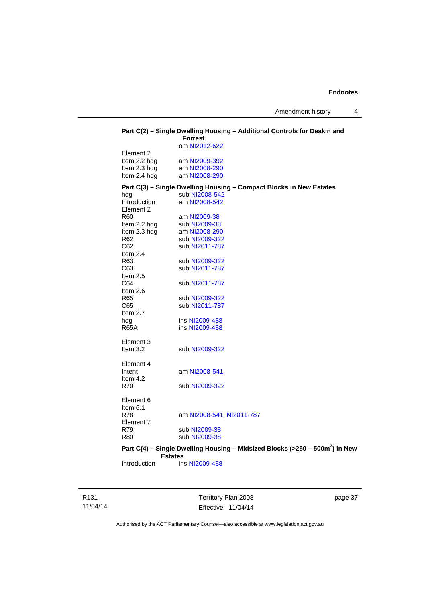|                     | Part C(2) - Single Dwelling Housing - Additional Controls for Deakin and<br><b>Forrest</b> |
|---------------------|--------------------------------------------------------------------------------------------|
|                     | om NI2012-622                                                                              |
| Element 2           |                                                                                            |
| Item 2.2 hdg        | am NI2009-392                                                                              |
| Item 2.3 hdg        | am NI2008-290                                                                              |
| Item 2.4 hdg        | am NI2008-290                                                                              |
|                     | Part C(3) - Single Dwelling Housing - Compact Blocks in New Estates                        |
| hdg                 | sub NI2008-542                                                                             |
| <b>Introduction</b> | am NI2008-542                                                                              |
| Element 2           |                                                                                            |
| R60                 | am NI2009-38                                                                               |
| Item 2.2 hdg        | sub NI2009-38                                                                              |
| Item 2.3 hdg        | am NI2008-290                                                                              |
| R62                 | sub NI2009-322                                                                             |
| C62                 | sub NI2011-787                                                                             |
| Item $2.4$          |                                                                                            |
| R63                 | sub NI2009-322                                                                             |
| C63                 | sub NI2011-787                                                                             |
| Item $2.5$          |                                                                                            |
| C64                 | sub NI2011-787                                                                             |
| Item $2.6$          |                                                                                            |
| R <sub>65</sub>     | sub NI2009-322                                                                             |
| C65                 | sub NI2011-787                                                                             |
| Item $2.7$          |                                                                                            |
| hdg                 | ins NI2009-488                                                                             |
| <b>R65A</b>         | ins NI2009-488                                                                             |
|                     |                                                                                            |
| Element 3           |                                                                                            |
| Item $3.2$          | sub NI2009-322                                                                             |
|                     |                                                                                            |
| Element 4           |                                                                                            |
| Intent              | am NI2008-541                                                                              |
| Item $4.2$          |                                                                                            |
| <b>R70</b>          | sub NI2009-322                                                                             |
| Element 6           |                                                                                            |
| Item $6.1$          |                                                                                            |
| <b>R78</b>          | am NI2008-541; NI2011-787                                                                  |
| Element 7           |                                                                                            |
| R79                 | sub NI2009-38                                                                              |
| <b>R80</b>          | sub NI2009-38                                                                              |
|                     |                                                                                            |
| <b>Estates</b>      | Part C(4) - Single Dwelling Housing - Midsized Blocks (>250 - 500m <sup>2</sup> ) in New   |
| Introduction        | ins NI2009-488                                                                             |
|                     |                                                                                            |
|                     |                                                                                            |

R131 11/04/14 Territory Plan 2008 Effective: 11/04/14

page 37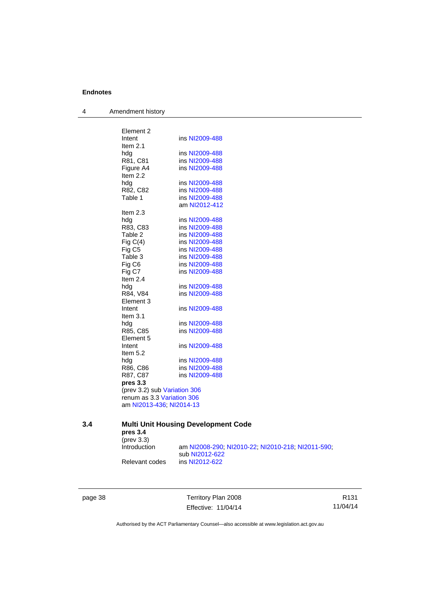4 Amendment history

| Element 2                    |                |
|------------------------------|----------------|
| Intent                       | ins NI2009-488 |
| Item $2.1$                   |                |
| hdq<br>R81, C81              | ins NI2009-488 |
|                              | ins NI2009-488 |
| Figure A4<br>Item 2.2        | ins NI2009-488 |
| hdg                          | ins NI2009-488 |
| R82, C82                     | ins NI2009-488 |
| Table 1                      | ins NI2009-488 |
|                              | am NI2012-412  |
| Item $2.3$                   |                |
| hdg                          | ins NI2009-488 |
| R83, C83                     | ins NI2009-488 |
| Table 2                      | ins NI2009-488 |
| Fig $C(4)$                   | ins NI2009-488 |
| Fig C <sub>5</sub>           | ins NI2009-488 |
| Table 3                      | ins NI2009-488 |
| Fig C6                       | ins NI2009-488 |
| Fig C7                       | ins NI2009-488 |
| Item $2.4$                   |                |
| hda                          | ins NI2009-488 |
| R84, V84                     | ins NI2009-488 |
| Element 3                    |                |
| Intent                       | ins NI2009-488 |
| Item $3.1$                   |                |
| hdg                          | ins NI2009-488 |
| R85, C85                     | ins NI2009-488 |
| Element 5<br>Intent          | ins NI2009-488 |
| Item 5.2                     |                |
| hda                          | ins NI2009-488 |
| R86, C86                     | ins NI2009-488 |
| R87, C87                     | ins NI2009-488 |
| pres 3.3                     |                |
| (prev 3.2) sub Variation 306 |                |
| renum as 3.3 Variation 306   |                |
| am NI2013-436; NI2014-13     |                |

# **3.4 Multi Unit Housing Development Code**

**pres 3.4**  (prev 3.3)

Introduction am [NI2008-290](http://www.legislation.act.gov.au/ni/2008-290/); [NI2010-22](http://www.legislation.act.gov.au/ni/2010-22/); [NI2010-218](http://www.legislation.act.gov.au/ni/2010-218/); [NI2011-590](http://www.legislation.act.gov.au/ni/2011-590/); sub [NI2012-622](http://www.legislation.act.gov.au/ni/2012-622/default.asp)<br>Relevant codes ins NI2012-622 ins [NI2012-622](http://www.legislation.act.gov.au/ni/2012-622/default.asp)

page 38 Territory Plan 2008 Effective: 11/04/14

R131 11/04/14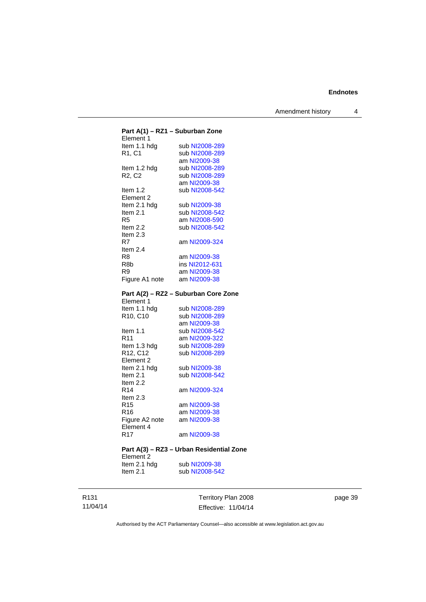Amendment history 4

| Part A(1) - RZ1 - Suburban Zone          |                                      |  |  |
|------------------------------------------|--------------------------------------|--|--|
| Element 1                                |                                      |  |  |
| Item 1.1 hdg                             | sub NI2008-289                       |  |  |
| R1, C1                                   | sub NI2008-289                       |  |  |
|                                          | am NI2009-38                         |  |  |
| Item 1.2 hdg                             | sub NI2008-289                       |  |  |
| R <sub>2</sub> , C <sub>2</sub>          | sub NI2008-289                       |  |  |
|                                          | am NI2009-38                         |  |  |
| Item 1.2                                 | sub NI2008-542                       |  |  |
| Element 2                                |                                      |  |  |
|                                          |                                      |  |  |
| Item 2.1 hdg                             | sub NI2009-38                        |  |  |
| Item 2.1                                 | sub NI2008-542                       |  |  |
| R <sub>5</sub>                           | am NI2008-590                        |  |  |
| Item 2.2                                 | sub NI2008-542                       |  |  |
| Item 2.3                                 |                                      |  |  |
| R7                                       | am NI2009-324                        |  |  |
| Item $2.4$                               |                                      |  |  |
| R8                                       | am NI2009-38                         |  |  |
| R8b                                      | ins NI2012-631                       |  |  |
| R9                                       | am NI2009-38                         |  |  |
| Figure A1 note am NI2009-38              |                                      |  |  |
|                                          |                                      |  |  |
|                                          |                                      |  |  |
|                                          | Part A(2) - RZ2 - Suburban Core Zone |  |  |
| Element 1                                |                                      |  |  |
| Item 1.1 hdg                             | sub NI2008-289                       |  |  |
| R10, C10                                 | sub NI2008-289                       |  |  |
|                                          | am NI2009-38                         |  |  |
| Item 1.1                                 | sub NI2008-542                       |  |  |
| R11                                      | am NI2009-322                        |  |  |
| Item 1.3 hdg                             | sub NI2008-289                       |  |  |
| R12, C12                                 | sub NI2008-289                       |  |  |
| Element 2                                |                                      |  |  |
| Item 2.1 hdg                             | sub NI2009-38                        |  |  |
| Item $2.1$                               | sub NI2008-542                       |  |  |
| Item 2.2                                 |                                      |  |  |
| R14                                      | am NI2009-324                        |  |  |
| Item 2.3                                 |                                      |  |  |
|                                          |                                      |  |  |
| R15                                      | am NI2009-38                         |  |  |
| R16                                      | am NI2009-38                         |  |  |
| Figure A2 note am NI2009-38              |                                      |  |  |
| Element 4                                |                                      |  |  |
| R <sub>17</sub>                          | am NI2009-38                         |  |  |
|                                          |                                      |  |  |
| Part A(3) - RZ3 - Urban Residential Zone |                                      |  |  |
| Element 2                                |                                      |  |  |
|                                          |                                      |  |  |

# Item 2.1 hdg sub [NI2009-38](http://www.legislation.act.gov.au/ni/2009-38/)<br>Item 2.1 sub NI2008-542 sub [NI2008-542](http://www.legislation.act.gov.au/ni/2008-542/)

R131 11/04/14

Territory Plan 2008 Effective: 11/04/14 page 39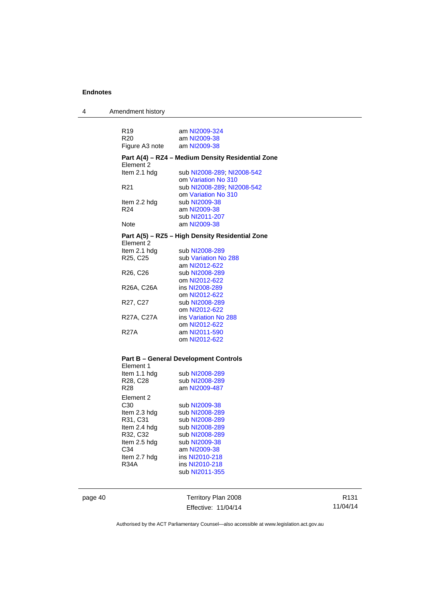4 Amendment history

| R <sub>19</sub><br>R <sub>20</sub> | am NI2009-324                                     |
|------------------------------------|---------------------------------------------------|
|                                    | am NI2009-38                                      |
| Figure A3 note am NI2009-38        |                                                   |
| Element 2                          | Part A(4) - RZ4 - Medium Density Residential Zone |
| ltem 2.1 hdg                       | sub NI2008-289, NI2008-542                        |
|                                    | om Variation No 310                               |
| R <sub>21</sub>                    | sub NI2008-289, NI2008-542                        |
|                                    | om Variation No 310                               |
| Item 2.2 hdg                       | sub NI2009-38                                     |
| R <sub>24</sub>                    | am NI2009-38                                      |
|                                    | sub NI2011-207                                    |
| Note                               | am NI2009-38                                      |
| Element 2                          | Part A(5) – RZ5 – High Density Residential Zone   |
| ltem 2.1 hdg                       | sub NI2008-289                                    |
| R25, C25                           | sub Variation No 288                              |
|                                    | am NI2012-622                                     |
| R <sub>26</sub> , C <sub>26</sub>  | sub NI2008-289                                    |
|                                    | om NI2012-622                                     |
| R26A, C26A                         | ins NI2008-289                                    |
|                                    | om NI2012-622                                     |
| R <sub>27</sub> , C <sub>27</sub>  | sub NI2008-289                                    |
|                                    | om NI2012-622                                     |
| R27A, C27A                         | ins Variation No 288                              |
|                                    | om NI2012-622                                     |
| <b>R27A</b>                        | am NI2011-590                                     |
|                                    | om NI2012-622                                     |

# **– General Development Controls<br>'' <sup>1</sup>**

| Element 1    |                |
|--------------|----------------|
| Item 1.1 hdg | sub NI2008-289 |
| R28, C28     | sub NI2008-289 |
| R28          | am NI2009-487  |
| Element 2    |                |
| C30          | sub NI2009-38  |
| Item 2.3 hdg | sub NI2008-289 |
| R31, C31     | sub NI2008-289 |
| Item 2.4 hdg | sub NI2008-289 |
| R32, C32     | sub NI2008-289 |
| Item 2.5 hdg | sub NI2009-38  |
| C34          | am NI2009-38   |
| Item 2.7 hdg | ins NI2010-218 |
| R34A         | ins NI2010-218 |
|              | sub NI2011-355 |
|              |                |

page 40 Territory Plan 2008 Effective: 11/04/14

R131 11/04/14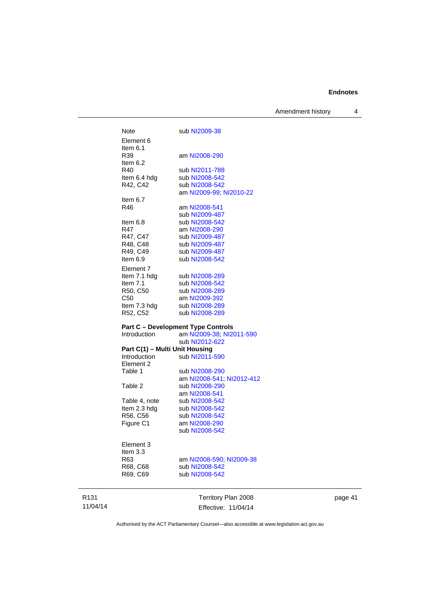Amendment history 4

| Note                                           | sub NI2009-38                               |
|------------------------------------------------|---------------------------------------------|
| Element 6                                      |                                             |
| Item $6.1$                                     |                                             |
| R39                                            | am NI2008-290                               |
| Item 6.2                                       |                                             |
| R40                                            | sub NI2011-788                              |
| Item 6.4 hdg                                   | sub NI2008-542                              |
| R42, C42                                       | sub NI2008-542                              |
|                                                | am NI2009-99, NI2010-22                     |
| Item $6.7$                                     |                                             |
| R46                                            | am NI2008-541                               |
|                                                | sub NI2009-487                              |
| Item 6.8                                       | sub NI2008-542                              |
| R47                                            | am NI2008-290                               |
| R47, C47                                       | sub NI2009-487                              |
| R48, C48                                       | sub NI2009-487                              |
| R49, C49                                       | sub NI2009-487                              |
| Item 6.9                                       | sub NI2008-542                              |
| Element 7                                      |                                             |
| Item 7.1 hdg                                   | sub NI2008-289                              |
| Item $7.1$                                     | sub NI2008-542                              |
| R50, C50                                       | sub NI2008-289                              |
| C <sub>50</sub>                                | am NI2009-392                               |
| Item 7.3 hdg                                   | sub NI2008-289                              |
| R52, C52                                       | sub NI2008-289                              |
|                                                |                                             |
|                                                | <b>Part C - Development Type Controls</b>   |
| Introduction                                   | am NI2009-38; NI2011-590                    |
|                                                | sub NI2012-622                              |
| Part C(1) - Multi Unit Housing<br>Introduction | sub NI2011-590                              |
| Element 2                                      |                                             |
| Table 1                                        |                                             |
|                                                |                                             |
| Table 2                                        | am NI2008-541; NI2012-412<br>sub NI2008-290 |
|                                                | am NI2008-541                               |
| Table 4, note                                  | sub NI2008-542                              |
| Item 2.3 hdg                                   | sub NI2008-542                              |
| R56, C56                                       | sub NI2008-542                              |
| Figure C1                                      | am NI2008-290                               |
|                                                | sub NI2008-542                              |
|                                                |                                             |
| Element 3                                      |                                             |
| Item 3.3                                       |                                             |
| R63                                            | am NI2008-590; NI2009-38                    |
| R68, C68                                       | sub NI2008-542                              |
| R69, C69                                       | sub NI2008-542                              |
|                                                |                                             |
|                                                |                                             |
|                                                | Territory Plan 2008                         |

page 41

Authorised by the ACT Parliamentary Counsel—also accessible at www.legislation.act.gov.au

Effective: 11/04/14

R131 11/04/14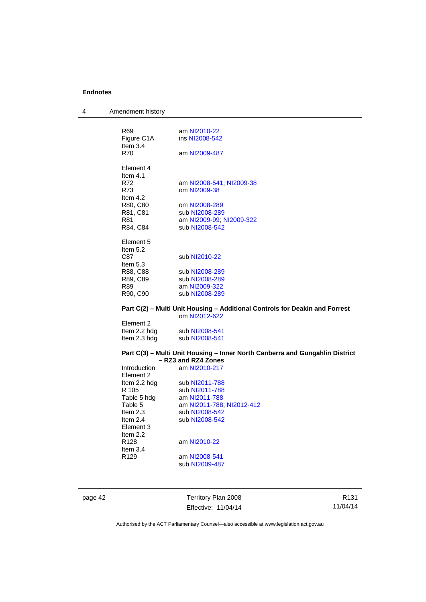4 Amendment history

| R <sub>69</sub> | am NI2010-22                                                                    |
|-----------------|---------------------------------------------------------------------------------|
| Figure C1A      | ins NI2008-542                                                                  |
| Item $3.4$      |                                                                                 |
| <b>R70</b>      | am NI2009-487                                                                   |
| Element 4       |                                                                                 |
| Item $4.1$      |                                                                                 |
| R72             | am NI2008-541; NI2009-38                                                        |
| R73             | om NI2009-38                                                                    |
| Item $4.2$      |                                                                                 |
| R80, C80        | om NI2008-289                                                                   |
| R81, C81        | sub NI2008-289                                                                  |
| R81             | am NI2009-99; NI2009-322                                                        |
| R84, C84        | sub NI2008-542                                                                  |
|                 |                                                                                 |
| Element 5       |                                                                                 |
| Item $5.2$      |                                                                                 |
| C87             | sub NI2010-22                                                                   |
| Item $5.3$      |                                                                                 |
| R88, C88        | sub NI2008-289                                                                  |
| R89, C89        | sub NI2008-289                                                                  |
| R89             | am NI2009-322                                                                   |
| R90, C90        | sub NI2008-289                                                                  |
|                 | Part C(2) – Multi Unit Housing – Additional Controls for Deakin and Forrest     |
|                 | om NI2012-622                                                                   |
| Element 2       |                                                                                 |
| Item 2.2 hdg    | sub NI2008-541                                                                  |
| Item 2.3 hdg    | sub NI2008-541                                                                  |
|                 |                                                                                 |
|                 | <b>Dout C(3)</b> Multi Unit Hausing Inner Nauth Canhorne and Cungablin District |

#### **Part C(3) – Multi Unit Housing – Inner North Canberra and Gungahlin District – RZ3 and RZ4 Zones**

| Introduction     | am NI2010-217             |
|------------------|---------------------------|
| Element 2        |                           |
| Item 2.2 hda     | sub NI2011-788            |
| R 105            | sub NI2011-788            |
| Table 5 hdg      | am NI2011-788             |
| Table 5          | am NI2011-788; NI2012-412 |
| Item $2.3$       | sub NI2008-542            |
| Item $2.4$       | sub NI2008-542            |
| Element 3        |                           |
| Item $2.2$       |                           |
| R128             | am NI2010-22              |
| Item $3.4$       |                           |
| R <sub>129</sub> | am NI2008-541             |
|                  | sub NI2009-487            |
|                  |                           |

page 42 Territory Plan 2008 Effective: 11/04/14

R131 11/04/14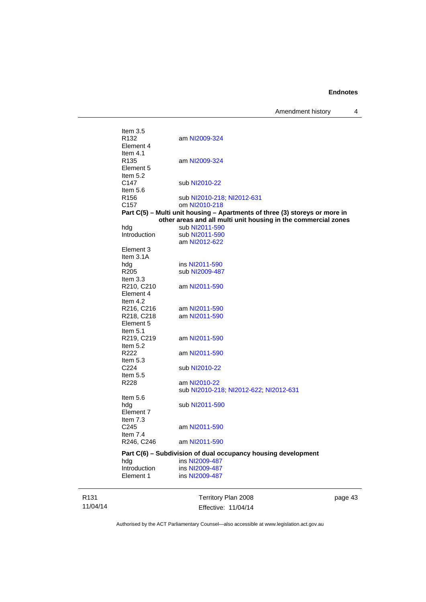Amendment history 4

| Item $3.5$       |                                                                             |
|------------------|-----------------------------------------------------------------------------|
| R <sub>132</sub> | am NI2009-324                                                               |
| Element 4        |                                                                             |
| Item $4.1$       |                                                                             |
| R <sub>135</sub> | am NI2009-324                                                               |
| Element 5        |                                                                             |
| Item $5.2$       |                                                                             |
| C147             | sub NI2010-22                                                               |
| Item $5.6$       |                                                                             |
| R <sub>156</sub> | sub NI2010-218, NI2012-631                                                  |
| C <sub>157</sub> |                                                                             |
|                  | om NI2010-218                                                               |
|                  | Part C(5) - Multi unit housing - Apartments of three (3) storeys or more in |
|                  | other areas and all multi unit housing in the commercial zones              |
| hdg              | sub NI2011-590                                                              |
| Introduction     | sub NI2011-590                                                              |
|                  | am NI2012-622                                                               |
| Element 3        |                                                                             |
| Item $3.1A$      |                                                                             |
| hdg              | ins NI2011-590                                                              |
| R <sub>205</sub> | sub NI2009-487                                                              |
| Item $3.3$       |                                                                             |
| R210, C210       | am NI2011-590                                                               |
| Element 4        |                                                                             |
| Item $4.2$       |                                                                             |
| R216, C216       | am NI2011-590                                                               |
| R218, C218       | am NI2011-590                                                               |
| Element 5        |                                                                             |
| Item $5.1$       |                                                                             |
| R219, C219       | am NI2011-590                                                               |
| Item $5.2$       |                                                                             |
| R <sub>222</sub> |                                                                             |
|                  | am NI2011-590                                                               |
| Item $5.3$       |                                                                             |
| C <sub>224</sub> | sub NI2010-22                                                               |
| Item $5.5$       |                                                                             |
| R228             | am NI2010-22                                                                |
|                  | sub NI2010-218, NI2012-622, NI2012-631                                      |
| Item $5.6$       |                                                                             |
| hda              | sub NI2011-590                                                              |
| Element 7        |                                                                             |
| Item $7.3$       |                                                                             |
| C <sub>245</sub> | am NI2011-590                                                               |
| Item $7.4$       |                                                                             |
| R246, C246       | am NI2011-590                                                               |
|                  |                                                                             |
|                  | Part C(6) – Subdivision of dual occupancy housing development               |
| hda              | ins NI2009-487                                                              |
| Introduction     | ins NI2009-487                                                              |
| Element 1        | ins NI2009-487                                                              |
|                  |                                                                             |
|                  |                                                                             |

R131 11/04/14

Territory Plan 2008 Effective: 11/04/14 page 43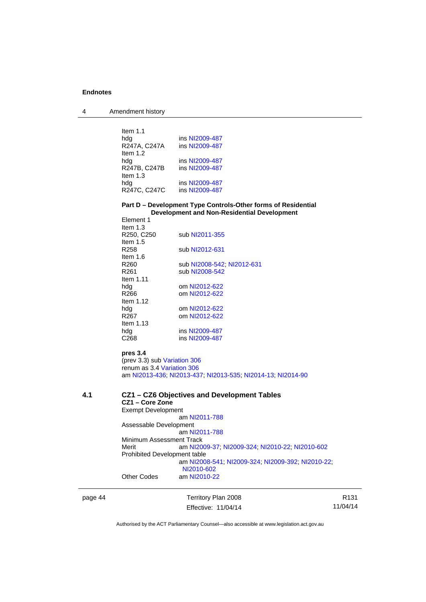4 Amendment history

| Item $1.1$   |                |
|--------------|----------------|
| hdg          | ins NI2009-487 |
| R247A, C247A | ins NI2009-487 |
| Item $1.2$   |                |
| hdg          | ins NI2009-487 |
| R247B, C247B | ins NI2009-487 |
| Item $1.3$   |                |
| hdg          | ins NI2009-487 |
| R247C, C247C | ins NI2009-487 |

#### **Part D – Development Type Controls-Other forms of Residential Development and Non-Residential Development**  Element 1

| Item $1.3$       |                            |
|------------------|----------------------------|
| R250, C250       | sub NI2011-355             |
| Item $1.5$       |                            |
| R258             | sub NI2012-631             |
| ltem 1.6         |                            |
| R <sub>260</sub> | sub NI2008-542, NI2012-631 |
| R <sub>261</sub> | sub NI2008-542             |
| Item $1.11$      |                            |
| hda              | om NI2012-622              |
| R266             | om NI2012-622              |
| Item $1.12$      |                            |
| hdg              | om NI2012-622              |
| R <sub>267</sub> | om NI2012-622              |
| Item $1.13$      |                            |
| hdg              | ins NI2009-487             |
| C268             | ins NI2009-487             |
|                  |                            |
| pres 3.4         |                            |

(prev 3.3) sub [Variation 306](http://www.legislation.act.gov.au/ni/2013-93/default.asp) renum as 3.4 [Variation 306](http://www.legislation.act.gov.au/ni/2013-93/default.asp) am [NI2013-436](http://www.legislation.act.gov.au/ni/2013-436/default.asp); [NI2013-437](http://www.legislation.act.gov.au/ni/2013-437/default.asp); [NI2013-535](http://www.legislation.act.gov.au/ni/2013-535/); [NI2014-13](http://www.legislation.act.gov.au/ni/2014-13/default.asp); [NI2014-90](http://www.legislation.act.gov.au/ni/2014-90/default.asp)

### **4.1 CZ1 – CZ6 Objectives and Development Tables CZ1 – Core Zone**

Exempt Development am [NI2011-788](http://www.legislation.act.gov.au/ni/2011-788/) Assessable Development .<br>| am [NI2011-788](http://www.legislation.act.gov.au/ni/2011-788/) Minimum Assessment Track Merit am [NI2009-37](http://www.legislation.act.gov.au/ni/2009-37/); [NI2009-324](http://www.legislation.act.gov.au/ni/2009-324/); [NI2010-22](http://www.legislation.act.gov.au/ni/2010-22/); [NI2010-602](http://www.legislation.act.gov.au/ni/2010-602/) Prohibited Development table am [NI2008-541](http://www.legislation.act.gov.au/ni/2008-541/); [NI2009-324](http://www.legislation.act.gov.au/ni/2009-324/); [NI2009-392](http://www.legislation.act.gov.au/ni/2009-392/); [NI2010-22](http://www.legislation.act.gov.au/ni/2010-22/); [NI2010-602](http://www.legislation.act.gov.au/ni/2010-602/) Other Codes am [NI2010-22](http://www.legislation.act.gov.au/ni/2010-22/)

page 44 Territory Plan 2008 Effective: 11/04/14

R131 11/04/14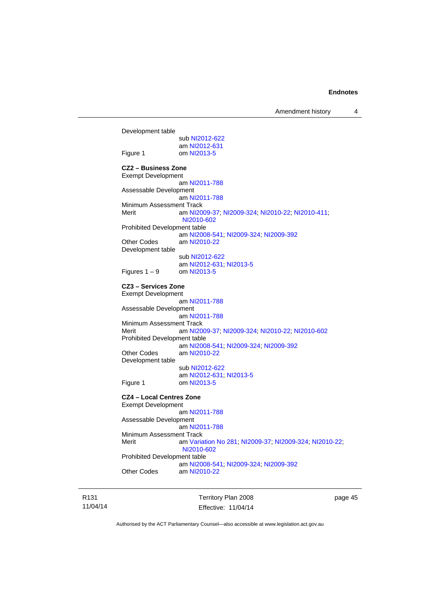Development table sub [NI2012-622](http://www.legislation.act.gov.au/ni/2012-622/default.asp) am [NI2012-631](http://www.legislation.act.gov.au/ni/2012-631/default.asp)<br>Figure 1 com NI2013-5 om [NI2013-5](http://www.legislation.act.gov.au/ni/2013-5/default.asp) **CZ2 – Business Zone**  Exempt Development am [NI2011-788](http://www.legislation.act.gov.au/ni/2011-788/) Assessable Development am [NI2011-788](http://www.legislation.act.gov.au/ni/2011-788/) Minimum Assessment Track Merit am [NI2009-37](http://www.legislation.act.gov.au/ni/2009-37/); [NI2009-324](http://www.legislation.act.gov.au/ni/2009-324/); [NI2010-22](http://www.legislation.act.gov.au/ni/2010-22/); [NI2010-411](http://www.legislation.act.gov.au/ni/2010-411/); [NI2010-602](http://www.legislation.act.gov.au/ni/2010-602/) Prohibited Development table am [NI2008-541](http://www.legislation.act.gov.au/ni/2008-541/); [NI2009-324](http://www.legislation.act.gov.au/ni/2009-324/); [NI2009-392](http://www.legislation.act.gov.au/ni/2009-392/) Other Codes am [NI2010-22](http://www.legislation.act.gov.au/ni/2010-22/) Development table sub [NI2012-622](http://www.legislation.act.gov.au/ni/2012-622/default.asp) am [NI2012-631](http://www.legislation.act.gov.au/ni/2012-631/default.asp); [NI2013-5](http://www.legislation.act.gov.au/ni/2013-5/default.asp)<br>om NI2013-5 Figures  $1 - 9$ **CZ3 – Services Zone**  Exempt Development am [NI2011-788](http://www.legislation.act.gov.au/ni/2011-788/) Assessable Development am [NI2011-788](http://www.legislation.act.gov.au/ni/2011-788/) Minimum Assessment Track Merit am [NI2009-37](http://www.legislation.act.gov.au/ni/2009-37/); [NI2009-324](http://www.legislation.act.gov.au/ni/2009-324/); [NI2010-22](http://www.legislation.act.gov.au/ni/2010-22/); [NI2010-602](http://www.legislation.act.gov.au/ni/2010-602/) Prohibited Development table am [NI2008-541](http://www.legislation.act.gov.au/ni/2008-541/); [NI2009-324](http://www.legislation.act.gov.au/ni/2009-324/); [NI2009-392](http://www.legislation.act.gov.au/ni/2009-392/) Other Codes am [NI2010-22](http://www.legislation.act.gov.au/ni/2010-22/) Development table sub [NI2012-622](http://www.legislation.act.gov.au/ni/2012-622/default.asp) am [NI2012-631](http://www.legislation.act.gov.au/ni/2012-631/default.asp); [NI2013-5](http://www.legislation.act.gov.au/ni/2013-5/default.asp) Figure 1 om [NI2013-5](http://www.legislation.act.gov.au/ni/2013-5/default.asp) **CZ4 – Local Centres Zone**  Exempt Development am [NI2011-788](http://www.legislation.act.gov.au/ni/2011-788/) Assessable Development am [NI2011-788](http://www.legislation.act.gov.au/ni/2011-788/) Minimum Assessment Track<br>Merit am Varia am [Variation No 281](http://www.legislation.act.gov.au/ni/2008-352/); [NI2009-37](http://www.legislation.act.gov.au/ni/2009-37/); [NI2009-324](http://www.legislation.act.gov.au/ni/2009-324/); [NI2010-22](http://www.legislation.act.gov.au/ni/2010-22/); [NI2010-602](http://www.legislation.act.gov.au/ni/2010-602/) Prohibited Development table am [NI2008-541](http://www.legislation.act.gov.au/ni/2008-541/); [NI2009-324](http://www.legislation.act.gov.au/ni/2009-324/); [NI2009-392](http://www.legislation.act.gov.au/ni/2009-392/) Other Codes am [NI2010-22](http://www.legislation.act.gov.au/ni/2010-22/)

R131 11/04/14 Territory Plan 2008 Effective: 11/04/14 page 45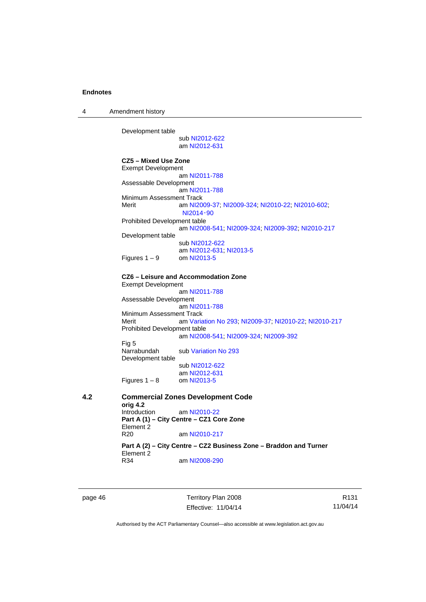4 Amendment history

Development table

 sub [NI2012-622](http://www.legislation.act.gov.au/ni/2012-622/default.asp) am [NI2012-631](http://www.legislation.act.gov.au/ni/2012-631/default.asp)

**CZ5 – Mixed Use Zone**  Exempt Development am [NI2011-788](http://www.legislation.act.gov.au/ni/2011-788/) Assessable Development am [NI2011-788](http://www.legislation.act.gov.au/ni/2011-788/) Minimum Assessment Track Merit am [NI2009-37](http://www.legislation.act.gov.au/ni/2009-37/); [NI2009-324](http://www.legislation.act.gov.au/ni/2009-324/); [NI2010-22](http://www.legislation.act.gov.au/ni/2010-22/); [NI2010-602](http://www.legislation.act.gov.au/ni/2010-602/); [NI2014](http://www.legislation.act.gov.au/ni/2014-90/default.asp)‑90 Prohibited Development table am [NI2008-541](http://www.legislation.act.gov.au/ni/2008-541/); [NI2009-324](http://www.legislation.act.gov.au/ni/2009-324/); [NI2009-392](http://www.legislation.act.gov.au/ni/2009-392/); [NI2010-217](http://www.legislation.act.gov.au/ni/2010-217/) Development table sub [NI2012-622](http://www.legislation.act.gov.au/ni/2012-622/default.asp) am [NI2012-631](http://www.legislation.act.gov.au/ni/2012-631/default.asp); [NI2013-5](http://www.legislation.act.gov.au/ni/2013-5/default.asp)<br>om NI2013-5 Figures  $1 - 9$ **CZ6 – Leisure and Accommodation Zone** Exempt Development am [NI2011-788](http://www.legislation.act.gov.au/ni/2011-788/) Assessable Development am [NI2011-788](http://www.legislation.act.gov.au/ni/2011-788/) Minimum Assessment Track Merit am [Variation No 293](http://www.legislation.act.gov.au/ni/2008-219/); [NI2009-37](http://www.legislation.act.gov.au/ni/2009-37/); [NI2010-22](http://www.legislation.act.gov.au/ni/2010-22/); [NI2010-217](http://www.legislation.act.gov.au/ni/2010-217/) Prohibited Development table am [NI2008-541](http://www.legislation.act.gov.au/ni/2008-541/); [NI2009-324](http://www.legislation.act.gov.au/ni/2009-324/); [NI2009-392](http://www.legislation.act.gov.au/ni/2009-392/) Fig 5 Narrabundah sub [Variation No 293](http://www.legislation.act.gov.au/ni/2008-219/) Development table sub [NI2012-622](http://www.legislation.act.gov.au/ni/2012-622/default.asp) am [NI2012-631](http://www.legislation.act.gov.au/ni/2012-631/default.asp)<br>om NI2013-5 Figures  $1 - 8$ **4.2 Commercial Zones Development Code orig 4.2**  am [NI2010-22](http://www.legislation.act.gov.au/ni/2010-22/) **Part A (1) – City Centre – CZ1 Core Zone**  Element 2<br>R20 am [NI2010-217](http://www.legislation.act.gov.au/ni/2010-217/) **Part A (2) – City Centre – CZ2 Business Zone – Braddon and Turner**  Element 2<br>R34 am [NI2008-290](http://www.legislation.act.gov.au/ni/2008-290/)

page 46 Territory Plan 2008 Effective: 11/04/14

R131 11/04/14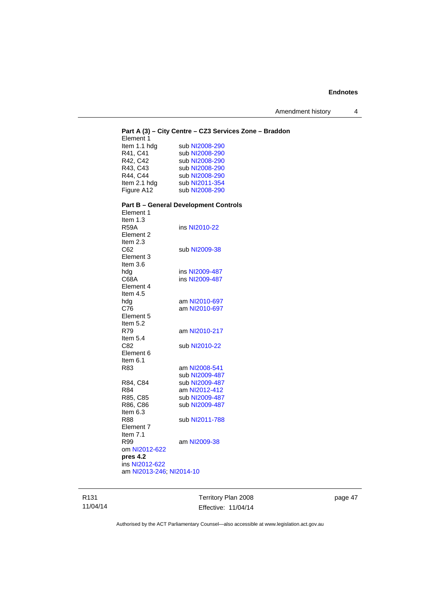Amendment history 4

| Element 1                | Part A (3) - City Centre - CZ3 Services Zone - Braddon |
|--------------------------|--------------------------------------------------------|
| Item 1.1 hdg             | sub NI2008-290                                         |
| R41, C41                 | sub NI2008-290                                         |
| R42, C42                 | sub NI2008-290                                         |
| R43, C43                 | sub NI2008-290                                         |
| R44, C44                 | sub NI2008-290                                         |
| Item 2.1 hdg             | sub NI2011-354                                         |
| Figure A12               | sub NI2008-290                                         |
| Element 1                | <b>Part B - General Development Controls</b>           |
| Item 1.3                 |                                                        |
| <b>R59A</b>              | ins NI2010-22                                          |
| Element 2                |                                                        |
| Item 2.3                 |                                                        |
| C62                      | sub NI2009-38                                          |
| Element 3                |                                                        |
| Item $3.6$               |                                                        |
| hdg                      | ins NI2009-487                                         |
| C68A                     | ins NI2009-487                                         |
| Element 4                |                                                        |
| Item $4.5$               |                                                        |
| hdg                      | am NI2010-697                                          |
| C76                      | am NI2010-697                                          |
| Element 5                |                                                        |
| Item 5.2                 |                                                        |
| R79                      | am NI2010-217                                          |
| Item 5.4                 |                                                        |
| C82                      | sub NI2010-22                                          |
| Element 6                |                                                        |
| Item $6.1$               |                                                        |
| R83                      | am NI2008-541                                          |
| R84, C84                 | sub NI2009-487<br>sub NI2009-487                       |
| R84                      | am NI2012-412                                          |
| R85, C85                 | sub NI2009-487                                         |
| R86, C86                 | sub NI2009-487                                         |
| Item $6.3$               |                                                        |
| <b>R88</b>               | sub NI2011-788                                         |
| Element 7                |                                                        |
| Item 7.1                 |                                                        |
| R99                      | am NI2009-38                                           |
| om NI2012-622            |                                                        |
| pres 4.2                 |                                                        |
| ins NI2012-622           |                                                        |
| am NI2013-246; NI2014-10 |                                                        |
|                          |                                                        |

R131 11/04/14

Territory Plan 2008 Effective: 11/04/14 page 47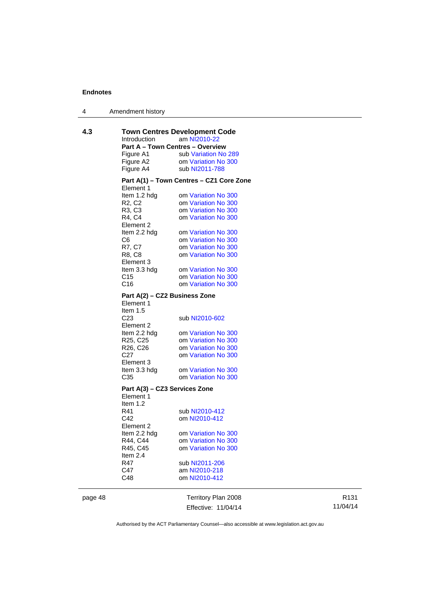| 4 | Amendment history |
|---|-------------------|
|---|-------------------|

| 4.3 | Introduction                                                                | <b>Town Centres Development Code</b><br>am NI2010-22 |
|-----|-----------------------------------------------------------------------------|------------------------------------------------------|
|     | <b>Part A - Town Centres - Overview</b>                                     |                                                      |
|     | Figure A1                                                                   | sub Variation No 289                                 |
|     | Figure A2                                                                   | om Variation No 300                                  |
|     | Figure A4                                                                   | sub NI2011-788                                       |
|     | Element 1                                                                   | Part A(1) – Town Centres – CZ1 Core Zone             |
|     | ltem 1.2 hdg                                                                | om Variation No 300                                  |
|     | R2, C2                                                                      | om Variation No 300                                  |
|     | R3, C3                                                                      | om Variation No 300                                  |
|     | R4, C4                                                                      | om Variation No 300                                  |
|     | Element 2                                                                   |                                                      |
|     | Item 2.2 hdg                                                                | om Variation No 300                                  |
|     | C6                                                                          | om Variation No 300                                  |
|     | R7, C7                                                                      | om Variation No 300                                  |
|     | R8, C8<br>Element 3                                                         | om Variation No 300                                  |
|     | Item 3.3 hdg                                                                | om Variation No 300                                  |
|     | C <sub>15</sub>                                                             | om Variation No 300                                  |
|     | C <sub>16</sub>                                                             | om Variation No 300                                  |
|     | Part A(2) - CZ2 Business Zone<br>Element 1<br>Item $1.5$<br>C <sub>23</sub> | sub NI2010-602                                       |
|     | Element 2                                                                   |                                                      |
|     | ltem 2.2 hdg                                                                | om Variation No 300                                  |
|     | R25, C25                                                                    | om Variation No 300                                  |
|     | R26, C26                                                                    | om Variation No 300                                  |
|     | C <sub>27</sub>                                                             | om Variation No 300                                  |
|     | Element 3                                                                   |                                                      |
|     | Item 3.3 hdg                                                                | om Variation No 300                                  |
|     | C <sub>35</sub>                                                             | om Variation No 300                                  |
|     | Part A(3) - CZ3 Services Zone<br>Element 1<br>Item $1.2$                    |                                                      |
|     | R41                                                                         | sub NI2010-412                                       |
|     | C42                                                                         | om NI2010-412                                        |
|     | Element 2                                                                   |                                                      |
|     | Item 2.2 hdg                                                                | om Variation No 300                                  |
|     | R44, C44                                                                    | om Variation No 300                                  |
|     | R45, C45                                                                    | om Variation No 300                                  |
|     | Item 2.4                                                                    |                                                      |
|     | R47                                                                         | sub NI2011-206                                       |
|     | C47                                                                         | am NI2010-218                                        |
|     | C48                                                                         | om NI2010-412                                        |
|     |                                                                             |                                                      |
|     |                                                                             |                                                      |

page 48 Territory Plan 2008 Effective: 11/04/14

R131 11/04/14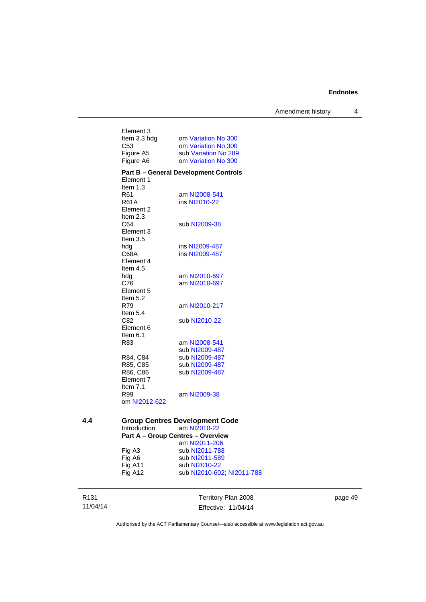Amendment history 4

| Element 3<br>Item 3.3 hdg<br>C <sub>53</sub><br>Figure A5 | om Variation No 300<br>om Variation No 300<br>sub Variation No 289 |
|-----------------------------------------------------------|--------------------------------------------------------------------|
| Figure A6                                                 | om Variation No 300                                                |
| Element 1<br>Item 1.3<br>R61                              | <b>Part B - General Development Controls</b><br>am NI2008-541      |
| R61A<br>Element 2<br>Item 2.3                             | ins NI2010-22                                                      |
| C64<br>Element 3<br>Item 3.5                              | sub NI2009-38                                                      |
| hda<br>C68A<br>Element 4<br>Item $4.5$                    | ins NI2009-487<br>ins NI2009-487                                   |
| hda<br>C76<br>Element 5<br>Item 5.2                       | am NI2010-697<br>am NI2010-697                                     |
| R79<br>Item $5.4$                                         | am NI2010-217                                                      |
| C82<br>Element 6<br>Item 6.1                              | sub NI2010-22                                                      |
| R83                                                       | am NI2008-541<br>sub NI2009-487                                    |
| R84, C84<br>R85, C85                                      | sub NI2009-487<br>sub NI2009-487                                   |
| R86, C86<br>Element 7<br>Item $7.1$                       | sub NI2009-487                                                     |
| R99<br>om NI2012-622                                      | am NI2009-38                                                       |
| $\sim$<br>---                                             | $m \sim 1$<br>----<br>ה -                                          |

#### **4.4 Group Centres Development Code**<br>Introduction am NI2010-22 am [NI2010-22](http://www.legislation.act.gov.au/ni/2010-22/) **Part A – Group Centres – Overview**  am [NI2011-206](http://www.legislation.act.gov.au/ni/2011-206/) Fig A3 sub [NI2011-788](http://www.legislation.act.gov.au/ni/2011-788/)

| .       | ------ -------- -- -       |
|---------|----------------------------|
| Fig A6  | sub NI2011-589             |
| Fig A11 | sub NI2010-22              |
| Fig A12 | sub NI2010-602, NI2011-788 |
|         |                            |

R131 11/04/14

Territory Plan 2008 Effective: 11/04/14 page 49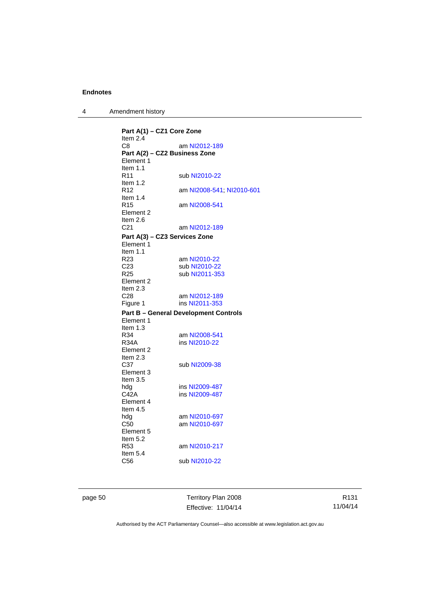4 Amendment history

**Part A(1) – CZ1 Core Zone**  Item 2.4 C8 am [NI2012-189](http://www.legislation.act.gov.au/ni/2012-189/) **Part A(2) – CZ2 Business Zone**  Element 1 Item 1.1<br>R11 sub [NI2010-22](http://www.legislation.act.gov.au/ni/2010-22/) Item 1.2 R12 am [NI2008-541](http://www.legislation.act.gov.au/ni/2008-541/); [NI2010-601](http://www.legislation.act.gov.au/ni/2010-601/) Item  $1.4$ <br>R<sub>15</sub> am [NI2008-541](http://www.legislation.act.gov.au/ni/2008-541/) Element 2 Item  $2.6$ <br> $C<sub>21</sub>$ am [NI2012-189](http://www.legislation.act.gov.au/ni/2012-189/) **Part A(3) – CZ3 Services Zone**  Element 1 Item 1.1<br>R23 am [NI2010-22](http://www.legislation.act.gov.au/ni/2010-22/) C23 sub [NI2010-22](http://www.legislation.act.gov.au/ni/2010-22/)<br>R25 sub NI2011-35 sub [NI2011-353](http://www.legislation.act.gov.au/ni/2011-353/) Element 2 Item  $2.3$ <br> $C<sub>28</sub>$ C28 am [NI2012-189](http://www.legislation.act.gov.au/ni/2012-189/)<br>
Figure 1 ins NI2011-353 ins [NI2011-353](http://www.legislation.act.gov.au/ni/2011-353/) **Part B – General Development Controls**  Element 1 Item 1.3 R34 am [NI2008-541](http://www.legislation.act.gov.au/ni/2008-541/)<br>R34A ins NI2010-22 ins [NI2010-22](http://www.legislation.act.gov.au/ni/2010-22/) Element 2 Item  $2.3$ <br>C37 sub [NI2009-38](http://www.legislation.act.gov.au/ni/2009-38/) Element 3 Item 3.5<br>hdg hdg ins [NI2009-487](http://www.legislation.act.gov.au/ni/2009-487/)<br>C42A ins NI2009-487 ins [NI2009-487](http://www.legislation.act.gov.au/ni/2009-487/) Element 4 Item 4.5 hdg am [NI2010-697](http://www.legislation.act.gov.au/ni/2010-697/)<br>C50 am NI2010-697 am [NI2010-697](http://www.legislation.act.gov.au/ni/2010-697/) Element 5 Item  $5.2$ <br>R53 am [NI2010-217](http://www.legislation.act.gov.au/ni/2010-217/) Item 5.4 C56 sub [NI2010-22](http://www.legislation.act.gov.au/ni/2010-22/)

page 50 Territory Plan 2008 Effective: 11/04/14

R131 11/04/14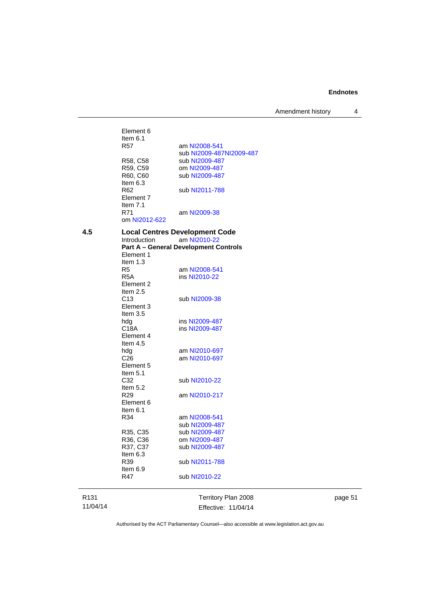Amendment history 4

|      | Element 6<br>Item $6.1$<br>R57    | am NI2008-541<br>sub NI2009-487NI2009-487                    |
|------|-----------------------------------|--------------------------------------------------------------|
|      | R58, C58                          | sub NI2009-487                                               |
|      | R59, C59                          | om NI2009-487                                                |
|      | R60, C60                          | sub NI2009-487                                               |
|      | Item 6.3                          |                                                              |
|      | R62                               | sub NI2011-788                                               |
|      | Element 7                         |                                                              |
|      | Item 7.1                          |                                                              |
|      | R71<br>om NI2012-622              | am NI2009-38                                                 |
|      |                                   |                                                              |
| 4.5  |                                   | <b>Local Centres Development Code</b>                        |
|      | Introduction                      | am NI2010-22<br><b>Part A - General Development Controls</b> |
|      | Element 1                         |                                                              |
|      | Item $1.3$                        |                                                              |
|      | R5                                | am NI2008-541                                                |
|      | R5A                               | ins NI2010-22                                                |
|      | Element 2                         |                                                              |
|      | Item $2.5$                        |                                                              |
|      | C <sub>13</sub>                   | sub NI2009-38                                                |
|      | Element 3                         |                                                              |
|      | Item $3.5$                        |                                                              |
|      | hdg                               | ins NI2009-487                                               |
|      | C18A                              | ins NI2009-487                                               |
|      | Element 4<br>Item 4.5             |                                                              |
|      | hdg                               | am NI2010-697                                                |
|      | C <sub>26</sub>                   | am NI2010-697                                                |
|      | Element 5                         |                                                              |
|      | Item 5.1                          |                                                              |
|      | C32                               | sub NI2010-22                                                |
|      | Item 5.2                          |                                                              |
|      | R29                               | am NI2010-217                                                |
|      | Element 6                         |                                                              |
|      | ltem 6.1                          |                                                              |
|      | R34                               | am NI2008-541                                                |
|      |                                   | sub NI2009-487                                               |
|      | R <sub>35</sub> , C <sub>35</sub> | sub NI2009-487                                               |
|      | R <sub>36</sub> , C <sub>36</sub> | om NI2009-487                                                |
|      | R37, C37                          | sub NI2009-487                                               |
|      | Item 6.3<br>R39                   |                                                              |
|      | Item 6.9                          | sub NI2011-788                                               |
|      | R47                               | sub NI2010-22                                                |
|      |                                   |                                                              |
|      |                                   |                                                              |
| R131 |                                   | Territory Plan 2008                                          |

R131 11/04/14 page 51

Authorised by the ACT Parliamentary Counsel—also accessible at www.legislation.act.gov.au

Effective: 11/04/14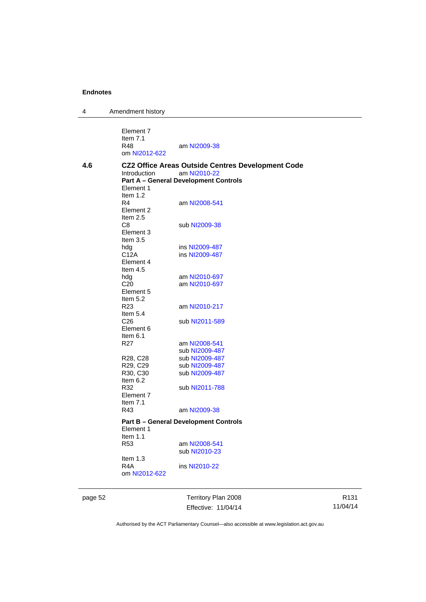4 Amendment history

|     | Element 7<br>Item $7.1$<br>R48<br>om NI2012-622             | am NI2009-38                                                                                                             |
|-----|-------------------------------------------------------------|--------------------------------------------------------------------------------------------------------------------------|
| 4.6 | Introduction<br>Element 1                                   | <b>CZ2 Office Areas Outside Centres Development Code</b><br>am NI2010-22<br><b>Part A - General Development Controls</b> |
|     | Item $1.2$<br>R4<br>Element 2<br>Item $2.5$                 | am NI2008-541                                                                                                            |
|     | C8<br>Element 3<br>Item $3.5$                               | sub NI2009-38                                                                                                            |
|     | hdg                                                         | ins NI2009-487                                                                                                           |
|     | C12A<br>Element 4<br>Item $4.5$                             | ins NI2009-487                                                                                                           |
|     | hdg                                                         | am NI2010-697                                                                                                            |
|     | C <sub>20</sub><br>Element 5<br>Item $5.2$                  | am NI2010-697                                                                                                            |
|     | R <sub>23</sub><br>Item $5.4$                               | am NI2010-217                                                                                                            |
|     | C <sub>26</sub><br>Element 6<br>Item $6.1$                  | sub NI2011-589                                                                                                           |
|     | R <sub>27</sub>                                             | am NI2008-541                                                                                                            |
|     |                                                             | sub NI2009-487                                                                                                           |
|     | R28, C28                                                    | sub NI2009-487                                                                                                           |
|     | R29, C29<br>R <sub>30</sub> , C <sub>30</sub><br>Item $6.2$ | sub NI2009-487<br>sub NI2009-487                                                                                         |
|     | R32<br>Element 7<br>Item $7.1$                              | sub NI2011-788                                                                                                           |
|     | R43                                                         | am NI2009-38                                                                                                             |
|     | Element 1<br>Item $1.1$                                     | <b>Part B – General Development Controls</b>                                                                             |
|     | R <sub>53</sub>                                             | am NI2008-541<br>sub NI2010-23                                                                                           |
|     | Item $1.3$<br>R4A<br>om NI2012-622                          | ins NI2010-22                                                                                                            |
|     |                                                             |                                                                                                                          |

page 52 Territory Plan 2008 Effective: 11/04/14

R131 11/04/14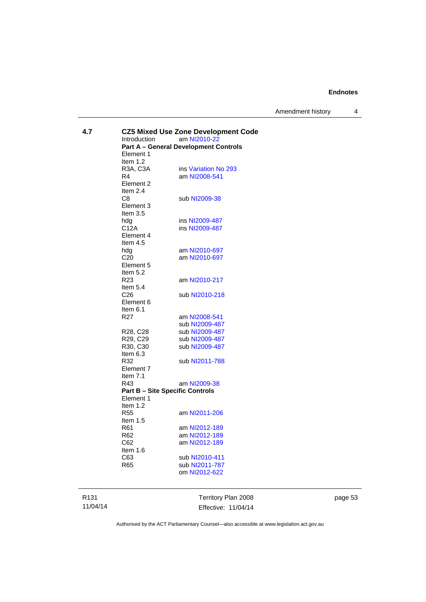Amendment history 4

| 4.7 |                                        | <b>CZ5 Mixed Use Zone Development Code</b>   |  |
|-----|----------------------------------------|----------------------------------------------|--|
|     | Introduction                           | am NI2010-22                                 |  |
|     |                                        | <b>Part A - General Development Controls</b> |  |
|     | Element 1                              |                                              |  |
|     | Item 1.2                               |                                              |  |
|     | R3A, C3A                               | ins Variation No 293                         |  |
|     | R4                                     | am NI2008-541                                |  |
|     | Element 2<br>Item $2.4$                |                                              |  |
|     | C8                                     | sub NI2009-38                                |  |
|     | Element 3                              |                                              |  |
|     | Item $3.5$                             |                                              |  |
|     | hdg                                    | ins NI2009-487                               |  |
|     | C12A                                   | ins NI2009-487                               |  |
|     | Element 4                              |                                              |  |
|     | Item $4.5$                             |                                              |  |
|     | hdg                                    | am NI2010-697                                |  |
|     | C <sub>20</sub>                        | am NI2010-697                                |  |
|     | Element 5                              |                                              |  |
|     | Item 5.2                               |                                              |  |
|     | R <sub>23</sub>                        | am NI2010-217                                |  |
|     | Item 5.4                               |                                              |  |
|     | C <sub>26</sub>                        | sub NI2010-218                               |  |
|     | Element 6                              |                                              |  |
|     | Item $6.1$                             |                                              |  |
|     | R <sub>27</sub>                        | am NI2008-541                                |  |
|     |                                        | sub NI2009-487                               |  |
|     | R28, C28                               | sub NI2009-487                               |  |
|     | R29, C29                               | sub NI2009-487                               |  |
|     | R30, C30                               | sub NI2009-487                               |  |
|     | Item 6.3                               |                                              |  |
|     | R32                                    | sub NI2011-788                               |  |
|     | Element 7                              |                                              |  |
|     | Item 7.1                               |                                              |  |
|     | R43                                    | am NI2009-38                                 |  |
|     | <b>Part B - Site Specific Controls</b> |                                              |  |
|     | Element 1                              |                                              |  |
|     | Item $1.2$                             |                                              |  |
|     | <b>R55</b>                             | am NI2011-206                                |  |
|     | Item $1.5$                             |                                              |  |
|     | R61                                    | am NI2012-189                                |  |
|     | R62                                    | am NI2012-189                                |  |
|     | C62                                    | am NI2012-189                                |  |
|     | Item $1.6$                             |                                              |  |
|     | C63                                    | sub NI2010-411                               |  |
|     | R65                                    | sub NI2011-787                               |  |
|     |                                        | om NI2012-622                                |  |
|     |                                        |                                              |  |
|     |                                        |                                              |  |

R131 11/04/14 Territory Plan 2008 Effective: 11/04/14 page 53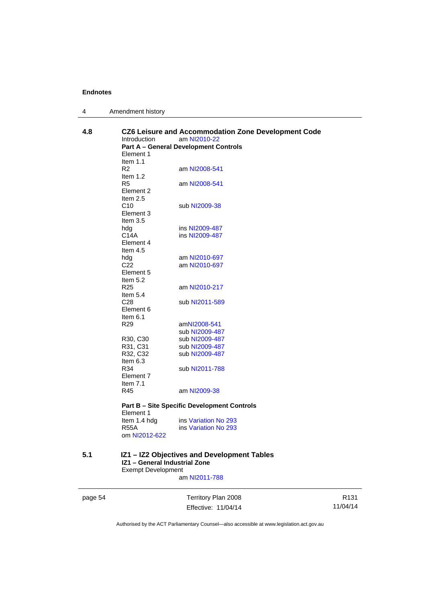| $\overline{A}$ | Amendment history |  |
|----------------|-------------------|--|
|----------------|-------------------|--|

| 4.8     | CZ6 Leisure and Accommodation Zone Development Code<br><b>Introduction</b><br>am NI2010-22<br><b>Part A - General Development Controls</b><br>Element 1<br>Item $1.1$ |                                                    |                  |  |
|---------|-----------------------------------------------------------------------------------------------------------------------------------------------------------------------|----------------------------------------------------|------------------|--|
|         | R2<br>Item $1.2$                                                                                                                                                      | am NI2008-541                                      |                  |  |
|         | R <sub>5</sub><br>Element 2<br>Item $2.5$                                                                                                                             | am NI2008-541                                      |                  |  |
|         | C10<br>Element 3<br>Item $3.5$                                                                                                                                        | sub NI2009-38                                      |                  |  |
|         | hdg<br>C <sub>14</sub> A<br>Element 4                                                                                                                                 | ins NI2009-487<br>ins NI2009-487                   |                  |  |
|         | Item $4.5$<br>hdg<br>C <sub>22</sub><br>Element 5                                                                                                                     | am NI2010-697<br>am NI2010-697                     |                  |  |
|         | Item 5.2<br>R <sub>25</sub><br>Item $5.4$                                                                                                                             | am NI2010-217                                      |                  |  |
|         | C <sub>28</sub><br>Element 6<br>Item $6.1$                                                                                                                            | sub NI2011-589                                     |                  |  |
|         | R <sub>29</sub>                                                                                                                                                       | amNI2008-541<br>sub NI2009-487                     |                  |  |
|         | R30, C30<br>R31, C31                                                                                                                                                  | sub NI2009-487<br>sub NI2009-487                   |                  |  |
|         | R32, C32<br>Item 6.3                                                                                                                                                  | sub NI2009-487                                     |                  |  |
|         | R34<br>Element 7<br>Item $7.1$                                                                                                                                        | sub NI2011-788                                     |                  |  |
|         | R45                                                                                                                                                                   | am NI2009-38                                       |                  |  |
|         | Element 1                                                                                                                                                             | <b>Part B - Site Specific Development Controls</b> |                  |  |
|         | Item 1.4 hdg<br><b>R55A</b><br>om NI2012-622                                                                                                                          | ins Variation No 293<br>ins Variation No 293       |                  |  |
| 5.1     | IZ1 - General Industrial Zone<br><b>Exempt Development</b>                                                                                                            | IZ1 - IZ2 Objectives and Development Tables        |                  |  |
|         |                                                                                                                                                                       | am NI2011-788                                      |                  |  |
| page 54 |                                                                                                                                                                       | Territory Plan 2008                                | R <sub>131</sub> |  |
|         |                                                                                                                                                                       | Effective: 11/04/14                                | 11/04/14         |  |

Authorised by the ACT Parliamentary Counsel—also accessible at www.legislation.act.gov.au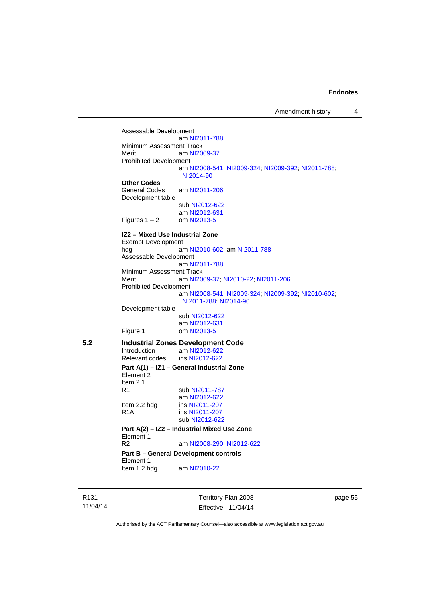Assessable Development am [NI2011-788](http://www.legislation.act.gov.au/ni/2011-788/) Minimum Assessment Track<br>Merit am NI20 am [NI2009-37](http://www.legislation.act.gov.au/ni/2009-37/) Prohibited Development am [NI2008-541](http://www.legislation.act.gov.au/ni/2008-541/); [NI2009-324](http://www.legislation.act.gov.au/ni/2009-324/); [NI2009-392](http://www.legislation.act.gov.au/ni/2009-392/); [NI2011-788](http://www.legislation.act.gov.au/ni/2011-788/); [NI2014-90](http://www.legislation.act.gov.au/ni/2014-90/default.asp) **Other Codes**  General Codes am [NI2011-206](http://www.legislation.act.gov.au/ni/2011-206/) Development table sub [NI2012-622](http://www.legislation.act.gov.au/ni/2012-622/default.asp) am [NI2012-631](http://www.legislation.act.gov.au/ni/2012-631/default.asp) Figures  $1 - 2$  om [NI2013-5](http://www.legislation.act.gov.au/ni/2013-5/default.asp) **IZ2 – Mixed Use Industrial Zone**  Exempt Development hdg am [NI2010-602](http://www.legislation.act.gov.au/ni/2010-602/); am [NI2011-788](http://www.legislation.act.gov.au/ni/2011-788/) Assessable Development am [NI2011-788](http://www.legislation.act.gov.au/ni/2011-788/) Minimum Assessment Track<br>Merit am NI20 am [NI2009-37](http://www.legislation.act.gov.au/ni/2009-37/); [NI2010-22](http://www.legislation.act.gov.au/ni/2010-22/); [NI2011-206](http://www.legislation.act.gov.au/ni/2011-206/) Prohibited Development am [NI2008-541](http://www.legislation.act.gov.au/ni/2008-541/); [NI2009-324](http://www.legislation.act.gov.au/ni/2009-324/); [NI2009-392](http://www.legislation.act.gov.au/ni/2009-392/); [NI2010-602](http://www.legislation.act.gov.au/ni/2010-602/); [NI2011-788](http://www.legislation.act.gov.au/ni/2011-788/); [NI2014-90](http://www.legislation.act.gov.au/ni/2014-90/default.asp) Development table sub [NI2012-622](http://www.legislation.act.gov.au/ni/2012-622/default.asp) am [NI2012-631](http://www.legislation.act.gov.au/ni/2012-631/default.asp) Figure 1 om [NI2013-5](http://www.legislation.act.gov.au/ni/2013-5/default.asp) **5.2 Industrial Zones Development Code**  Introduction am [NI2012-622](http://www.legislation.act.gov.au/ni/2012-622/default.asp)<br>Relevant codes ins NI2012-622 Relevant codes **Part A(1) – IZ1 – General Industrial Zone**  Element 2 Item 2.1<br>R1 sub [NI2011-787](http://www.legislation.act.gov.au/ni/2011-787/) am [NI2012-622](http://www.legislation.act.gov.au/ni/2012-622/default.asp)<br>Item 2.2 hdg ins NI2011-207 Item 2.2 hdg ins [NI2011-207](http://www.legislation.act.gov.au/ni/2011-207/)<br>R1A ins NI2011-207 ins [NI2011-207](http://www.legislation.act.gov.au/ni/2011-207/) sub [NI2012-622](http://www.legislation.act.gov.au/ni/2012-622/default.asp) **Part A(2) – IZ2 – Industrial Mixed Use Zone**  Element 1<br>R<sub>2</sub> am [NI2008-290](http://www.legislation.act.gov.au/ni/2008-290/); [NI2012-622](http://www.legislation.act.gov.au/ni/2012-622/default.asp) **Part B – General Development controls**  Element 1<br>Item 1.2 hdg am [NI2010-22](http://www.legislation.act.gov.au/ni/2010-22/)

R131 11/04/14 Territory Plan 2008 Effective: 11/04/14 page 55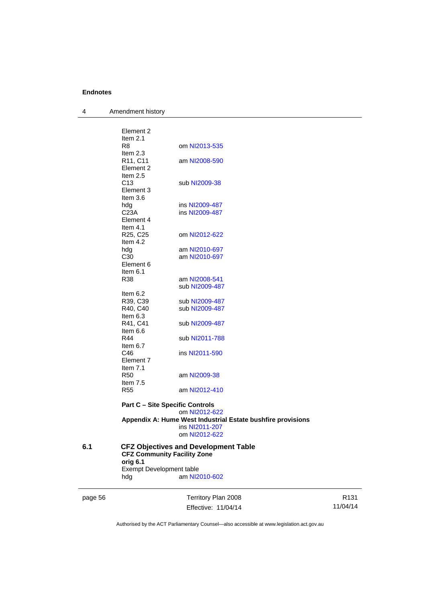| 4 | Amendment history |
|---|-------------------|
|---|-------------------|

| 6.1 | <b>CFZ Community Facility Zone</b><br>orig 6.1<br><b>Exempt Development table</b> | <b>CFZ Objectives and Development Table</b>                                                    |
|-----|-----------------------------------------------------------------------------------|------------------------------------------------------------------------------------------------|
|     |                                                                                   | Appendix A: Hume West Industrial Estate bushfire provisions<br>ins NI2011-207<br>om NI2012-622 |
|     |                                                                                   | om NI2012-622                                                                                  |
|     | <b>Part C - Site Specific Controls</b>                                            |                                                                                                |
|     | Item 7.5<br><b>R55</b>                                                            | am NI2012-410                                                                                  |
|     | Element 7<br>Item $7.1$<br><b>R50</b>                                             | am NI2009-38                                                                                   |
|     | Item $6.7$<br>C46                                                                 | ins NI2011-590                                                                                 |
|     | Item 6.6<br>R44                                                                   | sub NI2011-788                                                                                 |
|     | Item 6.3<br>R41, C41                                                              | sub NI2009-487                                                                                 |
|     | R39, C39<br>R40, C40                                                              | sub NI2009-487<br>sub NI2009-487                                                               |
|     | Item 6.2                                                                          |                                                                                                |
|     | R38                                                                               | am NI2008-541<br>sub NI2009-487                                                                |
|     | Element 6<br>Item $6.1$                                                           |                                                                                                |
|     | hdg<br>C30                                                                        | am NI2010-697<br>am NI2010-697                                                                 |
|     | Element 4<br>Item 4.1<br>R25, C25<br>Item 4.2                                     | om NI2012-622                                                                                  |
|     | Element 3<br>Item $3.6$<br>hdg<br>C <sub>23A</sub>                                | ins NI2009-487<br>ins NI2009-487                                                               |
|     | Element 2<br>Item 2.5<br>C <sub>13</sub>                                          | sub NI2009-38                                                                                  |
|     | Element 2<br>Item $2.1$<br>R8<br>Item $2.3$<br>R11, C11                           | om NI2013-535<br>am NI2008-590                                                                 |
|     |                                                                                   |                                                                                                |

page 56 Territory Plan 2008 Effective: 11/04/14

hdg **am** [NI2010-602](http://www.legislation.act.gov.au/ni/2010-602/)

R131 11/04/14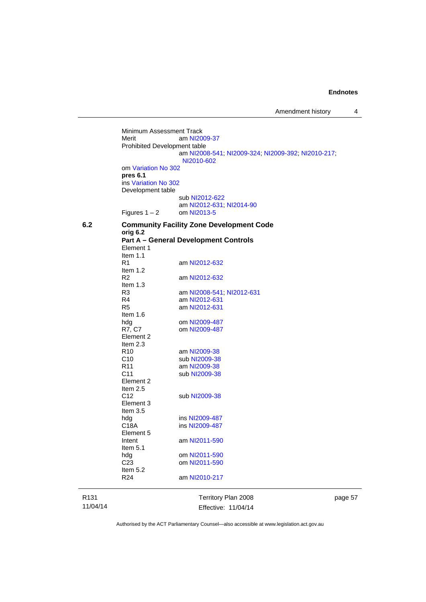R131 11/04/14 Territory Plan 2008 Effective: 11/04/14 Minimum Assessment Track<br>Merit am NI20 am [NI2009-37](http://www.legislation.act.gov.au/ni/2009-37/) Prohibited Development table am [NI2008-541](http://www.legislation.act.gov.au/ni/2008-541/); [NI2009-324](http://www.legislation.act.gov.au/ni/2009-324/); [NI2009-392](http://www.legislation.act.gov.au/ni/2009-392/); [NI2010-217](http://www.legislation.act.gov.au/ni/2010-217/); [NI2010-602](http://www.legislation.act.gov.au/ni/2010-602/) om [Variation No 302](http://www.legislation.act.gov.au/ni/2011-573/) **pres 6.1** ins [Variation No 302](http://www.legislation.act.gov.au/ni/2011-573/) Development table sub [NI2012-622](http://www.legislation.act.gov.au/ni/2012-622/default.asp) am [NI2012-631](http://www.legislation.act.gov.au/ni/2012-631/default.asp); [NI2014-90](http://www.legislation.act.gov.au/ni/2014-90/default.asp) Figures  $1 - 2$  om [NI2013-5](http://www.legislation.act.gov.au/ni/2013-5/default.asp) **6.2 Community Facility Zone Development Code orig 6.2 Part A – General Development Controls**  Element 1 Item 1.1<br>R1 am [NI2012-632](http://www.legislation.act.gov.au/ni/2012-632/default.asp) Item 1.2<br>R2 am [NI2012-632](http://www.legislation.act.gov.au/ni/2012-632/default.asp) Item 1.3<br>R3 R3 am [NI2008-541](http://www.legislation.act.gov.au/ni/2008-541/); [NI2012-631](http://www.legislation.act.gov.au/ni/2012-631/default.asp) am [NI2012-631](http://www.legislation.act.gov.au/ni/2012-631/default.asp) R5 am [NI2012-631](http://www.legislation.act.gov.au/ni/2012-631/default.asp) Item 1.6 hdg om [NI2009-487](http://www.legislation.act.gov.au/ni/2009-487/)<br>R7, C7 om NI2009-487 om [NI2009-487](http://www.legislation.act.gov.au/ni/2009-487/) Element 2 Item  $2.3$ <br>R<sub>10</sub> am [NI2009-38](http://www.legislation.act.gov.au/ni/2009-38/) C10 sub [NI2009-38](http://www.legislation.act.gov.au/ni/2009-38/) R11 am [NI2009-38](http://www.legislation.act.gov.au/ni/2009-38/)<br>C11 sub NI2009-38 sub [NI2009-38](http://www.legislation.act.gov.au/ni/2009-38/) Element 2 Item  $2.5$ <br>C<sub>12</sub> sub [NI2009-38](http://www.legislation.act.gov.au/ni/2009-38/) Element 3 Item 3.5<br>hdg hdg ins [NI2009-487](http://www.legislation.act.gov.au/ni/2009-487/)<br>C18A ins NI2009-487 ins [NI2009-487](http://www.legislation.act.gov.au/ni/2009-487/) Element 5 Intent am [NI2011-590](http://www.legislation.act.gov.au/ni/2011-590/) Item 5.1 hdg om [NI2011-590](http://www.legislation.act.gov.au/ni/2011-590/) C23 om [NI2011-590](http://www.legislation.act.gov.au/ni/2011-590/) Item 5.2 R24 am [NI2010-217](http://www.legislation.act.gov.au/ni/2010-217/)

page 57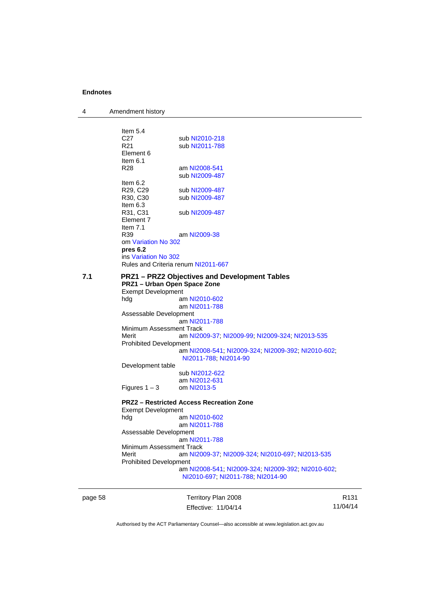| 4       | Amendment history                               |                                                    |                 |  |
|---------|-------------------------------------------------|----------------------------------------------------|-----------------|--|
|         |                                                 |                                                    |                 |  |
|         | Item $5.4$                                      |                                                    |                 |  |
|         | C27                                             | sub NI2010-218                                     |                 |  |
|         | R <sub>21</sub>                                 | sub NI2011-788                                     |                 |  |
|         | Element 6                                       |                                                    |                 |  |
|         | Item $6.1$                                      |                                                    |                 |  |
|         | R <sub>28</sub>                                 | am NI2008-541<br>sub NI2009-487                    |                 |  |
|         | Item $6.2$                                      |                                                    |                 |  |
|         | R <sub>29</sub> , C <sub>29</sub>               | sub NI2009-487                                     |                 |  |
|         | R <sub>30</sub> , C <sub>30</sub>               | sub NI2009-487                                     |                 |  |
|         | Item $6.3$                                      |                                                    |                 |  |
|         | R31, C31                                        | sub NI2009-487                                     |                 |  |
|         | Element 7                                       |                                                    |                 |  |
|         | Item $7.1$                                      |                                                    |                 |  |
|         | R <sub>39</sub>                                 | am NI2009-38                                       |                 |  |
|         | om Variation No 302                             |                                                    |                 |  |
|         | pres 6.2                                        |                                                    |                 |  |
|         | ins Variation No 302                            |                                                    |                 |  |
|         |                                                 | Rules and Criteria renum NI2011-667                |                 |  |
| 7.1     |                                                 | <b>PRZ1-PRZ2 Objectives and Development Tables</b> |                 |  |
|         | PRZ1 - Urban Open Space Zone                    |                                                    |                 |  |
|         | <b>Exempt Development</b>                       |                                                    |                 |  |
|         | hdg                                             | am NI2010-602                                      |                 |  |
|         |                                                 | am NI2011-788                                      |                 |  |
|         | Assessable Development                          |                                                    |                 |  |
|         |                                                 | am NI2011-788                                      |                 |  |
|         | Minimum Assessment Track                        |                                                    |                 |  |
|         | Merit                                           | am NI2009-37, NI2009-99, NI2009-324, NI2013-535    |                 |  |
|         | <b>Prohibited Development</b>                   |                                                    |                 |  |
|         |                                                 | am NI2008-541, NI2009-324, NI2009-392, NI2010-602, |                 |  |
|         |                                                 | NI2011-788; NI2014-90                              |                 |  |
|         | Development table                               |                                                    |                 |  |
|         |                                                 | sub NI2012-622                                     |                 |  |
|         |                                                 | am NI2012-631                                      |                 |  |
|         | Figures $1 - 3$                                 | om NI2013-5                                        |                 |  |
|         | <b>PRZ2 - Restricted Access Recreation Zone</b> |                                                    |                 |  |
|         | <b>Exempt Development</b>                       |                                                    |                 |  |
|         | hdg                                             | am NI2010-602                                      |                 |  |
|         |                                                 | am NI2011-788                                      |                 |  |
|         | Assessable Development                          |                                                    |                 |  |
|         |                                                 | am NI2011-788                                      |                 |  |
|         | Minimum Assessment Track                        |                                                    |                 |  |
|         | Merit                                           | am NI2009-37; NI2009-324; NI2010-697; NI2013-535   |                 |  |
|         | <b>Prohibited Development</b>                   |                                                    |                 |  |
|         |                                                 | am NI2008-541; NI2009-324; NI2009-392; NI2010-602; |                 |  |
|         |                                                 | NI2010-697, NI2011-788, NI2014-90                  |                 |  |
|         |                                                 |                                                    |                 |  |
| page 58 |                                                 | Territory Plan 2008                                | R <sub>13</sub> |  |
|         |                                                 |                                                    |                 |  |

Effective: 11/04/14

R131 11/04/14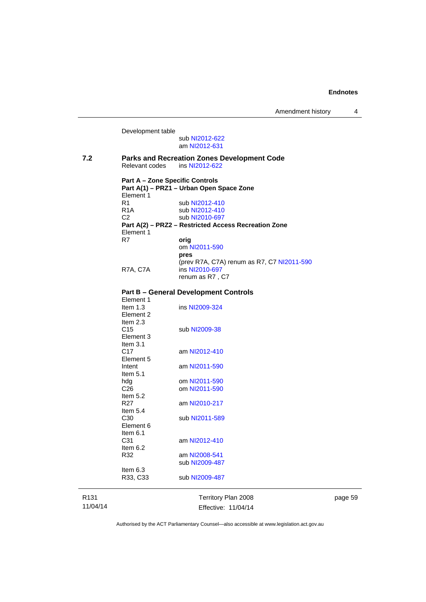Development table sub [NI2012-622](http://www.legislation.act.gov.au/ni/2012-622/default.asp) am [NI2012-631](http://www.legislation.act.gov.au/ni/2012-631/default.asp) **7.2 Parks and Recreation Zones Development Code**  Relevant codes ins [NI2012-622](http://www.legislation.act.gov.au/ni/2012-622/default.asp) **Part A – Zone Specific Controls Part A(1) – PRZ1 – Urban Open Space Zone**  Element 1<br>R1 sub [NI2012-410](http://www.legislation.act.gov.au/ni/2012-410/) R1A sub [NI2012-410](http://www.legislation.act.gov.au/ni/2012-410/)<br>C2 sub NI2010-697 sub [NI2010-697](http://www.legislation.act.gov.au/ni/2010-697/) **Part A(2) – PRZ2 – Restricted Access Recreation Zone**  Element 1<br>R7 orig om [NI2011-590](http://www.legislation.act.gov.au/ni/2011-590/) **pres** (prev R7A, C7A) renum as R7, C7 [NI2011-590](http://www.legislation.act.gov.au/ni/2011-590/) R7A, C7A ins [NI2010-697](http://www.legislation.act.gov.au/ni/2010-697/) renum as R7 , C7 **Part B – General Development Controls**  Element 1 Item 1.3 ins [NI2009-324](http://www.legislation.act.gov.au/ni/2009-324/) Element 2 Item  $2.3$ <br>C<sub>15</sub> sub [NI2009-38](http://www.legislation.act.gov.au/ni/2009-38/) Element 3 Item  $3.1$ <br>C<sub>17</sub> am [NI2012-410](http://www.legislation.act.gov.au/ni/2012-410/) Element 5 Intent am [NI2011-590](http://www.legislation.act.gov.au/ni/2011-590/) Item 5.1 hdg om [NI2011-590](http://www.legislation.act.gov.au/ni/2011-590/)<br>C26 om NI2011-590 om [NI2011-590](http://www.legislation.act.gov.au/ni/2011-590/) Item  $5.2$ <br>R27 am [NI2010-217](http://www.legislation.act.gov.au/ni/2010-217/) Item  $5.4$ <br>C<sub>30</sub> sub [NI2011-589](http://www.legislation.act.gov.au/ni/2011-589/) Element 6 Item 6.1 C31 am [NI2012-410](http://www.legislation.act.gov.au/ni/2012-410/) Item 6.2 R32 am [NI2008-541](http://www.legislation.act.gov.au/ni/2008-541/) sub [NI2009-487](http://www.legislation.act.gov.au/ni/2009-487/) Item 6.3 R33, C33 sub [NI2009-487](http://www.legislation.act.gov.au/ni/2009-487/)

R131 11/04/14 Territory Plan 2008 Effective: 11/04/14 page 59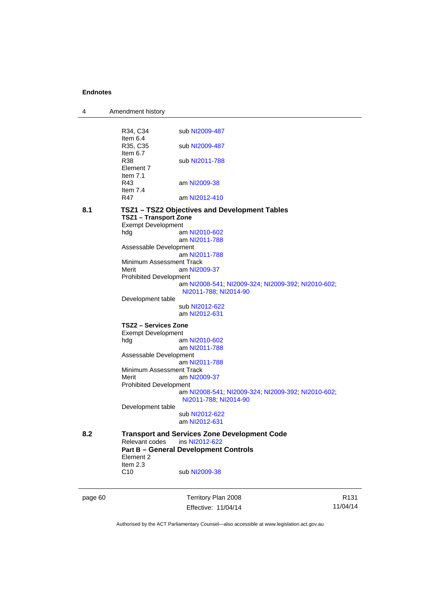| 4       | Amendment history                                                             |                                                     |                |  |
|---------|-------------------------------------------------------------------------------|-----------------------------------------------------|----------------|--|
|         |                                                                               |                                                     |                |  |
|         | R34, C34<br>Item 6.4                                                          | sub NI2009-487                                      |                |  |
|         | R35, C35                                                                      | sub NI2009-487                                      |                |  |
|         | Item $6.7$                                                                    |                                                     |                |  |
|         | R38                                                                           | sub NI2011-788                                      |                |  |
|         | Element 7                                                                     |                                                     |                |  |
|         | Item $7.1$                                                                    |                                                     |                |  |
|         | R43<br>Item $7.4$                                                             | am NI2009-38                                        |                |  |
|         | R47                                                                           | am NI2012-410                                       |                |  |
|         |                                                                               |                                                     |                |  |
| 8.1     | TSZ1 - TSZ2 Objectives and Development Tables<br><b>TSZ1 - Transport Zone</b> |                                                     |                |  |
|         | <b>Exempt Development</b>                                                     |                                                     |                |  |
|         | hdg                                                                           | am NI2010-602                                       |                |  |
|         |                                                                               | am NI2011-788                                       |                |  |
|         | Assessable Development                                                        |                                                     |                |  |
|         |                                                                               | am NI2011-788                                       |                |  |
|         | Minimum Assessment Track<br>Merit                                             | am NI2009-37                                        |                |  |
|         | <b>Prohibited Development</b>                                                 |                                                     |                |  |
|         |                                                                               | am NI2008-541, NI2009-324, NI2009-392, NI2010-602,  |                |  |
|         |                                                                               | NI2011-788; NI2014-90                               |                |  |
|         | Development table                                                             |                                                     |                |  |
|         |                                                                               | sub NI2012-622<br>am NI2012-631                     |                |  |
|         |                                                                               |                                                     |                |  |
|         | TSZ2 – Services Zone                                                          |                                                     |                |  |
|         | <b>Exempt Development</b>                                                     | am NI2010-602                                       |                |  |
|         | hdg                                                                           | am NI2011-788                                       |                |  |
|         | Assessable Development                                                        |                                                     |                |  |
|         | am NI2011-788                                                                 |                                                     |                |  |
|         | Minimum Assessment Track                                                      |                                                     |                |  |
|         | Merit                                                                         | am NI2009-37                                        |                |  |
|         | <b>Prohibited Development</b>                                                 | am NI2008-541, NI2009-324, NI2009-392, NI2010-602,  |                |  |
|         |                                                                               | NI2011-788; NI2014-90                               |                |  |
|         | Development table                                                             |                                                     |                |  |
|         |                                                                               | sub NI2012-622                                      |                |  |
|         |                                                                               | am NI2012-631                                       |                |  |
| 8.2     |                                                                               | <b>Transport and Services Zone Development Code</b> |                |  |
|         | Relevant codes<br>ins NI2012-622                                              |                                                     |                |  |
|         |                                                                               | <b>Part B - General Development Controls</b>        |                |  |
|         | Element 2                                                                     |                                                     |                |  |
|         | Item $2.3$                                                                    |                                                     |                |  |
|         | C <sub>10</sub>                                                               | sub NI2009-38                                       |                |  |
|         |                                                                               |                                                     |                |  |
| page 60 |                                                                               | Territory Plan 2008                                 | R <sub>1</sub> |  |

Authorised by the ACT Parliamentary Counsel—also accessible at www.legislation.act.gov.au

Effective: 11/04/14

R131 11/04/14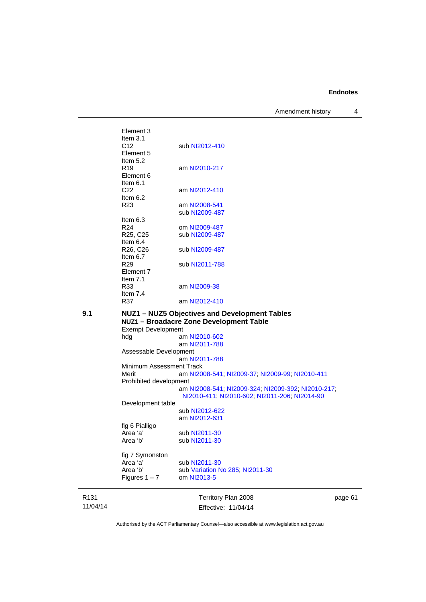Amendment history 4

R131 Territory Plan 2008 Element 3 Item 3.1 C12 sub [NI2012-410](http://www.legislation.act.gov.au/ni/2012-410/) Element 5 Item  $5.2$ <br>R19 am [NI2010-217](http://www.legislation.act.gov.au/ni/2010-217/) Element 6 Item 6.1 C22 am [NI2012-410](http://www.legislation.act.gov.au/ni/2012-410/) Item  $6.2$ <br>R23 am [NI2008-541](http://www.legislation.act.gov.au/ni/2008-541/) sub [NI2009-487](http://www.legislation.act.gov.au/ni/2009-487/) Item  $6.3$ <br>R<sub>24</sub> om [NI2009-487](http://www.legislation.act.gov.au/ni/2009-487/) R25, C25 sub [NI2009-487](http://www.legislation.act.gov.au/ni/2009-487/) Item 6.4<br>R26, C26 sub [NI2009-487](http://www.legislation.act.gov.au/ni/2009-487/) Item  $6.7$ <br>R<sub>29</sub> sub [NI2011-788](http://www.legislation.act.gov.au/ni/2011-788/) Element 7 Item 7.1 R33 am [NI2009-38](http://www.legislation.act.gov.au/ni/2009-38/) Item 7.4<br>R37 am [NI2012-410](http://www.legislation.act.gov.au/ni/2012-410/) **9.1 NUZ1 – NUZ5 Objectives and Development Tables NUZ1 – Broadacre Zone Development Table**  Exempt Development hdg am [NI2010-602](http://www.legislation.act.gov.au/ni/2010-602/) am [NI2011-788](http://www.legislation.act.gov.au/ni/2011-788/default.asp) Assessable Development am [NI2011-788](http://www.legislation.act.gov.au/ni/2011-788/) Minimum Assessment Track<br>Merit am NI20 am [NI2008-541](http://www.legislation.act.gov.au/ni/2008-541/); [NI2009-37](http://www.legislation.act.gov.au/ni/2009-37/); [NI2009-99](http://www.legislation.act.gov.au/ni/2009-99/); [NI2010-411](http://www.legislation.act.gov.au/ni/2010-411/) Prohibited development am [NI2008-541](http://www.legislation.act.gov.au/ni/2008-541/); [NI2009-324](http://www.legislation.act.gov.au/ni/2009-324/); [NI2009-392](http://www.legislation.act.gov.au/ni/2009-392/); [NI2010-217](http://www.legislation.act.gov.au/ni/2010-217/); [NI2010-411](http://www.legislation.act.gov.au/ni/2010-411/); [NI2010-602](http://www.legislation.act.gov.au/ni/2010-602/); [NI2011-206](http://www.legislation.act.gov.au/ni/2011-206/); [NI2014-90](http://www.legislation.act.gov.au/ni/2014-90/default.asp) Development table sub [NI2012-622](http://www.legislation.act.gov.au/ni/2012-622/default.asp) am [NI2012-631](http://www.legislation.act.gov.au/ni/2012-631/default.asp) fig 6 Pialligo Area 'a' sub [NI2011-30](http://www.legislation.act.gov.au/ni/2011-30/) Area 'b' sub [NI2011-30](http://www.legislation.act.gov.au/ni/2011-30/) fig 7 Symonston Area 'a' sub [NI2011-30](http://www.legislation.act.gov.au/ni/2011-30/)<br>Area 'b' sub Variation N sub [Variation No 285](http://www.legislation.act.gov.au/ni/2008-123/); [NI2011-30](http://www.legislation.act.gov.au/ni/2011-30/) Figures  $1 - 7$  om [NI2013-5](http://www.legislation.act.gov.au/ni/2013-5/default.asp)

11/04/14

Effective: 11/04/14

page 61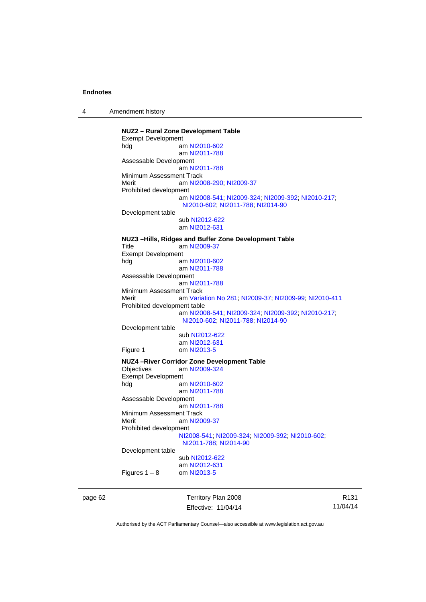4 Amendment history

**NUZ2 – Rural Zone Development Table**  Exempt Development hdg am [NI2010-602](http://www.legislation.act.gov.au/ni/2010-602/) am [NI2011-788](http://www.legislation.act.gov.au/ni/2011-788/) Assessable Development am [NI2011-788](http://www.legislation.act.gov.au/ni/2011-788/) Minimum Assessment Track Merit **am [NI2008-290](http://www.legislation.act.gov.au/ni/2008-290/); [NI2009-37](http://www.legislation.act.gov.au/ni/2009-37/)** Prohibited development am [NI2008-541](http://www.legislation.act.gov.au/ni/2008-541/); [NI2009-324](http://www.legislation.act.gov.au/ni/2009-324/); [NI2009-392](http://www.legislation.act.gov.au/ni/2009-392/); [NI2010-217](http://www.legislation.act.gov.au/ni/2010-217/); [NI2010-602](http://www.legislation.act.gov.au/ni/2010-602/); [NI2011-788](http://www.legislation.act.gov.au/ni/2011-788/); [NI2014-90](http://www.legislation.act.gov.au/ni/2014-90/default.asp) Development table sub [NI2012-622](http://www.legislation.act.gov.au/ni/2012-622/default.asp) am [NI2012-631](http://www.legislation.act.gov.au/ni/2012-631/default.asp) **NUZ3 –Hills, Ridges and Buffer Zone Development Table**  Title am [NI2009-37](http://www.legislation.act.gov.au/ni/2009-37/) Exempt Development<br>hdg ar am [NI2010-602](http://www.legislation.act.gov.au/ni/2010-602/) am [NI2011-788](http://www.legislation.act.gov.au/ni/2011-788/) Assessable Development am [NI2011-788](http://www.legislation.act.gov.au/ni/2011-788/) Minimum Assessment Track Merit am [Variation No 281](http://www.legislation.act.gov.au/ni/2008-352/); [NI2009-37](http://www.legislation.act.gov.au/ni/2009-37/); [NI2009-99](http://www.legislation.act.gov.au/ni/2009-99/); [NI2010-411](http://www.legislation.act.gov.au/ni/2010-411/) Prohibited development table am [NI2008-541](http://www.legislation.act.gov.au/ni/2008-541/); [NI2009-324](http://www.legislation.act.gov.au/ni/2009-324/); [NI2009-392](http://www.legislation.act.gov.au/ni/2009-392/); [NI2010-217](http://www.legislation.act.gov.au/ni/2010-217/); [NI2010-602](http://www.legislation.act.gov.au/ni/2010-602/); [NI2011-788](http://www.legislation.act.gov.au/ni/2011-788/); [NI2014-90](http://www.legislation.act.gov.au/ni/2014-90/default.asp) Development table sub [NI2012-622](http://www.legislation.act.gov.au/ni/2012-622/default.asp) am [NI2012-631](http://www.legislation.act.gov.au/ni/2012-631/default.asp)<br>Figure 1 com NI2013-5 om [NI2013-5](http://www.legislation.act.gov.au/ni/2013-5/default.asp) **NUZ4 –River Corridor Zone Development Table**  Objectives am [NI2009-324](http://www.legislation.act.gov.au/ni/2009-324/) Exempt Development<br>al am [NI2010-602](http://www.legislation.act.gov.au/ni/2010-602/) am [NI2011-788](http://www.legislation.act.gov.au/ni/2011-788/) Assessable Development am [NI2011-788](http://www.legislation.act.gov.au/ni/2011-788/) Minimum Assessment Track Merit am [NI2009-37](http://www.legislation.act.gov.au/ni/2009-37/) Prohibited development [NI2008-541](http://www.legislation.act.gov.au/ni/2008-541/); [NI2009-324](http://www.legislation.act.gov.au/ni/2009-324/); [NI2009-392](http://www.legislation.act.gov.au/ni/2009-392/); [NI2010-602](http://www.legislation.act.gov.au/ni/2010-602/); [NI2011-788](http://www.legislation.act.gov.au/ni/2011-788/); [NI2014-90](http://www.legislation.act.gov.au/ni/2014-90/default.asp) Development table sub [NI2012-622](http://www.legislation.act.gov.au/ni/2012-622/default.asp) am [NI2012-631](http://www.legislation.act.gov.au/ni/2012-631/default.asp)<br>om NI2013-5 Figures  $1 - 8$ 

page 62 Territory Plan 2008 Effective: 11/04/14

R131 11/04/14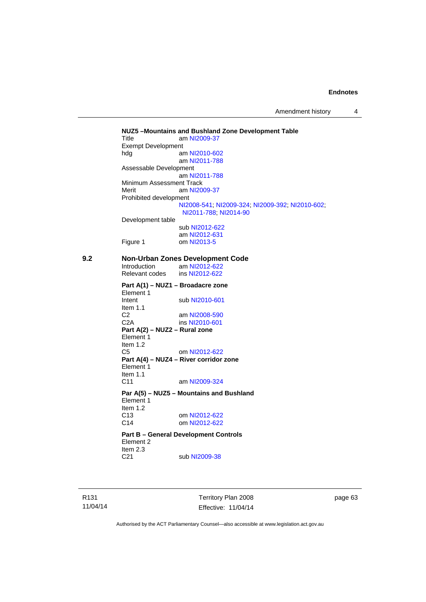Amendment history 4

**NUZ5 –Mountains and Bushland Zone Development Table**  Title am [NI2009-37](http://www.legislation.act.gov.au/ni/2009-37/) Exempt Development<br>hdg ar am [NI2010-602](http://www.legislation.act.gov.au/ni/2010-602/) am [NI2011-788](http://www.legislation.act.gov.au/ni/2011-788/) Assessable Development am [NI2011-788](http://www.legislation.act.gov.au/ni/2011-788/) Minimum Assessment Track Merit am [NI2009-37](http://www.legislation.act.gov.au/ni/2009-37/) Prohibited development [NI2008-541](http://www.legislation.act.gov.au/ni/2008-541/); [NI2009-324](http://www.legislation.act.gov.au/ni/2009-324/); [NI2009-392](http://www.legislation.act.gov.au/ni/2009-392/); [NI2010-602](http://www.legislation.act.gov.au/ni/2010-602/); [NI2011-788](http://www.legislation.act.gov.au/ni/2011-788/); [NI2014-90](http://www.legislation.act.gov.au/ni/2014-90/default.asp) Development table sub [NI2012-622](http://www.legislation.act.gov.au/ni/2012-622/default.asp) am [NI2012-631](http://www.legislation.act.gov.au/ni/2012-631/default.asp) Figure 1 om [NI2013-5](http://www.legislation.act.gov.au/ni/2013-5/default.asp) **9.2 Non-Urban Zones Development Code**  Introduction am [NI2012-622](http://www.legislation.act.gov.au/ni/2012-622/default.asp)<br>Relevant codes ins NI2012-622 Relevant codes **Part A(1) – NUZ1 – Broadacre zone**  Element 1 Intent sub [NI2010-601](http://www.legislation.act.gov.au/ni/2010-601/) Item 1.1 C2 am [NI2008-590](http://www.legislation.act.gov.au/ni/2008-590/default.asp) C2A ins [NI2010-601](http://www.legislation.act.gov.au/ni/2010-601/) **Part A(2) – NUZ2 – Rural zone**  Element 1 Item 1.2 C5 om [NI2012-622](http://www.legislation.act.gov.au/ni/2012-622/default.asp) **Part A(4) – NUZ4 – River corridor zone**  Element 1 Item  $1.1$ <br>C<sub>11</sub> am [NI2009-324](http://www.legislation.act.gov.au/ni/2009-324/) **Par A(5) – NUZ5 – Mountains and Bushland**  Element 1 Item 1.2 C13 om [NI2012-622](http://www.legislation.act.gov.au/ni/2012-622/default.asp) C14 om [NI2012-622](http://www.legislation.act.gov.au/ni/2012-622/default.asp) **Part B – General Development Controls**  Element 2 Item  $2.3$ <br>C<sub>21</sub> sub [NI2009-38](http://www.legislation.act.gov.au/ni/2009-38/)

R131 11/04/14 Territory Plan 2008 Effective: 11/04/14 page 63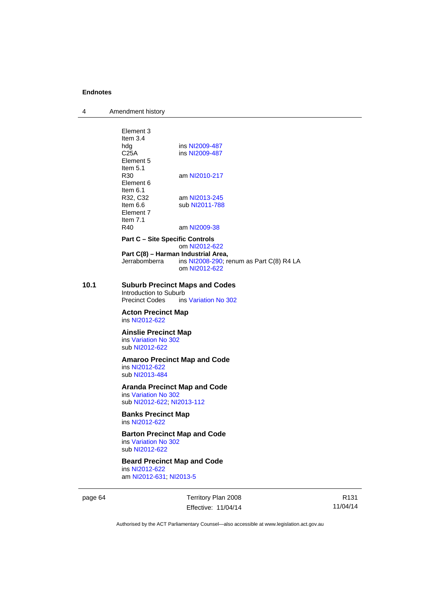| 4 | Amendment history |
|---|-------------------|
|---|-------------------|

|      | Element 3<br>Item $3.4$                                                                        |                                          |  |  |
|------|------------------------------------------------------------------------------------------------|------------------------------------------|--|--|
|      | hdg                                                                                            | ins NI2009-487                           |  |  |
|      | C25A                                                                                           | ins NI2009-487                           |  |  |
|      | Element 5                                                                                      |                                          |  |  |
|      | Item 5.1                                                                                       |                                          |  |  |
|      | R30<br>Element 6                                                                               | am NI2010-217                            |  |  |
|      | Item $6.1$                                                                                     |                                          |  |  |
|      | R32, C32                                                                                       | am NI2013-245                            |  |  |
|      | Item $6.6$                                                                                     | sub NI2011-788                           |  |  |
|      | Element 7                                                                                      |                                          |  |  |
|      | Item $7.1$                                                                                     |                                          |  |  |
|      | R40                                                                                            | am NI2009-38                             |  |  |
|      | <b>Part C – Site Specific Controls</b><br>om NI2012-622<br>Part C(8) - Harman Industrial Area, |                                          |  |  |
|      |                                                                                                |                                          |  |  |
|      | Jerrabomberra                                                                                  | ins NI2008-290; renum as Part C(8) R4 LA |  |  |
|      |                                                                                                | om NI2012-622                            |  |  |
|      |                                                                                                |                                          |  |  |
| 10.1 | <b>Suburb Precinct Maps and Codes</b>                                                          |                                          |  |  |
|      | Introduction to Suburb                                                                         |                                          |  |  |
|      | <b>Precinct Codes</b>                                                                          | ins Variation No 302                     |  |  |
|      | <b>Acton Precinct Map</b>                                                                      |                                          |  |  |
|      | ins NI2012-622                                                                                 |                                          |  |  |
|      | <b>Ainslie Precinct Map</b><br>ins Variation No 302                                            |                                          |  |  |
|      |                                                                                                |                                          |  |  |
|      | sub NI2012-622                                                                                 |                                          |  |  |
|      | <b>Amaroo Precinct Map and Code</b>                                                            |                                          |  |  |
|      | ins NI2012-622                                                                                 |                                          |  |  |
|      | sub NI2013-484                                                                                 |                                          |  |  |
|      | <b>Aranda Precinct Map and Code</b>                                                            |                                          |  |  |
|      | ins Variation No 302                                                                           |                                          |  |  |
|      | sub NI2012-622; NI2013-112                                                                     |                                          |  |  |
|      | <b>Banks Precinct Map</b>                                                                      |                                          |  |  |
|      | ins NI2012-622<br><b>Barton Precinct Map and Code</b><br>ins Variation No 302                  |                                          |  |  |
|      |                                                                                                |                                          |  |  |
|      |                                                                                                |                                          |  |  |
|      | sub NI2012-622                                                                                 |                                          |  |  |
|      | <b>Beard Precinct Map and Code</b>                                                             |                                          |  |  |
|      | ins NI2012-622                                                                                 |                                          |  |  |
|      | am NI2012-631; NI2013-5                                                                        |                                          |  |  |
|      |                                                                                                |                                          |  |  |

page 64 Territory Plan 2008 Effective: 11/04/14

R131 11/04/14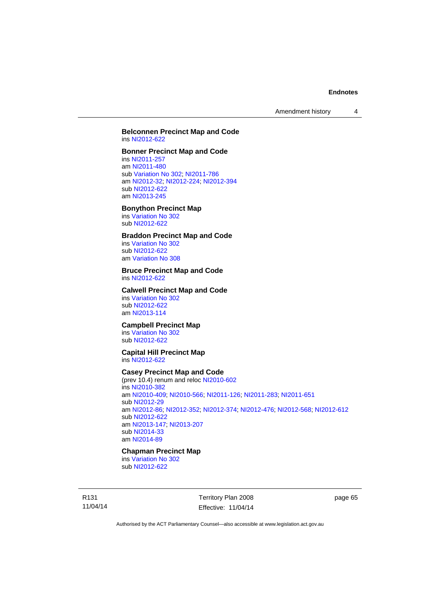Amendment history 4

#### **Belconnen Precinct Map and Code**  ins [NI2012-622](http://www.legislation.act.gov.au/ni/2012-622/default.asp)

## **Bonner Precinct Map and Code**

ins [NI2011-257](http://www.legislation.act.gov.au/ni/2011-257/) am [NI2011-480](http://www.legislation.act.gov.au/ni/2011-480/) sub [Variation No 302](http://www.legislation.act.gov.au/ni/2011-573/); [NI2011-786](http://www.legislation.act.gov.au/ni/2011-786/) am [NI2012-32](http://www.legislation.act.gov.au/ni/2012-32/); [NI2012-224](http://www.legislation.act.gov.au/ni/2012-224/); [NI2012-394](http://www.legislation.act.gov.au/ni/2012-394/) sub [NI2012-622](http://www.legislation.act.gov.au/ni/2012-622/default.asp) am [NI2013-245](http://www.legislation.act.gov.au/ni/2013-245/default.asp)

## **Bonython Precinct Map**

ins [Variation No 302](http://www.legislation.act.gov.au/ni/2011-573/) sub [NI2012-622](http://www.legislation.act.gov.au/ni/2012-622/default.asp)

## **Braddon Precinct Map and Code**

ins [Variation No 302](http://www.legislation.act.gov.au/ni/2011-573/) sub [NI2012-622](http://www.legislation.act.gov.au/ni/2012-622/default.asp) am [Variation No 308](http://www.legislation.act.gov.au/ni/2014-60/default.asp)

# **Bruce Precinct Map and Code**

ins [NI2012-622](http://www.legislation.act.gov.au/ni/2012-622/default.asp)

#### **Calwell Precinct Map and Code**

ins [Variation No 302](http://www.legislation.act.gov.au/ni/2011-573/) sub [NI2012-622](http://www.legislation.act.gov.au/ni/2012-622/default.asp) am [NI2013-114](http://www.legislation.act.gov.au/ni/2013-114/default.asp)

# **Campbell Precinct Map**

ins [Variation No 302](http://www.legislation.act.gov.au/ni/2011-573/) sub [NI2012-622](http://www.legislation.act.gov.au/ni/2012-622/default.asp)

#### **Capital Hill Precinct Map**  ins [NI2012-622](http://www.legislation.act.gov.au/ni/2012-622/default.asp)

#### **Casey Precinct Map and Code**

(prev 10.4) renum and reloc [NI2010-602](http://www.legislation.act.gov.au/ni/2010-602/) ins [NI2010-382](http://www.legislation.act.gov.au/ni/2010-382/) am [NI2010-409](http://www.legislation.act.gov.au/ni/2010-409/); [NI2010-566](http://www.legislation.act.gov.au/ni/2010-566/); [NI2011-126](http://www.legislation.act.gov.au/ni/2011-126/); [NI2011-283](http://www.legislation.act.gov.au/ni/2011-283/); [NI2011-651](http://www.legislation.act.gov.au/ni/2011-651/) sub [NI2012-29](http://www.legislation.act.gov.au/ni/2012-29/) am [NI2012-86](http://www.legislation.act.gov.au/ni/2012-86/); [NI2012-352](http://www.legislation.act.gov.au/ni/2012-352/); [NI2012-374](http://www.legislation.act.gov.au/ni/2012-374/); [NI2012-476](http://www.legislation.act.gov.au/ni/2012-476/); [NI2012-568](http://www.legislation.act.gov.au/ni/2012-568/default.asp); [NI2012-612](http://www.legislation.act.gov.au/ni/2012-612/default.asp) sub [NI2012-622](http://www.legislation.act.gov.au/ni/2012-622/default.asp) am [NI2013-147](http://www.legislation.act.gov.au/ni/2013-147/default.asp); [NI2013-207](http://www.legislation.act.gov.au/ni/2013-207/default.asp) sub [NI2014-33](http://www.legislation.act.gov.au/ni/2014-33/default.asp) am [NI2014-89](http://www.legislation.act.gov.au/ni/2014-89/default.asp)

## **Chapman Precinct Map**

ins [Variation No 302](http://www.legislation.act.gov.au/ni/2011-573/) sub [NI2012-622](http://www.legislation.act.gov.au/ni/2012-622/default.asp)

R131 11/04/14 Territory Plan 2008 Effective: 11/04/14 page 65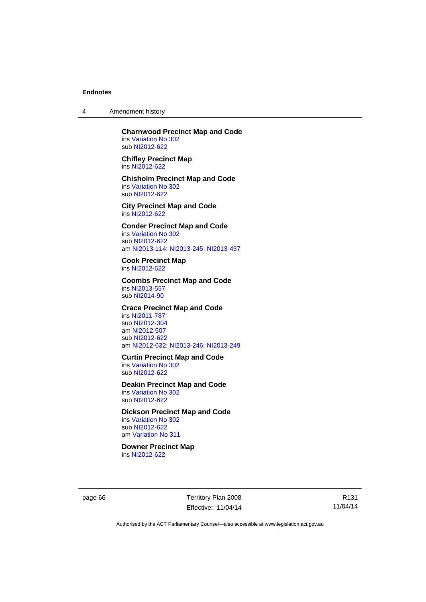4 Amendment history

**Charnwood Precinct Map and Code**  ins [Variation No 302](http://www.legislation.act.gov.au/ni/2011-573/) sub [NI2012-622](http://www.legislation.act.gov.au/ni/2012-622/default.asp)

**Chifley Precinct Map**  ins [NI2012-622](http://www.legislation.act.gov.au/ni/2012-622/default.asp)

**Chisholm Precinct Map and Code**  ins [Variation No 302](http://www.legislation.act.gov.au/ni/2011-573/) sub [NI2012-622](http://www.legislation.act.gov.au/ni/2012-622/default.asp)

**City Precinct Map and Code**  ins [NI2012-622](http://www.legislation.act.gov.au/ni/2012-622/default.asp)

**Conder Precinct Map and Code**  ins [Variation No 302](http://www.legislation.act.gov.au/ni/2011-573/) sub [NI2012-622](http://www.legislation.act.gov.au/ni/2012-622/default.asp) am [NI2013-114](http://www.legislation.act.gov.au/ni/2013-114/default.asp); [NI2013-245](http://www.legislation.act.gov.au/ni/2013-245/default.asp); [NI2013-437](http://www.legislation.act.gov.au/ni/2013-437/default.asp)

**Cook Precinct Map**  ins [NI2012-622](http://www.legislation.act.gov.au/ni/2012-622/default.asp)

**Coombs Precinct Map and Code**  ins [NI2013-557](http://www.legislation.act.gov.au/ni/2013-557/default.asp) sub [NI2014-90](http://www.legislation.act.gov.au/ni/2014-90/default.asp)

**Crace Precinct Map and Code** 

ins [NI2011-787](http://www.legislation.act.gov.au/ni/2011-787/) sub [NI2012-304](http://www.legislation.act.gov.au/ni/2012-304/) am [NI2012-507](http://www.legislation.act.gov.au/ni/2012-507/) sub [NI2012-622](http://www.legislation.act.gov.au/ni/2012-622/default.asp) am [NI2012-632](http://www.legislation.act.gov.au/ni/2012-632/default.asp); [NI2013-246](http://www.legislation.act.gov.au/ni/2013-246/default.asp); [NI2013-249](http://www.legislation.act.gov.au/ni/2013-248/default.asp)

**Curtin Precinct Map and Code** 

ins [Variation No 302](http://www.legislation.act.gov.au/ni/2011-573/) sub [NI2012-622](http://www.legislation.act.gov.au/ni/2012-622/default.asp)

**Deakin Precinct Map and Code** 

ins [Variation No 302](http://www.legislation.act.gov.au/ni/2011-573/) sub [NI2012-622](http://www.legislation.act.gov.au/ni/2012-622/default.asp)

**Dickson Precinct Map and Code** 

ins [Variation No 302](http://www.legislation.act.gov.au/ni/2011-573/) sub [NI2012-622](http://www.legislation.act.gov.au/ni/2012-622/default.asp) am [Variation No 311](http://www.legislation.act.gov.au/ni/2013-208/default.asp)

**Downer Precinct Map** 

ins [NI2012-622](http://www.legislation.act.gov.au/ni/2012-622/default.asp)

page 66 Territory Plan 2008 Effective: 11/04/14

R131 11/04/14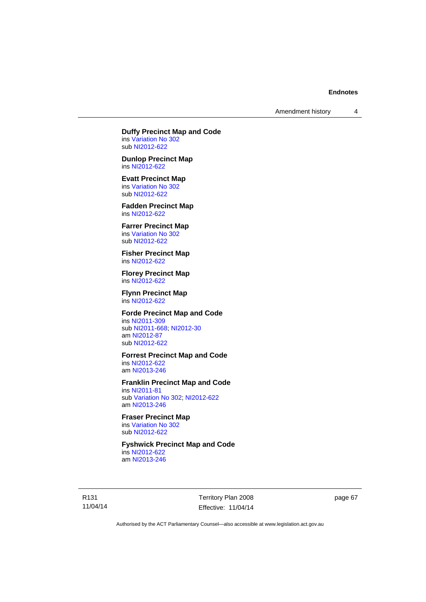Amendment history 4

**Duffy Precinct Map and Code**  ins [Variation No 302](http://www.legislation.act.gov.au/ni/2011-573/)

sub [NI2012-622](http://www.legislation.act.gov.au/ni/2012-622/default.asp) **Dunlop Precinct Map** 

ins [NI2012-622](http://www.legislation.act.gov.au/ni/2012-622/default.asp)

**Evatt Precinct Map**  ins [Variation No 302](http://www.legislation.act.gov.au/ni/2011-573/) sub [NI2012-622](http://www.legislation.act.gov.au/ni/2012-622/default.asp)

**Fadden Precinct Map**  ins [NI2012-622](http://www.legislation.act.gov.au/ni/2012-622/default.asp)

**Farrer Precinct Map**  ins [Variation No 302](http://www.legislation.act.gov.au/ni/2011-573/) sub [NI2012-622](http://www.legislation.act.gov.au/ni/2012-622/default.asp)

**Fisher Precinct Map**  ins [NI2012-622](http://www.legislation.act.gov.au/ni/2012-622/default.asp)

**Florey Precinct Map**  ins [NI2012-622](http://www.legislation.act.gov.au/ni/2012-622/default.asp)

**Flynn Precinct Map**  ins [NI2012-622](http://www.legislation.act.gov.au/ni/2012-622/default.asp)

**Forde Precinct Map and Code** 

ins [NI2011-309](http://www.legislation.act.gov.au/ni/2011-309/) sub [NI2011-668](http://www.legislation.act.gov.au/ni/2011-668/); [NI2012-30](http://www.legislation.act.gov.au/ni/2012-30/) am [NI2012-87](http://www.legislation.act.gov.au/ni/2012-87/) sub [NI2012-622](http://www.legislation.act.gov.au/ni/2012-622/default.asp)

**Forrest Precinct Map and Code** 

ins [NI2012-622](http://www.legislation.act.gov.au/ni/2012-622/default.asp) am [NI2013-246](http://www.legislation.act.gov.au/ni/2013-246/default.asp)

**Franklin Precinct Map and Code** 

ins [NI2011-81](http://www.legislation.act.gov.au/ni/2011-81/) sub [Variation No 302](http://www.legislation.act.gov.au/ni/2011-573/); [NI2012-622](http://www.legislation.act.gov.au/ni/2012-622/default.asp) am [NI2013-246](http://www.legislation.act.gov.au/ni/2013-246/default.asp)

**Fraser Precinct Map**  ins [Variation No 302](http://www.legislation.act.gov.au/ni/2011-573/)

sub [NI2012-622](http://www.legislation.act.gov.au/ni/2012-622/default.asp)

**Fyshwick Precinct Map and Code** 

ins [NI2012-622](http://www.legislation.act.gov.au/ni/2012-622/default.asp) am [NI2013-246](http://www.legislation.act.gov.au/ni/2013-246/default.asp)

R131 11/04/14 Territory Plan 2008 Effective: 11/04/14 page 67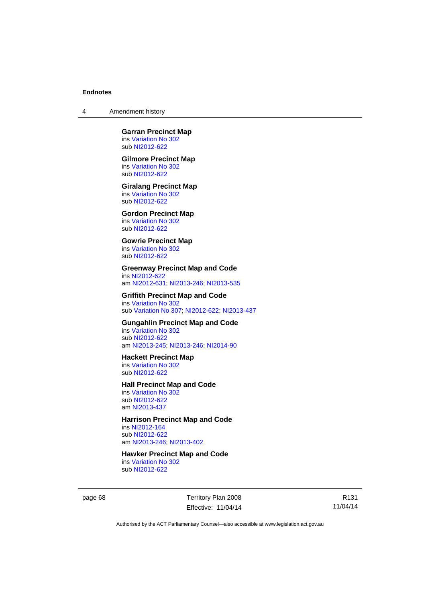4 Amendment history

**Garran Precinct Map**  ins [Variation No 302](http://www.legislation.act.gov.au/ni/2011-573/) sub [NI2012-622](http://www.legislation.act.gov.au/ni/2012-622/default.asp)

#### **Gilmore Precinct Map**

ins [Variation No 302](http://www.legislation.act.gov.au/ni/2011-573/) sub [NI2012-622](http://www.legislation.act.gov.au/ni/2012-622/default.asp)

# **Giralang Precinct Map**

ins [Variation No 302](http://www.legislation.act.gov.au/ni/2011-573/) sub [NI2012-622](http://www.legislation.act.gov.au/ni/2012-622/default.asp)

## **Gordon Precinct Map**

ins [Variation No 302](http://www.legislation.act.gov.au/ni/2011-573/) sub [NI2012-622](http://www.legislation.act.gov.au/ni/2012-622/default.asp)

#### **Gowrie Precinct Map**  ins [Variation No 302](http://www.legislation.act.gov.au/ni/2011-573/)

sub [NI2012-622](http://www.legislation.act.gov.au/ni/2012-622/default.asp)

## **Greenway Precinct Map and Code**

ins [NI2012-622](http://www.legislation.act.gov.au/ni/2012-622/default.asp) am [NI2012-631](http://www.legislation.act.gov.au/ni/2012-631/default.asp); [NI2013-246](http://www.legislation.act.gov.au/ni/2013-246/default.asp); [NI2013-535](http://www.legislation.act.gov.au/ni/2013-535/)

#### **Griffith Precinct Map and Code**

ins [Variation No 302](http://www.legislation.act.gov.au/ni/2011-573/) sub [Variation No 307](http://www.legislation.act.gov.au/ni/2012-201/); [NI2012-622](http://www.legislation.act.gov.au/ni/2012-622/default.asp); [NI2013-437](http://www.legislation.act.gov.au/ni/2013-437/default.asp)

## **Gungahlin Precinct Map and Code**

ins [Variation No 302](http://www.legislation.act.gov.au/ni/2011-573/) sub [NI2012-622](http://www.legislation.act.gov.au/ni/2012-622/default.asp) am [NI2013-245](http://www.legislation.act.gov.au/ni/2013-245/default.asp); [NI2013-246](http://www.legislation.act.gov.au/ni/2013-246/default.asp); [NI2014-90](http://www.legislation.act.gov.au/ni/2014-90/default.asp)

#### **Hackett Precinct Map**

ins [Variation No 302](http://www.legislation.act.gov.au/ni/2011-573/) sub [NI2012-622](http://www.legislation.act.gov.au/ni/2012-622/default.asp)

#### **Hall Precinct Map and Code**

ins [Variation No 302](http://www.legislation.act.gov.au/ni/2011-573/) sub [NI2012-622](http://www.legislation.act.gov.au/ni/2012-622/default.asp) am [NI2013-437](http://www.legislation.act.gov.au/ni/2013-437/default.asp)

## **Harrison Precinct Map and Code**

ins [NI2012-164](http://www.legislation.act.gov.au/ni/2012-164/) sub [NI2012-622](http://www.legislation.act.gov.au/ni/2012-622/default.asp) am [NI2013-246](http://www.legislation.act.gov.au/ni/2013-246/default.asp); [NI2013-402](http://www.legislation.act.gov.au/ni/2013-402/default.asp)

## **Hawker Precinct Map and Code**

ins [Variation No 302](http://www.legislation.act.gov.au/ni/2011-573/) sub [NI2012-622](http://www.legislation.act.gov.au/ni/2012-622/default.asp)

page 68 Territory Plan 2008 Effective: 11/04/14

R131 11/04/14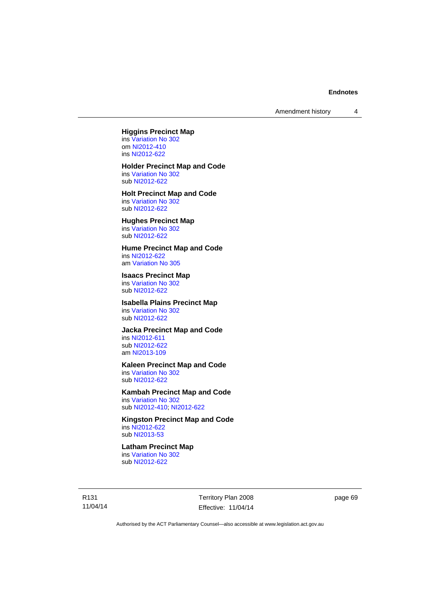Amendment history 4

## **Higgins Precinct Map**

ins [Variation No 302](http://www.legislation.act.gov.au/ni/2011-573/) om [NI2012-410](http://www.legislation.act.gov.au/ni/2012-410/) ins [NI2012-622](http://www.legislation.act.gov.au/ni/2012-622/default.asp)

# **Holder Precinct Map and Code**

ins [Variation No 302](http://www.legislation.act.gov.au/ni/2011-573/) sub [NI2012-622](http://www.legislation.act.gov.au/ni/2012-622/default.asp)

#### **Holt Precinct Map and Code**  ins [Variation No 302](http://www.legislation.act.gov.au/ni/2011-573/)

sub [NI2012-622](http://www.legislation.act.gov.au/ni/2012-622/default.asp)

# **Hughes Precinct Map**

ins [Variation No 302](http://www.legislation.act.gov.au/ni/2011-573/) sub [NI2012-622](http://www.legislation.act.gov.au/ni/2012-622/default.asp)

### **Hume Precinct Map and Code**

ins [NI2012-622](http://www.legislation.act.gov.au/ni/2012-622/default.asp) am [Variation No 305](http://www.legislation.act.gov.au/ni/2013-530/default.asp)

## **Isaacs Precinct Map**

ins [Variation No 302](http://www.legislation.act.gov.au/ni/2011-573/) sub [NI2012-622](http://www.legislation.act.gov.au/ni/2012-622/default.asp)

## **Isabella Plains Precinct Map**

ins [Variation No 302](http://www.legislation.act.gov.au/ni/2011-573/) sub [NI2012-622](http://www.legislation.act.gov.au/ni/2012-622/default.asp)

## **Jacka Precinct Map and Code**

ins [NI2012-611](http://www.legislation.act.gov.au/ni/2012-611/default.asp) sub [NI2012-622](http://www.legislation.act.gov.au/ni/2012-622/default.asp) am [NI2013-109](http://www.legislation.act.gov.au/ni/2013-109/default.asp)

## **Kaleen Precinct Map and Code**

ins [Variation No 302](http://www.legislation.act.gov.au/ni/2011-573/) sub [NI2012-622](http://www.legislation.act.gov.au/ni/2012-622/default.asp)

## **Kambah Precinct Map and Code**

ins [Variation No 302](http://www.legislation.act.gov.au/ni/2011-573/) sub [NI2012-410](http://www.legislation.act.gov.au/ni/2012-410/); [NI2012-622](http://www.legislation.act.gov.au/ni/2012-622/default.asp)

#### **Kingston Precinct Map and Code**  ins [NI2012-622](http://www.legislation.act.gov.au/ni/2012-622/default.asp)

sub [NI2013-53](http://www.legislation.act.gov.au/ni/2013-53/default.asp)

## **Latham Precinct Map**

ins [Variation No 302](http://www.legislation.act.gov.au/ni/2011-573/) sub [NI2012-622](http://www.legislation.act.gov.au/ni/2012-622/default.asp)

R131 11/04/14 Territory Plan 2008 Effective: 11/04/14 page 69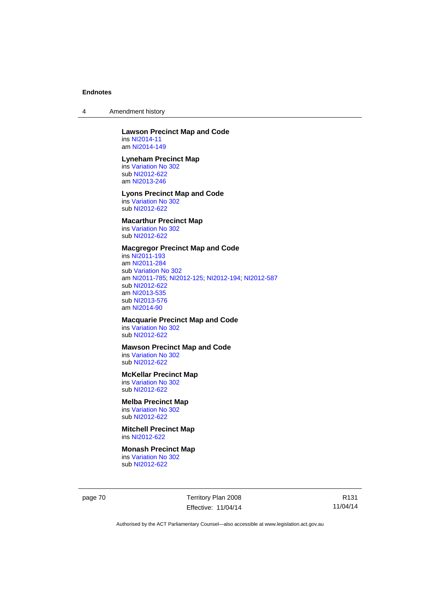4 Amendment history

#### **Lawson Precinct Map and Code**  ins [NI2014-11](http://www.legislation.act.gov.au/ni/2014-11/default.asp)

am [NI2014-149](http://www.legislation.act.gov.au/ni/2014-149/default.asp)

## **Lyneham Precinct Map**

ins [Variation No 302](http://www.legislation.act.gov.au/ni/2011-573/) sub [NI2012-622](http://www.legislation.act.gov.au/ni/2012-622/default.asp) am [NI2013-246](http://www.legislation.act.gov.au/ni/2013-246/default.asp)

### **Lyons Precinct Map and Code**  ins [Variation No 302](http://www.legislation.act.gov.au/ni/2011-573/)

sub [NI2012-622](http://www.legislation.act.gov.au/ni/2012-622/default.asp)

# **Macarthur Precinct Map**

ins [Variation No 302](http://www.legislation.act.gov.au/ni/2011-573/) sub [NI2012-622](http://www.legislation.act.gov.au/ni/2012-622/default.asp)

## **Macgregor Precinct Map and Code**

ins [NI2011-193](http://www.legislation.act.gov.au/ni/2011-193/) am [NI2011-284](http://www.legislation.act.gov.au/ni/2011-284/) sub [Variation No 302](http://www.legislation.act.gov.au/ni/2011-573/) am [NI2011-785](http://www.legislation.act.gov.au/ni/2011-785/); [NI2012-125](http://www.legislation.act.gov.au/ni/2012-125/); [NI2012-194](http://www.legislation.act.gov.au/ni/2012-194/); [NI2012-587](http://www.legislation.act.gov.au/ni/2012-587/default.asp) sub [NI2012-622](http://www.legislation.act.gov.au/ni/2012-622/default.asp) am [NI2013-535](http://www.legislation.act.gov.au/ni/2013-535/) sub [NI2013-576](http://www.legislation.act.gov.au/ni/2013-576/default.asp) am [NI2014-90](http://www.legislation.act.gov.au/ni/2014-90/default.asp)

## **Macquarie Precinct Map and Code**

ins [Variation No 302](http://www.legislation.act.gov.au/ni/2011-573/) sub [NI2012-622](http://www.legislation.act.gov.au/ni/2012-622/default.asp)

## **Mawson Precinct Map and Code**

ins [Variation No 302](http://www.legislation.act.gov.au/ni/2011-573/) sub [NI2012-622](http://www.legislation.act.gov.au/ni/2012-622/default.asp)

## **McKellar Precinct Map**

ins [Variation No 302](http://www.legislation.act.gov.au/ni/2011-573/) sub [NI2012-622](http://www.legislation.act.gov.au/ni/2012-622/default.asp)

# **Melba Precinct Map**

ins [Variation No 302](http://www.legislation.act.gov.au/ni/2011-573/) sub [NI2012-622](http://www.legislation.act.gov.au/ni/2012-622/default.asp)

**Mitchell Precinct Map**  ins [NI2012-622](http://www.legislation.act.gov.au/ni/2012-622/default.asp)

#### **Monash Precinct Map**

ins [Variation No 302](http://www.legislation.act.gov.au/ni/2011-573/) sub [NI2012-622](http://www.legislation.act.gov.au/ni/2012-622/default.asp)

page 70 Territory Plan 2008 Effective: 11/04/14

R131 11/04/14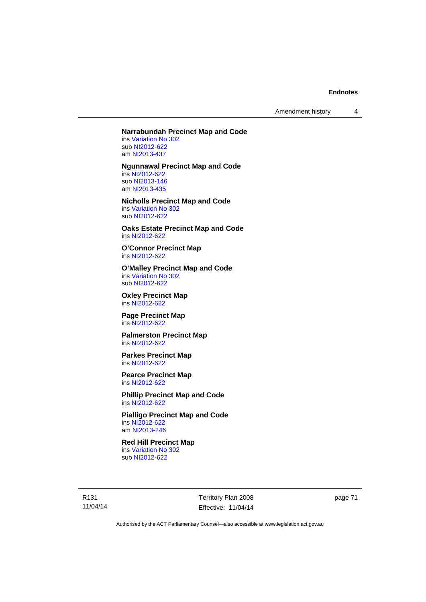Amendment history 4

## **Narrabundah Precinct Map and Code**

ins [Variation No 302](http://www.legislation.act.gov.au/ni/2011-573/) sub [NI2012-622](http://www.legislation.act.gov.au/ni/2012-622/default.asp) am [NI2013-437](http://www.legislation.act.gov.au/ni/2013-437/default.asp)

**Ngunnawal Precinct Map and Code** 

ins [NI2012-622](http://www.legislation.act.gov.au/ni/2012-622/default.asp) sub [NI2013-146](http://www.legislation.act.gov.au/ni/2013-146/default.asp) am [NI2013-435](http://www.legislation.act.gov.au/ni/2013-435/default.asp)

# **Nicholls Precinct Map and Code**

ins [Variation No 302](http://www.legislation.act.gov.au/ni/2011-573/) sub [NI2012-622](http://www.legislation.act.gov.au/ni/2012-622/default.asp)

**Oaks Estate Precinct Map and Code**  ins [NI2012-622](http://www.legislation.act.gov.au/ni/2012-622/default.asp)

**O'Connor Precinct Map**  ins [NI2012-622](http://www.legislation.act.gov.au/ni/2012-622/default.asp)

#### **O'Malley Precinct Map and Code**  ins [Variation No 302](http://www.legislation.act.gov.au/ni/2011-573/) sub [NI2012-622](http://www.legislation.act.gov.au/ni/2012-622/default.asp)

**Oxley Precinct Map**  ins [NI2012-622](http://www.legislation.act.gov.au/ni/2012-622/default.asp)

**Page Precinct Map**  ins [NI2012-622](http://www.legislation.act.gov.au/ni/2012-622/default.asp)

**Palmerston Precinct Map**  ins [NI2012-622](http://www.legislation.act.gov.au/ni/2012-622/default.asp)

**Parkes Precinct Map**  ins [NI2012-622](http://www.legislation.act.gov.au/ni/2012-622/default.asp)

**Pearce Precinct Map**  ins [NI2012-622](http://www.legislation.act.gov.au/ni/2012-622/default.asp)

**Phillip Precinct Map and Code**  ins [NI2012-622](http://www.legislation.act.gov.au/ni/2012-622/default.asp)

#### **Pialligo Precinct Map and Code**  ins [NI2012-622](http://www.legislation.act.gov.au/ni/2012-622/default.asp) am [NI2013-246](http://www.legislation.act.gov.au/ni/2013-246/default.asp)

## **Red Hill Precinct Map**

ins [Variation No 302](http://www.legislation.act.gov.au/ni/2011-573/) sub [NI2012-622](http://www.legislation.act.gov.au/ni/2012-622/default.asp)

R131 11/04/14 Territory Plan 2008 Effective: 11/04/14 page 71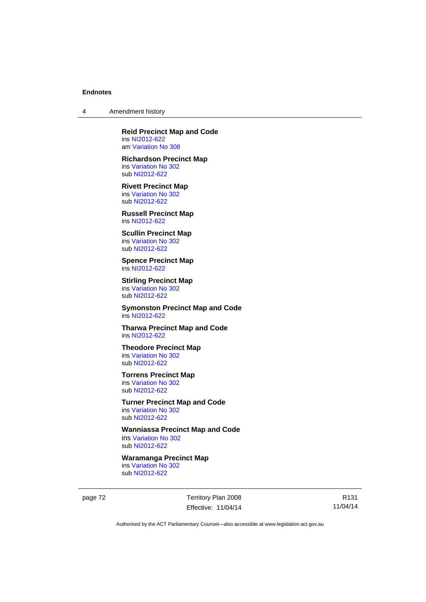4 Amendment history

# **Reid Precinct Map and Code**

ins [NI2012-622](http://www.legislation.act.gov.au/ni/2012-622/default.asp) am [Variation No 308](http://www.legislation.act.gov.au/ni/2014-60/default.asp)

# **Richardson Precinct Map**

ins [Variation No 302](http://www.legislation.act.gov.au/ni/2011-573/) sub [NI2012-622](http://www.legislation.act.gov.au/ni/2012-622/default.asp)

### **Rivett Precinct Map**  ins [Variation No 302](http://www.legislation.act.gov.au/ni/2011-573/) sub [NI2012-622](http://www.legislation.act.gov.au/ni/2012-622/default.asp)

**Russell Precinct Map**  ins [NI2012-622](http://www.legislation.act.gov.au/ni/2012-622/default.asp)

### **Scullin Precinct Map**  ins [Variation No 302](http://www.legislation.act.gov.au/ni/2011-573/)

sub [NI2012-622](http://www.legislation.act.gov.au/ni/2012-622/default.asp)

#### **Spence Precinct Map**  ins [NI2012-622](http://www.legislation.act.gov.au/ni/2012-622/default.asp)

#### **Stirling Precinct Map**  ins [Variation No 302](http://www.legislation.act.gov.au/ni/2011-573/) sub [NI2012-622](http://www.legislation.act.gov.au/ni/2012-622/default.asp)

**Symonston Precinct Map and Code**  ins [NI2012-622](http://www.legislation.act.gov.au/ni/2012-622/default.asp)

## **Tharwa Precinct Map and Code**  ins [NI2012-622](http://www.legislation.act.gov.au/ni/2012-622/default.asp)

**Theodore Precinct Map**  ins [Variation No 302](http://www.legislation.act.gov.au/ni/2011-573/) sub [NI2012-622](http://www.legislation.act.gov.au/ni/2012-622/default.asp)

# **Torrens Precinct Map**

ins [Variation No 302](http://www.legislation.act.gov.au/ni/2011-573/) sub [NI2012-622](http://www.legislation.act.gov.au/ni/2012-622/default.asp)

# **Turner Precinct Map and Code**

ins [Variation No 302](http://www.legislation.act.gov.au/ni/2011-573/) sub [NI2012-622](http://www.legislation.act.gov.au/ni/2012-622/default.asp)

## **Wanniassa Precinct Map and Code**

ins [Variation No 302](http://www.legislation.act.gov.au/ni/2011-573/) sub [NI2012-622](http://www.legislation.act.gov.au/ni/2012-622/default.asp)

## **Waramanga Precinct Map**

ins [Variation No 302](http://www.legislation.act.gov.au/ni/2011-573/) sub [NI2012-622](http://www.legislation.act.gov.au/ni/2012-622/default.asp)

page 72 Territory Plan 2008 Effective: 11/04/14

R131 11/04/14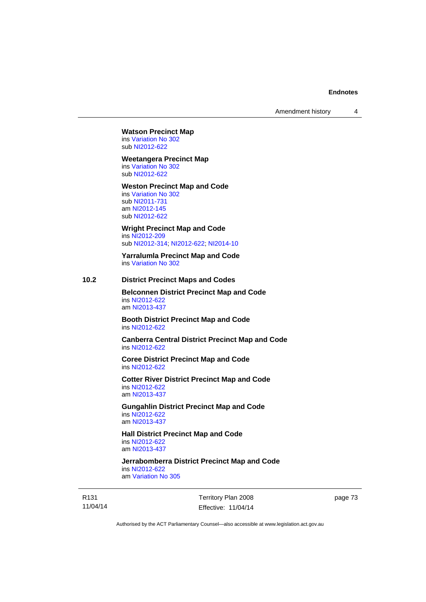Amendment history 4

#### **Watson Precinct Map**  ins [Variation No 302](http://www.legislation.act.gov.au/ni/2011-573/)

sub [NI2012-622](http://www.legislation.act.gov.au/ni/2012-622/default.asp)

#### **Weetangera Precinct Map**

ins [Variation No 302](http://www.legislation.act.gov.au/ni/2011-573/) sub [NI2012-622](http://www.legislation.act.gov.au/ni/2012-622/default.asp)

#### **Weston Precinct Map and Code**

ins [Variation No 302](http://www.legislation.act.gov.au/ni/2011-573/) sub [NI2011-731](http://www.legislation.act.gov.au/ni/2011-731/) am [NI2012-145](http://www.legislation.act.gov.au/ni/2012-145/) sub [NI2012-622](http://www.legislation.act.gov.au/ni/2012-622/default.asp)

**Wright Precinct Map and Code**  ins [NI2012-209](http://www.legislation.act.gov.au/ni/2012-209/) sub [NI2012-314](http://www.legislation.act.gov.au/ni/2012-314/); [NI2012-622](http://www.legislation.act.gov.au/ni/2012-622/default.asp); [NI2014-10](http://www.legislation.act.gov.au/ni/2014-10/default.asp)

**Yarralumla Precinct Map and Code**  ins [Variation No 302](http://www.legislation.act.gov.au/ni/2011-573/)

## **10.2 District Precinct Maps and Codes**

**Belconnen District Precinct Map and Code**  ins [NI2012-622](http://www.legislation.act.gov.au/ni/2012-622/default.asp) am [NI2013-437](http://www.legislation.act.gov.au/ni/2013-437/default.asp)

**Booth District Precinct Map and Code**  ins [NI2012-622](http://www.legislation.act.gov.au/ni/2012-622/default.asp)

**Canberra Central District Precinct Map and Code**  ins [NI2012-622](http://www.legislation.act.gov.au/ni/2012-622/default.asp)

**Coree District Precinct Map and Code**  ins [NI2012-622](http://www.legislation.act.gov.au/ni/2012-622/default.asp)

**Cotter River District Precinct Map and Code**  ins [NI2012-622](http://www.legislation.act.gov.au/ni/2012-622/default.asp) am [NI2013-437](http://www.legislation.act.gov.au/ni/2013-437/default.asp)

**Gungahlin District Precinct Map and Code**  ins [NI2012-622](http://www.legislation.act.gov.au/ni/2012-622/default.asp) am [NI2013-437](http://www.legislation.act.gov.au/ni/2013-437/default.asp)

**Hall District Precinct Map and Code**  ins [NI2012-622](http://www.legislation.act.gov.au/ni/2012-622/default.asp) am [NI2013-437](http://www.legislation.act.gov.au/ni/2013-437/default.asp)

**Jerrabomberra District Precinct Map and Code**  ins [NI2012-622](http://www.legislation.act.gov.au/ni/2012-622/default.asp) am [Variation No 305](http://www.legislation.act.gov.au/ni/2013-530/default.asp)

R131 11/04/14 Territory Plan 2008 Effective: 11/04/14 page 73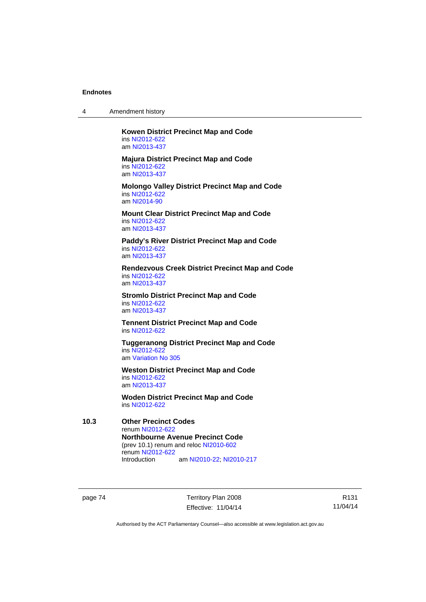| Amendment history<br>4 |  |
|------------------------|--|
|------------------------|--|

**Kowen District Precinct Map and Code**  ins [NI2012-622](http://www.legislation.act.gov.au/ni/2012-622/default.asp) am [NI2013-437](http://www.legislation.act.gov.au/ni/2013-437/default.asp)

**Majura District Precinct Map and Code**  ins [NI2012-622](http://www.legislation.act.gov.au/ni/2012-622/default.asp) am [NI2013-437](http://www.legislation.act.gov.au/ni/2013-437/default.asp)

**Molongo Valley District Precinct Map and Code**  ins [NI2012-622](http://www.legislation.act.gov.au/ni/2012-622/default.asp) am [NI2014-90](http://www.legislation.act.gov.au/ni/2014-90/default.asp)

**Mount Clear District Precinct Map and Code**  ins [NI2012-622](http://www.legislation.act.gov.au/ni/2012-622/default.asp) am [NI2013-437](http://www.legislation.act.gov.au/ni/2013-437/default.asp)

**Paddy's River District Precinct Map and Code**  ins [NI2012-622](http://www.legislation.act.gov.au/ni/2012-622/default.asp) am [NI2013-437](http://www.legislation.act.gov.au/ni/2013-437/default.asp)

**Rendezvous Creek District Precinct Map and Code**  ins [NI2012-622](http://www.legislation.act.gov.au/ni/2012-622/default.asp) am [NI2013-437](http://www.legislation.act.gov.au/ni/2013-437/default.asp)

**Stromlo District Precinct Map and Code**  ins [NI2012-622](http://www.legislation.act.gov.au/ni/2012-622/default.asp) am [NI2013-437](http://www.legislation.act.gov.au/ni/2013-437/default.asp)

**Tennent District Precinct Map and Code**  ins [NI2012-622](http://www.legislation.act.gov.au/ni/2012-622/default.asp)

**Tuggeranong District Precinct Map and Code**  ins [NI2012-622](http://www.legislation.act.gov.au/ni/2012-622/default.asp) am [Variation No 305](http://www.legislation.act.gov.au/ni/2013-530/default.asp)

**Weston District Precinct Map and Code**  ins [NI2012-622](http://www.legislation.act.gov.au/ni/2012-622/default.asp) am [NI2013-437](http://www.legislation.act.gov.au/ni/2013-437/default.asp)

**Woden District Precinct Map and Code**  ins [NI2012-622](http://www.legislation.act.gov.au/ni/2012-622/default.asp)

**10.3 Other Precinct Codes**  renum [NI2012-622](http://www.legislation.act.gov.au/ni/2012-622/default.asp) **Northbourne Avenue Precinct Code**  (prev 10.1) renum and reloc [NI2010-602](http://www.legislation.act.gov.au/ni/2010-602/) renum [NI2012-622](http://www.legislation.act.gov.au/ni/2012-622/default.asp) am [NI2010-22](http://www.legislation.act.gov.au/ni/2010-22/); [NI2010-217](http://www.legislation.act.gov.au/ni/2010-217/)

page 74 Territory Plan 2008 Effective: 11/04/14

R131 11/04/14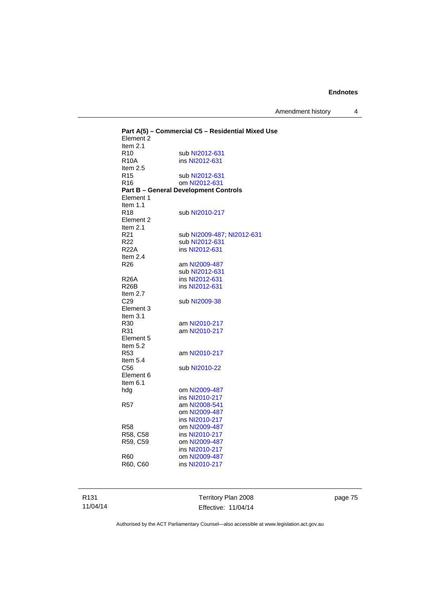Amendment history 4

|                              | Part A(5) - Commercial C5 - Residential Mixed Use |
|------------------------------|---------------------------------------------------|
| Element 2                    |                                                   |
| Item $2.1$                   |                                                   |
| R <sub>10</sub>              | sub NI2012-631                                    |
| <b>R10A</b>                  | ins NI2012-631                                    |
| Item $2.5$                   |                                                   |
| R <sub>15</sub>              | sub NI2012-631                                    |
| R16                          | om NI2012-631                                     |
|                              | <b>Part B - General Development Controls</b>      |
| Element 1                    |                                                   |
| Item $1.1$                   |                                                   |
| R <sub>18</sub>              | sub NI2010-217                                    |
| Element 2                    |                                                   |
| Item $2.1$                   |                                                   |
| R21                          | sub NI2009-487, NI2012-631                        |
| R22                          | sub NI2012-631                                    |
| R22A                         | ins NI2012-631                                    |
| Item 2.4                     |                                                   |
| R26                          | am NI2009-487                                     |
|                              | sub NI2012-631                                    |
| <b>R26A</b>                  | ins NI2012-631                                    |
| R <sub>26</sub> B            | ins NI2012-631                                    |
| Item 2.7                     |                                                   |
| C <sub>29</sub><br>Element 3 | sub NI2009-38                                     |
| Item 3.1                     |                                                   |
| R30                          | am NI2010-217                                     |
| R31                          | am NI2010-217                                     |
| Element 5                    |                                                   |
| Item 5.2                     |                                                   |
| R53                          | am NI2010-217                                     |
| Item 5.4                     |                                                   |
| C <sub>56</sub>              | sub NI2010-22                                     |
| Element 6                    |                                                   |
| Item 6.1                     |                                                   |
| hdg                          | om NI2009-487                                     |
|                              | ins NI2010-217                                    |
| R57                          | am NI2008-541                                     |
|                              | om NI2009-487                                     |
|                              | ins NI2010-217                                    |
| R58                          | om NI2009-487                                     |
| R58, C58                     | ins NI2010-217                                    |
| R59. C59                     | om NI2009-487                                     |
|                              | ins NI2010-217                                    |
| R60                          | om NI2009-487                                     |
| R60, C60                     | ins NI2010-217                                    |
|                              |                                                   |
|                              |                                                   |

R131 11/04/14

Territory Plan 2008 Effective: 11/04/14 page 75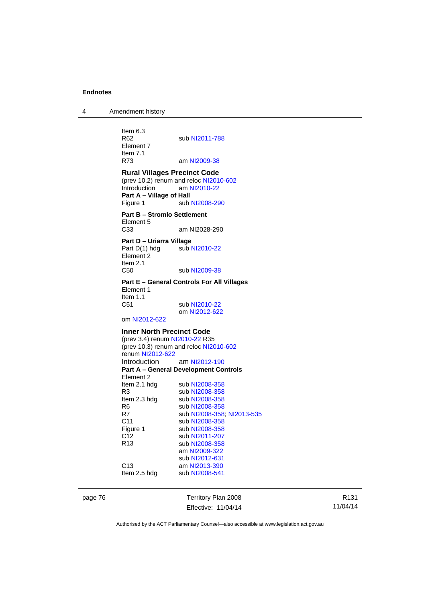4 Amendment history

Item 6.3<br>R62 sub [NI2011-788](http://www.legislation.act.gov.au/ni/2011-788/) Element 7 Item 7.1<br>R73 am [NI2009-38](http://www.legislation.act.gov.au/ni/2009-38/) **Rural Villages Precinct Code**  (prev 10.2) renum and reloc [NI2010-602](http://www.legislation.act.gov.au/ni/2010-602/) Introduction am [NI2010-22](http://www.legislation.act.gov.au/ni/2010-22/) **Part A – Village of Hall**  Figure 1 sub [NI2008-290](http://www.legislation.act.gov.au/ni/2008-290/) **Part B – Stromlo Settlement**  Element 5<br>C33 am NI2028-290 **Part D – Uriarra Village**  Part D(1) hdg sub [NI2010-22](http://www.legislation.act.gov.au/ni/2010-22/) Element<sup>2</sup> Item 2.1 C50 sub [NI2009-38](http://www.legislation.act.gov.au/ni/2009-38/) **Part E – General Controls For All Villages**  Element 1 Item 1.1 C51 sub [NI2010-22](http://www.legislation.act.gov.au/ni/2010-22/) om [NI2012-622](http://www.legislation.act.gov.au/ni/2012-622/default.asp) om [NI2012-622](http://www.legislation.act.gov.au/ni/2012-622/default.asp) **Inner North Precinct Code**  (prev 3.4) renum [NI2010-22](http://www.legislation.act.gov.au/ni/2010-22/) R35 (prev 10.3) renum and reloc [NI2010-602](http://www.legislation.act.gov.au/ni/2010-602/) renum [NI2012-622](http://www.legislation.act.gov.au/ni/2012-622/default.asp) Introduction am [NI2012-190](http://www.legislation.act.gov.au/ni/2012-190/) **Part A – General Development Controls**  Element 2 Item 2.1 hdg sub [NI2008-358](http://www.legislation.act.gov.au/ni/2008-358/) R3 sub [NI2008-358](http://www.legislation.act.gov.au/ni/2008-358/) Item 2.3 hdg sub [NI2008-358](http://www.legislation.act.gov.au/ni/2008-358/) R6 sub [NI2008-358](http://www.legislation.act.gov.au/ni/2008-358/)<br>R7 sub NI2008-358 sub [NI2008-358](http://www.legislation.act.gov.au/ni/2008-358/); [NI2013-535](http://www.legislation.act.gov.au/ni/2013-535/) C11 sub [NI2008-358](http://www.legislation.act.gov.au/ni/2008-358/) Figure 1 sub [NI2008-358](http://www.legislation.act.gov.au/ni/2008-358/)<br>C12 sub NI2011-207 C12 sub [NI2011-207](http://www.legislation.act.gov.au/ni/2011-207/)<br>R13 sub NI2008-358 sub [NI2008-358](http://www.legislation.act.gov.au/ni/2008-358/) am [NI2009-322](http://www.legislation.act.gov.au/ni/2009-322/) sub [NI2012-631](http://www.legislation.act.gov.au/ni/2012-631/default.asp)<br>C13 am NI2013-390 am [NI2013-390](http://www.legislation.act.gov.au/ni/2013-390/default.asp) Item 2.5 hdg sub [NI2008-541](http://www.legislation.act.gov.au/ni/2008-541/)

page 76 Territory Plan 2008 Effective: 11/04/14

R131 11/04/14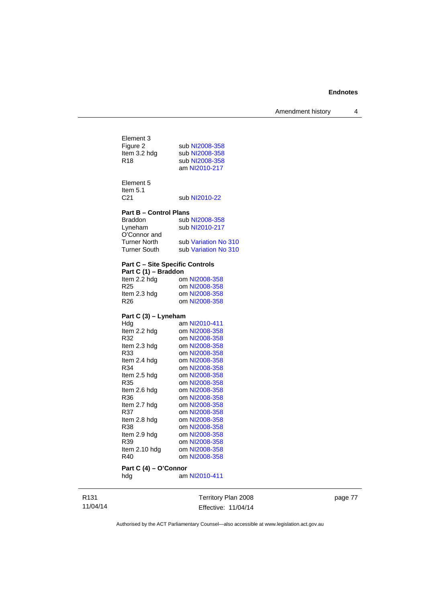Amendment history 4

| Element 3<br>Figure 2<br>Item 3.2 hdg<br>R <sub>18</sub>       | sub NI2008-358<br>sub NI2008-358<br>sub NI2008-358<br>am NI2010-217                                                                                                                                                                                                                                                                                                      |
|----------------------------------------------------------------|--------------------------------------------------------------------------------------------------------------------------------------------------------------------------------------------------------------------------------------------------------------------------------------------------------------------------------------------------------------------------|
| Element 5<br>Item $5.1$<br>C <sub>21</sub>                     | sub NI2010-22                                                                                                                                                                                                                                                                                                                                                            |
|                                                                |                                                                                                                                                                                                                                                                                                                                                                          |
|                                                                |                                                                                                                                                                                                                                                                                                                                                                          |
| <b>Braddon</b>                                                 | sub NI2008-358                                                                                                                                                                                                                                                                                                                                                           |
|                                                                | sub NI2010-217                                                                                                                                                                                                                                                                                                                                                           |
|                                                                |                                                                                                                                                                                                                                                                                                                                                                          |
|                                                                | sub Variation No 310                                                                                                                                                                                                                                                                                                                                                     |
|                                                                | sub Variation No 310                                                                                                                                                                                                                                                                                                                                                     |
| <b>Part C - Site Specific Controls</b><br>Part C (1) - Braddon |                                                                                                                                                                                                                                                                                                                                                                          |
|                                                                | om NI2008-358                                                                                                                                                                                                                                                                                                                                                            |
|                                                                | om NI2008-358                                                                                                                                                                                                                                                                                                                                                            |
|                                                                | om NI2008-358                                                                                                                                                                                                                                                                                                                                                            |
|                                                                | om NI2008-358                                                                                                                                                                                                                                                                                                                                                            |
|                                                                |                                                                                                                                                                                                                                                                                                                                                                          |
|                                                                | am NI2010-411                                                                                                                                                                                                                                                                                                                                                            |
|                                                                | om NI2008-358                                                                                                                                                                                                                                                                                                                                                            |
|                                                                | om NI2008-358                                                                                                                                                                                                                                                                                                                                                            |
|                                                                | om NI2008-358                                                                                                                                                                                                                                                                                                                                                            |
|                                                                | om NI2008-358                                                                                                                                                                                                                                                                                                                                                            |
|                                                                | om NI2008-358                                                                                                                                                                                                                                                                                                                                                            |
|                                                                | om NI2008-358                                                                                                                                                                                                                                                                                                                                                            |
|                                                                | om NI2008-358                                                                                                                                                                                                                                                                                                                                                            |
| R35                                                            | om NI2008-358                                                                                                                                                                                                                                                                                                                                                            |
|                                                                | om NI2008-358                                                                                                                                                                                                                                                                                                                                                            |
| R36                                                            | om NI2008-358                                                                                                                                                                                                                                                                                                                                                            |
|                                                                | om NI2008-358                                                                                                                                                                                                                                                                                                                                                            |
| R37                                                            | om NI2008-358                                                                                                                                                                                                                                                                                                                                                            |
| Item 2.8 hdg                                                   | om NI2008-358                                                                                                                                                                                                                                                                                                                                                            |
| R38                                                            | om NI2008-358                                                                                                                                                                                                                                                                                                                                                            |
|                                                                | om NI2008-358                                                                                                                                                                                                                                                                                                                                                            |
| R39                                                            | om NI2008-358                                                                                                                                                                                                                                                                                                                                                            |
|                                                                | om NI2008-358                                                                                                                                                                                                                                                                                                                                                            |
|                                                                | om NI2008-358                                                                                                                                                                                                                                                                                                                                                            |
| Part C (4) - O'Connor                                          |                                                                                                                                                                                                                                                                                                                                                                          |
|                                                                | <b>Part B - Control Plans</b><br>Lyneham<br>O'Connor and<br><b>Turner North</b><br><b>Turner South</b><br>Item 2.2 hdg<br>R <sub>25</sub><br>Item 2.3 hdg<br>R <sub>26</sub><br>Part C (3) - Lyneham<br>Hdg<br>Item 2.2 hdg<br>R32<br>Item 2.3 hdg<br>R33<br>Item 2.4 hdg<br>R34<br>Item 2.5 hdg<br>Item 2.6 hdg<br>Item 2.7 hdg<br>Item 2.9 hdg<br>Item 2.10 hdg<br>R40 |

hdg am [NI2010-411](http://www.legislation.act.gov.au/ni/2010-411/)

R131 11/04/14

Territory Plan 2008 Effective: 11/04/14 page 77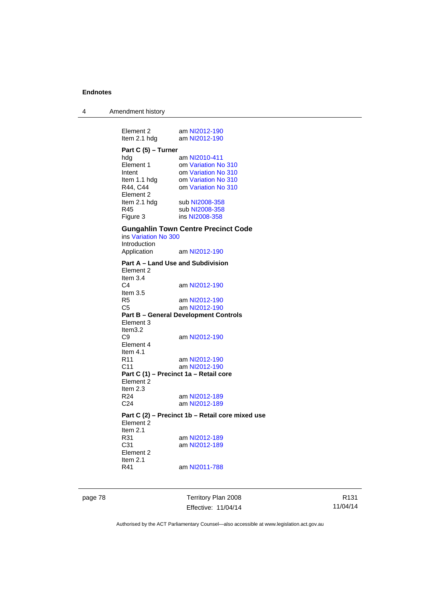4 Amendment history

Element 2 am [NI2012-190](http://www.legislation.act.gov.au/ni/2012-190/)<br>Item 2.1 hdg am NI2012-190 am [NI2012-190](http://www.legislation.act.gov.au/ni/2012-190/) **Part C (5) – Turner**  hdg am [NI2010-411](http://www.legislation.act.gov.au/ni/2010-411/)<br>Element 1 om Variation No om [Variation No 310](http://www.legislation.act.gov.au/ni/2011-688/) Intent om [Variation No 310](http://www.legislation.act.gov.au/ni/2011-688/)<br>Item 1.1 hdg om Variation No 310 Item 1.1 hdg om [Variation No 310](http://www.legislation.act.gov.au/ni/2011-688/)<br>R44. C44 om Variation No 310 om [Variation No 310](http://www.legislation.act.gov.au/ni/2011-688/) Element 2<br>Item 2.1 hdg Item 2.1 hdg sub [NI2008-358](http://www.legislation.act.gov.au/ni/2008-358/)<br>R45 sub NI2008-358 R45 sub [NI2008-358](http://www.legislation.act.gov.au/ni/2008-358/)<br>Figure 3 ins NI2008-358 ins [NI2008-358](http://www.legislation.act.gov.au/ni/2008-358/) **Gungahlin Town Centre Precinct Code**  ins [Variation No 300](http://www.legislation.act.gov.au/ni/2011-691/) Introduction<br>Application am [NI2012-190](http://www.legislation.act.gov.au/ni/2012-190/) **Part A – Land Use and Subdivision**  Element 2 Item 3.4<br>C4 am [NI2012-190](http://www.legislation.act.gov.au/ni/2012-190/) Item 3.5 R5 am [NI2012-190](http://www.legislation.act.gov.au/ni/2012-190/) C5 am [NI2012-190](http://www.legislation.act.gov.au/ni/2012-190/) **Part B – General Development Controls**  Element 3 Item3.2 C9 am [NI2012-190](http://www.legislation.act.gov.au/ni/2012-190/) Element 4 Item  $4.1$ <br>R11 am [NI2012-190](http://www.legislation.act.gov.au/ni/2012-190/) C11 am [NI2012-190](http://www.legislation.act.gov.au/ni/2012-190/) **Part C (1) – Precinct 1a – Retail core**  Element 2 Item  $2.3$ <br>R24 am [NI2012-189](http://www.legislation.act.gov.au/ni/2012-189/) C24 am [NI2012-189](http://www.legislation.act.gov.au/ni/2012-189/) **Part C (2) – Precinct 1b – Retail core mixed use**  Element 2 Item  $2.1$ <br>R31 am [NI2012-189](http://www.legislation.act.gov.au/ni/2012-189/) C31 am [NI2012-189](http://www.legislation.act.gov.au/ni/2012-189/) Element 2 Item 2.1 R41 am [NI2011-788](http://www.legislation.act.gov.au/ni/2011-788/)

page 78 Territory Plan 2008 Effective: 11/04/14

R131 11/04/14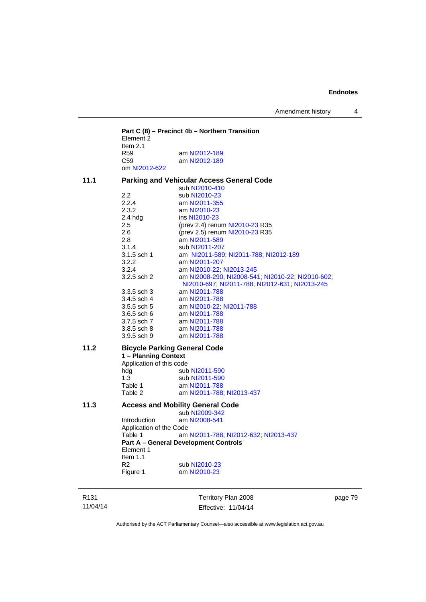Amendment history 4

**Part C (8) – Precinct 4b – Northern Transition**  Element 2 Item 2.1<br>R59 R59 am [NI2012-189](http://www.legislation.act.gov.au/ni/2012-189/)<br>C59 am NI2012-189 am [NI2012-189](http://www.legislation.act.gov.au/ni/2012-189/) om [NI2012-622](http://www.legislation.act.gov.au/ni/2012-622/default.asp) **11.1 Parking and Vehicular Access General Code**  sub [NI2010-410](http://www.legislation.act.gov.au/ni/2010-410/)<br>2.2 sub NI2010-23 2.2 sub [NI2010-23](http://www.legislation.act.gov.au/ni/2010-23/)<br>2.2.4 am NI2011-355 am [NI2011-355](http://www.legislation.act.gov.au/ni/2011-355/) 2.3.2 am [NI2010-23](http://www.legislation.act.gov.au/ni/2010-23/)<br>2.4 hdg ins NI2010-23 2.4 hdg ins [NI2010-23](http://www.legislation.act.gov.au/ni/2010-23/)<br>2.5 (prev 2.4) renu 2.5 (prev 2.4) renum [NI2010-23](http://www.legislation.act.gov.au/ni/2010-23/) R35<br>2.6 (prev 2.5) renum NI2010-23 R35 2.6 (prev 2.5) renum [NI2010-23](http://www.legislation.act.gov.au/ni/2010-23/) R35<br>2.8 am NI2011-589 2.8 am [NI2011-589](http://www.legislation.act.gov.au/ni/2011-589/)<br>3.1.4 sub NI2011-207 sub [NI2011-207](http://www.legislation.act.gov.au/ni/2011-207/) 3.1.5 sch 1 am [NI2011-589;](http://www.legislation.act.gov.au/ni/2011-589/) [NI2011-788;](http://www.legislation.act.gov.au/ni/2011-788/) [NI2012-189](http://www.legislation.act.gov.au/ni/2012-189/) 3.2.2 am [NI2011-207](http://www.legislation.act.gov.au/ni/2011-207/)<br>3.2.4 am NI2010-22: 3.2.4 **am [NI2010-22](http://www.legislation.act.gov.au/ni/2010-22/); [NI2013-245](http://www.legislation.act.gov.au/ni/2013-245/default.asp)**<br>3.2.5 sch 2 **am NI2008-290, NI2008-54** am [NI2008-290](http://www.legislation.act.gov.au/ni/2008-290/), [NI2008-541](http://www.legislation.act.gov.au/ni/2008-541/); [NI2010-22](http://www.legislation.act.gov.au/ni/2010-22/); [NI2010-602](http://www.legislation.act.gov.au/ni/2010-602/); [NI2010-697](http://www.legislation.act.gov.au/ni/2010-697/); [NI2011-788](http://www.legislation.act.gov.au/ni/2011-788/); [NI2012-631](http://www.legislation.act.gov.au/ni/2012-631/default.asp); [NI2013-245](http://www.legislation.act.gov.au/ni/2013-245/default.asp) 3.3.5 sch 3 am [NI2011-788](http://www.legislation.act.gov.au/ni/2011-788/) 3.4.5 sch 4 am [NI2011-788](http://www.legislation.act.gov.au/ni/2011-788/) 3.5.5 sch 5 am [NI2010-22](http://www.legislation.act.gov.au/ni/2010-22/); [NI2011-788](http://www.legislation.act.gov.au/ni/2011-788/)<br>3.6.5 sch 6 am NI2011-788 am [NI2011-788](http://www.legislation.act.gov.au/ni/2011-788/) 3.7.5 sch 7 am [NI2011-788](http://www.legislation.act.gov.au/ni/2011-788/) 3.8.5 sch 8 am [NI2011-788](http://www.legislation.act.gov.au/ni/2011-788/)<br>3.9.5 sch 9 am NI2011-788 am [NI2011-788](http://www.legislation.act.gov.au/ni/2011-788/) **11.2 Bicycle Parking General Code 1 – Planning Context**  Application of this code hdg sub [NI2011-590](http://www.legislation.act.gov.au/ni/2011-590/) 1.3 sub [NI2011-590](http://www.legislation.act.gov.au/ni/2011-590/) Table 1 am [NI2011-788](http://www.legislation.act.gov.au/ni/2011-788/) Table 2 am [NI2011-788](http://www.legislation.act.gov.au/ni/2011-788/); [NI2013-437](http://www.legislation.act.gov.au/ni/2013-437/default.asp) **11.3 Access and Mobility General Code**  sub [NI2009-342](http://www.legislation.act.gov.au/ni/2009-342/)<br>Introduction am NI2008-541 am [NI2008-541](http://www.legislation.act.gov.au/ni/2008-541/) Application of the Code Table 1 am [NI2011-788](http://www.legislation.act.gov.au/ni/2011-788/); [NI2012-632](http://www.legislation.act.gov.au/ni/2012-632/default.asp); [NI2013-437](http://www.legislation.act.gov.au/ni/2013-437/default.asp) **Part A – General Development Controls**  Element 1 Item 1.1 R2 sub [NI2010-23](http://www.legislation.act.gov.au/ni/2010-23/) Figure 1 om [NI2010-23](http://www.legislation.act.gov.au/ni/2010-23/)

R131 11/04/14 Territory Plan 2008 Effective: 11/04/14 page 79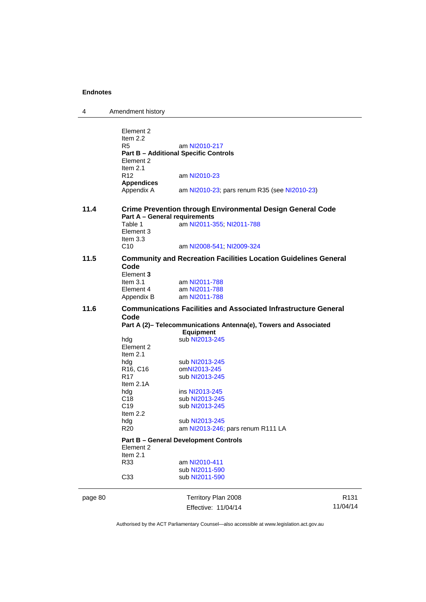| 4 | Amendment history |
|---|-------------------|
|---|-------------------|

| page 80 |                                    | Territory Plan 2008                                                    | R |
|---------|------------------------------------|------------------------------------------------------------------------|---|
|         | C33                                | sub NI2011-590                                                         |   |
|         | Item 2.1<br>R33                    | am NI2010-411<br>sub NI2011-590                                        |   |
|         | Element 2                          | <b>Part B - General Development Controls</b>                           |   |
|         | R <sub>20</sub>                    | am NI2013-246; pars renum R111 LA                                      |   |
|         | hdg                                | sub NI2013-245                                                         |   |
|         | Item 2.2                           |                                                                        |   |
|         | C <sub>19</sub>                    | sub NI2013-245                                                         |   |
|         | C <sub>18</sub>                    | sub NI2013-245                                                         |   |
|         | hdg                                | ins NI2013-245                                                         |   |
|         | R <sub>17</sub><br>Item 2.1A       | sub NI2013-245                                                         |   |
|         | R <sub>16</sub> , C <sub>16</sub>  | omNI2013-245                                                           |   |
|         | hdg                                | sub NI2013-245                                                         |   |
|         | Element 2<br>Item $2.1$            |                                                                        |   |
|         | hdg                                | sub NI2013-245                                                         |   |
|         |                                    | <b>Equipment</b>                                                       |   |
|         | Code                               | Part A (2)- Telecommunications Antenna(e), Towers and Associated       |   |
| 11.6    |                                    | <b>Communications Facilities and Associated Infrastructure General</b> |   |
|         | Element 4<br>Appendix B            | am NI2011-788<br>am NI2011-788                                         |   |
|         | Element 3<br>Item $3.1$            | am NI2011-788                                                          |   |
| 11.5    | Code                               | <b>Community and Recreation Facilities Location Guidelines General</b> |   |
|         | C <sub>10</sub>                    | am NI2008-541; NI2009-324                                              |   |
|         | Table 1<br>Element 3<br>Item $3.3$ | am NI2011-355; NI2011-788                                              |   |
|         |                                    | <b>Part A - General requirements</b>                                   |   |
| 11.4    |                                    | <b>Crime Prevention through Environmental Design General Code</b>      |   |
|         | <b>Appendices</b><br>Appendix A    | am NI2010-23; pars renum R35 (see NI2010-23)                           |   |
|         | Item $2.1$<br>R <sub>12</sub>      | am NI2010-23                                                           |   |
|         | Element 2                          | <b>Part B - Additional Specific Controls</b>                           |   |
|         | R5                                 | am NI2010-217                                                          |   |
|         | Item $2.2$                         |                                                                        |   |
|         | Element 2                          |                                                                        |   |

Effective: 11/04/14

R131 11/04/14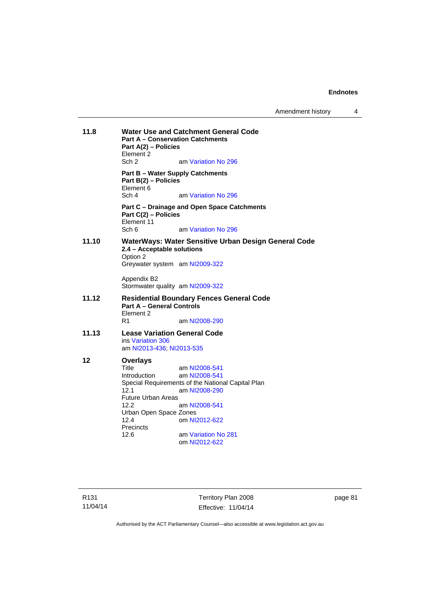Amendment history 4

| 11.8  | <b>Water Use and Catchment General Code</b><br><b>Part A - Conservation Catchments</b><br>Part A(2) - Policies<br>Element 2                  |                                                                                                                                                               |  |
|-------|----------------------------------------------------------------------------------------------------------------------------------------------|---------------------------------------------------------------------------------------------------------------------------------------------------------------|--|
|       | Sch 2                                                                                                                                        | am Variation No 296                                                                                                                                           |  |
|       | <b>Part B - Water Supply Catchments</b><br>Part B(2) – Policies<br>Element 6<br>Sch 4                                                        | am Variation No 296                                                                                                                                           |  |
|       | Part C(2) - Policies<br>Element 11<br>Sch 6                                                                                                  | Part C - Drainage and Open Space Catchments<br>am Variation No 296                                                                                            |  |
| 11.10 | 2.4 - Acceptable solutions<br>Option 2                                                                                                       | WaterWays: Water Sensitive Urban Design General Code                                                                                                          |  |
|       | Greywater system am NI2009-322                                                                                                               |                                                                                                                                                               |  |
|       | Appendix B2<br>Stormwater quality am NI2009-322                                                                                              |                                                                                                                                                               |  |
| 11.12 | <b>Part A - General Controls</b><br>Element 2                                                                                                | <b>Residential Boundary Fences General Code</b>                                                                                                               |  |
|       | R1                                                                                                                                           | am NI2008-290                                                                                                                                                 |  |
| 11.13 | <b>Lease Variation General Code</b><br>ins Variation 306                                                                                     |                                                                                                                                                               |  |
|       | am NI2013-436; NI2013-535                                                                                                                    |                                                                                                                                                               |  |
| 12    | <b>Overlays</b><br>Title<br>Introduction<br>12.1<br><b>Future Urban Areas</b><br>12.2<br>Urban Open Space Zones<br>12.4<br>Precincts<br>12.6 | am NI2008-541<br>am NI2008-541<br>Special Requirements of the National Capital Plan<br>am NI2008-290<br>am NI2008-541<br>om NI2012-622<br>am Variation No 281 |  |
|       |                                                                                                                                              | om NI2012-622                                                                                                                                                 |  |

R131 11/04/14

Territory Plan 2008 Effective: 11/04/14 page 81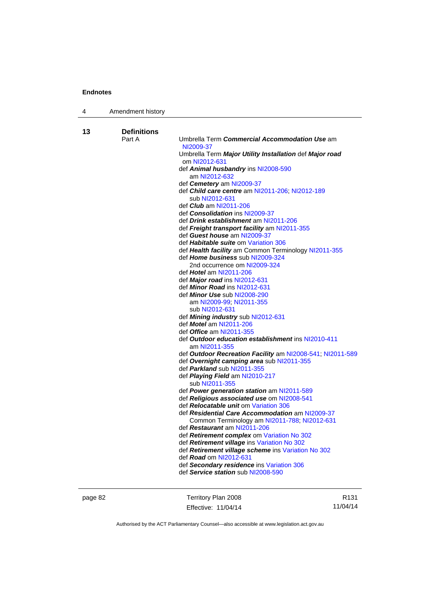| 4  | Amendment history  |                                                                              |
|----|--------------------|------------------------------------------------------------------------------|
|    |                    |                                                                              |
| 13 | <b>Definitions</b> |                                                                              |
|    | Part A             | Umbrella Term Commercial Accommodation Use am                                |
|    |                    | NI2009-37                                                                    |
|    |                    | Umbrella Term Major Utility Installation def Major road<br>om NI2012-631     |
|    |                    | def Animal husbandry ins NI2008-590                                          |
|    |                    | am NI2012-632                                                                |
|    |                    | def Cemetery am NI2009-37                                                    |
|    |                    | def Child care centre am NI2011-206; NI2012-189                              |
|    |                    | sub NI2012-631                                                               |
|    |                    | def <i>Club</i> am NI2011-206                                                |
|    |                    | def <b>Consolidation</b> ins NI2009-37                                       |
|    |                    | def Drink establishment am NI2011-206                                        |
|    |                    | def Freight transport facility am NI2011-355<br>def Guest house am NI2009-37 |
|    |                    | def Habitable suite om Variation 306                                         |
|    |                    | def Health facility am Common Terminology NI2011-355                         |
|    |                    | def Home business sub NI2009-324                                             |
|    |                    | 2nd occurrence om NI2009-324                                                 |
|    |                    | def Hotel am NI2011-206                                                      |
|    |                    | def Major road ins NI2012-631                                                |
|    |                    | def Minor Road ins NI2012-631                                                |
|    |                    | def Minor Use sub NI2008-290                                                 |
|    |                    | am NI2009-99; NI2011-355                                                     |
|    |                    | sub NI2012-631<br>def Mining industry sub NI2012-631                         |
|    |                    | def <i>Motel</i> am NI2011-206                                               |
|    |                    | def <i>Office</i> am NI2011-355                                              |
|    |                    | def Outdoor education establishment ins NI2010-411                           |
|    |                    | am NI2011-355                                                                |
|    |                    | def Outdoor Recreation Facility am NI2008-541; NI2011-589                    |
|    |                    | def Overnight camping area sub NI2011-355                                    |
|    |                    | def Parkland sub NI2011-355                                                  |
|    |                    | def Playing Field am NI2010-217<br>sub NI2011-355                            |
|    |                    | def Power generation station am NI2011-589                                   |
|    |                    | def Religious associated use om NI2008-541                                   |
|    |                    | def <b>Relocatable unit</b> om Variation 306                                 |
|    |                    | def Residential Care Accommodation am NI2009-37                              |
|    |                    | Common Terminology am NI2011-788; NI2012-631                                 |
|    |                    | def Restaurant am NI2011-206                                                 |
|    |                    | def Retirement complex om Variation No 302                                   |
|    |                    | def Retirement village ins Variation No 302                                  |
|    |                    | def Retirement village scheme ins Variation No 302                           |
|    |                    | def Road om NI2012-631<br>def Secondary residence ins Variation 306          |
|    |                    | def Service station sub NI2008-590                                           |
|    |                    |                                                                              |

page 82 Territory Plan 2008 Effective: 11/04/14

R131 11/04/14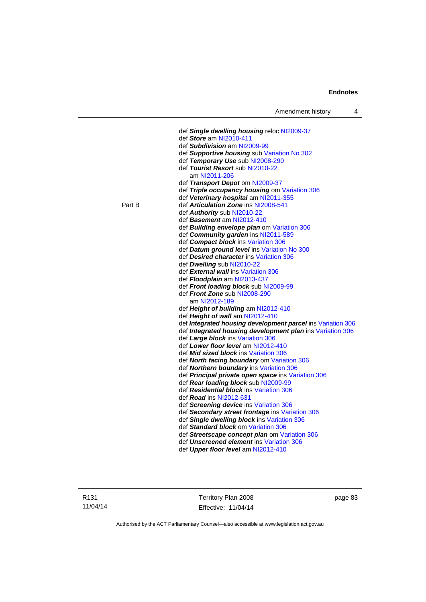|        | Amendment history<br>4                                                        |  |
|--------|-------------------------------------------------------------------------------|--|
|        |                                                                               |  |
|        | def Single dwelling housing reloc NI2009-37                                   |  |
|        | def Store am NI2010-411                                                       |  |
|        | def Subdivision am NI2009-99                                                  |  |
|        | def Supportive housing sub Variation No 302                                   |  |
|        | def Temporary Use sub NI2008-290                                              |  |
|        | def Tourist Resort sub NI2010-22                                              |  |
|        | am NI2011-206                                                                 |  |
|        | def Transport Depot om NI2009-37                                              |  |
|        | def Triple occupancy housing om Variation 306                                 |  |
| Part B | def Veterinary hospital am NI2011-355<br>def Articulation Zone ins NI2008-541 |  |
|        | def Authority sub NI2010-22                                                   |  |
|        | def Basement am NI2012-410                                                    |  |
|        | def Building envelope plan om Variation 306                                   |  |
|        | def Community garden ins NI2011-589                                           |  |
|        | def Compact block ins Variation 306                                           |  |
|        | def Datum ground level ins Variation No 300                                   |  |
|        | def Desired character ins Variation 306                                       |  |
|        | def Dwelling sub NI2010-22                                                    |  |
|        | def External wall ins Variation 306                                           |  |
|        | def Floodplain am NI2013-437                                                  |  |
|        | def Front loading block sub NI2009-99                                         |  |
|        | def Front Zone sub NI2008-290                                                 |  |
|        | am NI2012-189                                                                 |  |
|        | def Height of building am NI2012-410                                          |  |
|        | def Height of wall am NI2012-410                                              |  |
|        | def Integrated housing development parcel ins Variation 306                   |  |
|        | def Integrated housing development plan ins Variation 306                     |  |
|        | def Large block ins Variation 306                                             |  |
|        | def Lower floor level am NI2012-410                                           |  |
|        | def <b>Mid sized block</b> ins Variation 306                                  |  |
|        | def North facing boundary om Variation 306                                    |  |
|        | def Northern boundary ins Variation 306                                       |  |
|        | def Principal private open space ins Variation 306                            |  |
|        | def Rear loading block sub NI2009-99                                          |  |
|        | def <b>Residential block</b> ins Variation 306                                |  |
|        | def <b>Road</b> ins NI2012-631                                                |  |
|        | def Screening device ins Variation 306                                        |  |
|        | def Secondary street frontage ins Variation 306                               |  |
|        | def Single dwelling block ins Variation 306                                   |  |
|        | def Standard block om Variation 306                                           |  |
|        | def Streetscape concept plan om Variation 306                                 |  |
|        | def Unscreened element ins Variation 306                                      |  |
|        | def Upper floor level am NI2012-410                                           |  |
|        |                                                                               |  |

Territory Plan 2008 Effective: 11/04/14 page 83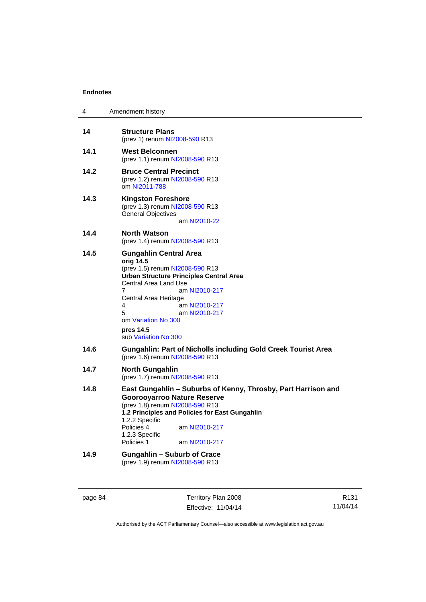| 4    | Amendment history                                                                                                                                                                                                                                                                                               |
|------|-----------------------------------------------------------------------------------------------------------------------------------------------------------------------------------------------------------------------------------------------------------------------------------------------------------------|
| 14   | <b>Structure Plans</b><br>(prev 1) renum NI2008-590 R13                                                                                                                                                                                                                                                         |
| 14.1 | <b>West Belconnen</b><br>(prev 1.1) renum NI2008-590 R13                                                                                                                                                                                                                                                        |
| 14.2 | <b>Bruce Central Precinct</b><br>(prev 1.2) renum NI2008-590 R13<br>om NI2011-788                                                                                                                                                                                                                               |
| 14.3 | Kingston Foreshore<br>(prev 1.3) renum NI2008-590 R13<br><b>General Objectives</b><br>am NI2010-22                                                                                                                                                                                                              |
| 14.4 | <b>North Watson</b><br>(prev 1.4) renum NI2008-590 R13                                                                                                                                                                                                                                                          |
| 14.5 | <b>Gungahlin Central Area</b><br>orig 14.5<br>(prev 1.5) renum NI2008-590 R13<br><b>Urban Structure Principles Central Area</b><br>Central Area Land Use<br>7<br>am NI2010-217<br>Central Area Heritage<br>4<br>am NI2010-217<br>5<br>am NI2010-217<br>om Variation No 300<br>pres 14.5<br>sub Variation No 300 |
| 14.6 | <b>Gungahlin: Part of Nicholls including Gold Creek Tourist Area</b><br>(prev 1.6) renum NI2008-590 R13                                                                                                                                                                                                         |
| 14.7 | <b>North Gungahlin</b><br>(prev 1.7) renum NI2008-590 R13                                                                                                                                                                                                                                                       |
| 14.8 | East Gungahlin - Suburbs of Kenny, Throsby, Part Harrison and<br><b>Goorooyarroo Nature Reserve</b><br>(prev 1.8) renum NI2008-590 R13<br>1.2 Principles and Policies for East Gungahlin<br>1.2.2 Specific<br>Policies 4<br>am NI2010-217<br>1.2.3 Specific<br>Policies 1<br>am NI2010-217                      |
| 14.9 | <b>Gungahlin - Suburb of Crace</b><br>(prev 1.9) renum NI2008-590 R13                                                                                                                                                                                                                                           |

| page 84 |  |
|---------|--|
|---------|--|

e 84 **Territory Plan 2008** Effective: 11/04/14

R131 11/04/14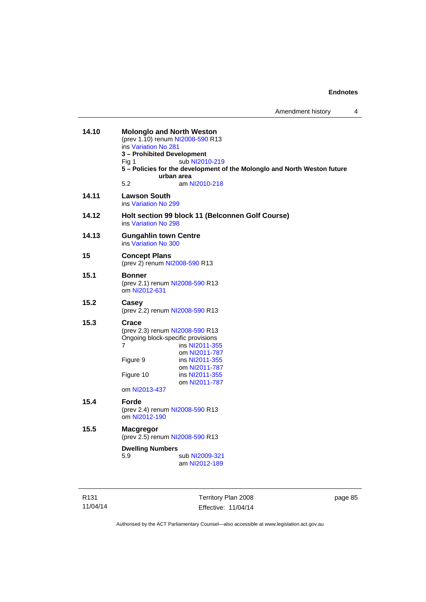| 14.10 | <b>Molonglo and North Weston</b><br>(prev 1.10) renum NI2008-590 R13<br>ins Variation No 281<br>3 - Prohibited Development<br>Fig 1<br>urban area<br>5.2 | sub NI2010-219<br>5 - Policies for the development of the Molonglo and North Weston future<br>am NI2010-218 |  |
|-------|----------------------------------------------------------------------------------------------------------------------------------------------------------|-------------------------------------------------------------------------------------------------------------|--|
| 14.11 | <b>Lawson South</b><br>ins Variation No 299                                                                                                              |                                                                                                             |  |
| 14.12 | ins Variation No 298                                                                                                                                     | Holt section 99 block 11 (Belconnen Golf Course)                                                            |  |
| 14.13 | <b>Gungahlin town Centre</b><br>ins Variation No 300                                                                                                     |                                                                                                             |  |
| 15    | <b>Concept Plans</b><br>(prev 2) renum NI2008-590 R13                                                                                                    |                                                                                                             |  |
| 15.1  | <b>Bonner</b><br>(prev 2.1) renum NI2008-590 R13<br>om NI2012-631                                                                                        |                                                                                                             |  |
| 15.2  | Casey<br>(prev 2.2) renum NI2008-590 R13                                                                                                                 |                                                                                                             |  |
| 15.3  | Crace<br>(prev 2.3) renum NI2008-590 R13<br>Ongoing block-specific provisions<br>7<br>Figure 9<br>Figure 10<br>om NI2013-437                             | ins NI2011-355<br>om NI2011-787<br>ins NI2011-355<br>om NI2011-787<br>ins NI2011-355<br>om NI2011-787       |  |
| 15.4  | Forde<br>(prev 2.4) renum NI2008-590 R13<br>om NI2012-190                                                                                                |                                                                                                             |  |
| 15.5  | <b>Macgregor</b><br>(prev 2.5) renum NI2008-590 R13                                                                                                      |                                                                                                             |  |
|       | <b>Dwelling Numbers</b><br>5.9                                                                                                                           | sub NI2009-321<br>am NI2012-189                                                                             |  |

R131 11/04/14

Territory Plan 2008 Effective: 11/04/14 page 85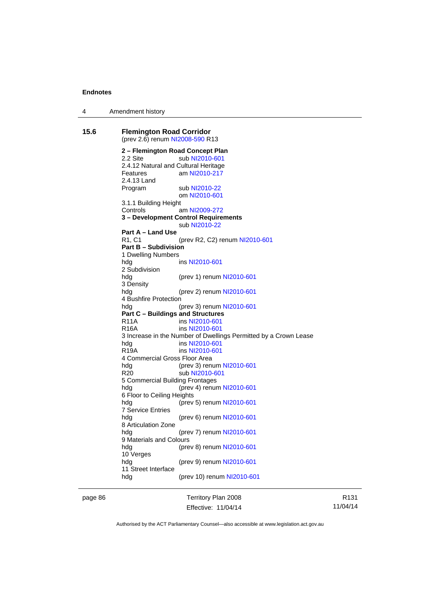4 Amendment history

**15.6 Flemington Road Corridor**  (prev 2.6) renum [NI2008-590](http://www.legislation.act.gov.au/ni/2008-590/default.asp) R13 **2 – Flemington Road Concept Plan**  2.2 Site sub [NI2010-601](http://www.legislation.act.gov.au/ni/2010-601/) 2.4.12 Natural and Cultural Heritage Features am [NI2010-217](http://www.legislation.act.gov.au/ni/2010-217/) 2.4.13 Land Program sub [NI2010-22](http://www.legislation.act.gov.au/ni/2010-22/) om [NI2010-601](http://www.legislation.act.gov.au/ni/2010-601/) 3.1.1 Building Height Controls am [NI2009-272](http://www.legislation.act.gov.au/ni/2009-272/) **3 – Development Control Requirements**  sub [NI2010-22](http://www.legislation.act.gov.au/ni/2010-22/) **Part A – Land Use**  R1, C1 (prev R2, C2) renum [NI2010-601](http://www.legislation.act.gov.au/ni/2010-601/) **Part B – Subdivision**  1 Dwelling Numbers hdg ins [NI2010-601](http://www.legislation.act.gov.au/ni/2010-601/) 2 Subdivision hdg (prev 1) renum [NI2010-601](http://www.legislation.act.gov.au/ni/2010-601/) 3 Density hdg (prev 2) renum [NI2010-601](http://www.legislation.act.gov.au/ni/2010-601/) 4 Bushfire Protection hdg (prev 3) renum [NI2010-601](http://www.legislation.act.gov.au/ni/2010-601/) **Part C – Buildings and Structures**  R11A ins [NI2010-601](http://www.legislation.act.gov.au/ni/2010-601/) R16A ins [NI2010-601](http://www.legislation.act.gov.au/ni/2010-601/) 3 Increase in the Number of Dwellings Permitted by a Crown Lease hdg ins [NI2010-601](http://www.legislation.act.gov.au/ni/2010-601/) R19A ins [NI2010-601](http://www.legislation.act.gov.au/ni/2010-601/) 4 Commercial Gross Floor Area hdg (prev 3) renum [NI2010-601](http://www.legislation.act.gov.au/ni/2010-601/) R20 sub [NI2010-601](http://www.legislation.act.gov.au/ni/2010-601/) 5 Commercial Building Frontages hdg (prev 4) renum [NI2010-601](http://www.legislation.act.gov.au/ni/2010-601/) 6 Floor to Ceiling Heights hdg (prev 5) renum [NI2010-601](http://www.legislation.act.gov.au/ni/2010-601/) 7 Service Entries (prev 6) renum [NI2010-601](http://www.legislation.act.gov.au/ni/2010-601/) 8 Articulation Zone hdg (prev 7) renum [NI2010-601](http://www.legislation.act.gov.au/ni/2010-601/) 9 Materials and Colours hdg (prev 8) renum [NI2010-601](http://www.legislation.act.gov.au/ni/2010-601/) 10 Verges hdg (prev 9) renum [NI2010-601](http://www.legislation.act.gov.au/ni/2010-601/) 11 Street Interface hdg (prev 10) renum [NI2010-601](http://www.legislation.act.gov.au/ni/2010-601/)

page 86 Territory Plan 2008 Effective: 11/04/14

R131 11/04/14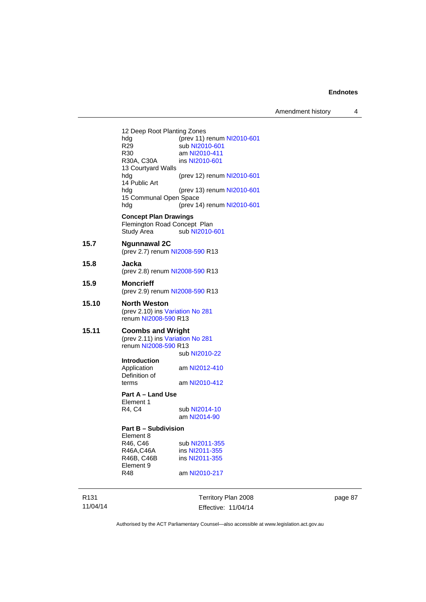Amendment history 4

12 Deep Root Planting Zones<br>hdg (prev 11) hdg (prev 11) renum [NI2010-601](http://www.legislation.act.gov.au/ni/2010-601/)<br>R29 sub NI2010-601 R29 sub [NI2010-601](http://www.legislation.act.gov.au/ni/2010-601/)<br>R30 am NI2010-411 R30 am [NI2010-411](http://www.legislation.act.gov.au/ni/2010-411/)<br>R30A, C30A ins NI2010-601 ins [NI2010-601](http://www.legislation.act.gov.au/ni/2010-601/) 13 Courtyard Walls hdg (prev 12) renum [NI2010-601](http://www.legislation.act.gov.au/ni/2010-601/) 14 Public Art hdg (prev 13) renum [NI2010-601](http://www.legislation.act.gov.au/ni/2010-601/) 15 Communal Open Space hdg (prev 14) renum [NI2010-601](http://www.legislation.act.gov.au/ni/2010-601/) **Concept Plan Drawings**  Flemington Road Concept Plan<br>Study Area sub NI2010-sub [NI2010-601](http://www.legislation.act.gov.au/ni/2010-601/) **15.7 Ngunnawal 2C**  (prev 2.7) renum [NI2008-590](http://www.legislation.act.gov.au/ni/2008-590/default.asp) R13 **15.8 Jacka**  (prev 2.8) renum [NI2008-590](http://www.legislation.act.gov.au/ni/2008-590/default.asp) R13 **15.9 Moncrieff**  (prev 2.9) renum [NI2008-590](http://www.legislation.act.gov.au/ni/2008-590/default.asp) R13 **15.10 North Weston**  (prev 2.10) ins [Variation No 281](http://www.legislation.act.gov.au/ni/2008-352/) renum [NI2008-590](http://www.legislation.act.gov.au/ni/2008-590/default.asp) R13 **15.11 Coombs and Wright**  (prev 2.11) ins [Variation No 281](http://www.legislation.act.gov.au/ni/2008-352/) renum [NI2008-590](http://www.legislation.act.gov.au/ni/2008-590/default.asp) R13 sub [NI2010-22](http://www.legislation.act.gov.au/ni/2010-22/) **Introduction**  am [NI2012-410](http://www.legislation.act.gov.au/ni/2012-410/) Definition of terms am [NI2010-412](http://www.legislation.act.gov.au/ni/2010-412/) **Part A – Land Use**  Element 1 R4, C4 sub [NI2014-10](http://www.legislation.act.gov.au/ni/2014-10/default.asp) am [NI2014-90](http://www.legislation.act.gov.au/ni/2014-90/default.asp) **Part B – Subdivision**  Element 8 R46, C46 sub [NI2011-355](http://www.legislation.act.gov.au/ni/2011-355/)<br>R46A, C46A ins NI2011-355 R46A,C46A ins [NI2011-355](http://www.legislation.act.gov.au/ni/2011-355/)<br>R46B, C46B ins NI2011-355 ins [NI2011-355](http://www.legislation.act.gov.au/ni/2011-355/) Element 9<br>R48 am [NI2010-217](http://www.legislation.act.gov.au/ni/2010-217/)

R131 11/04/14 Territory Plan 2008 Effective: 11/04/14 page 87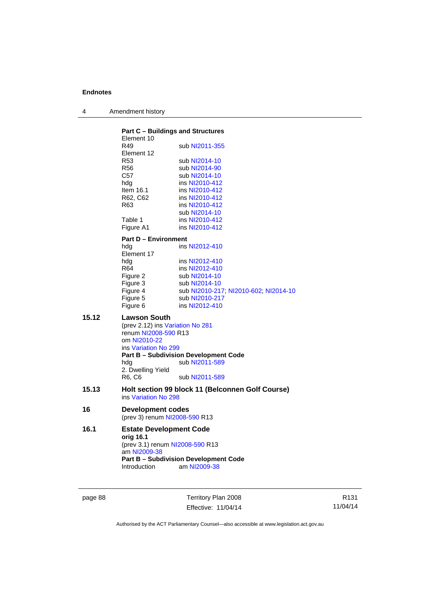| 4 | Amendment history |
|---|-------------------|
|---|-------------------|

|       | <b>Part C - Buildings and Structures</b><br>Element 10                                         |                                                              |
|-------|------------------------------------------------------------------------------------------------|--------------------------------------------------------------|
|       | R49<br>Element 12                                                                              | sub NI2011-355                                               |
|       | R <sub>53</sub>                                                                                | sub NI2014-10                                                |
|       | R <sub>56</sub>                                                                                | sub NI2014-90                                                |
|       | C57                                                                                            | sub NI2014-10                                                |
|       | hdg                                                                                            | ins NI2010-412                                               |
|       | Item $16.1$                                                                                    | ins NI2010-412                                               |
|       | R62, C62                                                                                       | ins NI2010-412                                               |
|       | R63                                                                                            | ins NI2010-412                                               |
|       |                                                                                                | sub NI2014-10                                                |
|       | Table 1                                                                                        | ins NI2010-412                                               |
|       | Figure A1                                                                                      | ins NI2010-412                                               |
|       | <b>Part D - Environment</b>                                                                    |                                                              |
|       | hdg<br>Element 17                                                                              | ins NI2012-410                                               |
|       | hdg                                                                                            | ins NI2012-410                                               |
|       | R64                                                                                            | ins NI2012-410                                               |
|       | Figure 2                                                                                       | sub NI2014-10                                                |
|       | Figure 3                                                                                       | sub NI2014-10                                                |
|       | Figure 4                                                                                       | sub NI2010-217; NI2010-602; NI2014-10                        |
|       | Figure 5                                                                                       | sub NI2010-217                                               |
|       | Figure 6                                                                                       | ins NI2012-410                                               |
| 15.12 | Lawson South<br>(prev 2.12) ins Variation No 281<br>renum NI2008-590 R13                       |                                                              |
|       | om NI2010-22                                                                                   |                                                              |
|       | ins Variation No 299                                                                           |                                                              |
|       |                                                                                                | <b>Part B - Subdivision Development Code</b>                 |
|       | hdg                                                                                            | sub NI2011-589                                               |
|       | 2. Dwelling Yield                                                                              |                                                              |
|       | R6, C6                                                                                         | sub NI2011-589                                               |
| 15.13 | ins Variation No 298                                                                           | Holt section 99 block 11 (Belconnen Golf Course)             |
| 16    | Development codes<br>(prev 3) renum NI2008-590 R13                                             |                                                              |
|       |                                                                                                |                                                              |
| 16.1  | <b>Estate Development Code</b><br>orig 16.1<br>(prev 3.1) renum NI2008-590 R13<br>am NI2009-38 |                                                              |
|       | <b>Introduction</b>                                                                            | <b>Part B - Subdivision Development Code</b><br>am NI2009-38 |

page 88 Territory Plan 2008 Effective: 11/04/14

R131 11/04/14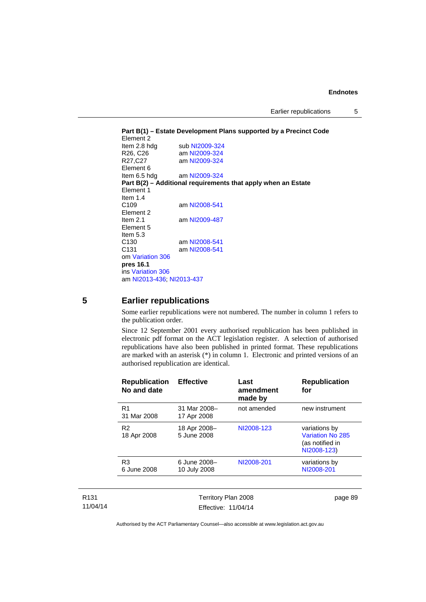Earlier republications 5

```
Part B(1) – Estate Development Plans supported by a Precinct Code 
Element 2 
 NI2009-324<br>R26, C26 am NI2009-324
 NI2009-324<br>R27, C27 am NI2009-324
                   NI2009-324
Element 6 
Item 6.5 hdg am NI2009-324
Part B(2) – Additional requirements that apply when an Estate 
Element 1 
Item 1.4<br>C109
                   NI2008-541
Element 2 
Item 2.1 am NI2009-487
Element 5 
Item 5.3 
 NI2008-541<br>C131 am NI2008-541
                   NI2008-541
om Variation 306
pres 16.1
ins Variation 306
am NI2013-436; NI2013-437
```
#### **5 Earlier republications**

Some earlier republications were not numbered. The number in column 1 refers to the publication order.

Since 12 September 2001 every authorised republication has been published in electronic pdf format on the ACT legislation register. A selection of authorised republications have also been published in printed format. These republications are marked with an asterisk (\*) in column 1. Electronic and printed versions of an authorised republication are identical.

| <b>Republication</b><br>No and date | <b>Effective</b>             | Last<br>amendment<br>made by | <b>Republication</b><br>for                                         |
|-------------------------------------|------------------------------|------------------------------|---------------------------------------------------------------------|
| R <sub>1</sub><br>31 Mar 2008       | 31 Mar 2008-<br>17 Apr 2008  | not amended                  | new instrument                                                      |
| R <sub>2</sub><br>18 Apr 2008       | 18 Apr 2008-<br>5 June 2008  | NI2008-123                   | variations by<br>Variation No 285<br>(as notified in<br>NI2008-123) |
| R <sub>3</sub><br>6 June 2008       | 6 June 2008-<br>10 July 2008 | NI2008-201                   | variations by<br>NI2008-201                                         |
|                                     |                              |                              |                                                                     |

| R131     |
|----------|
| 11/04/14 |

Territory Plan 2008 Effective: 11/04/14 page 89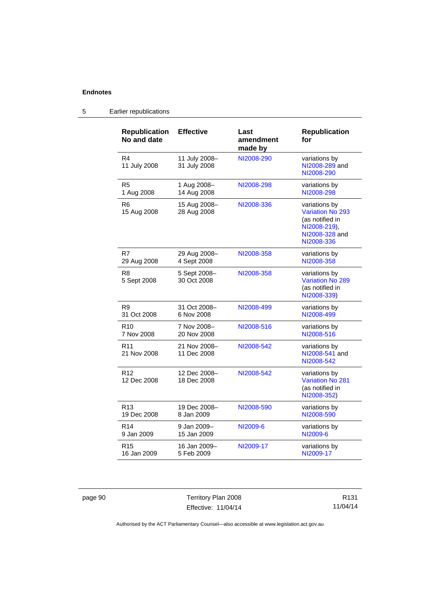| <b>Republication</b>           | <b>Effective</b>              | Last                 | <b>Republication</b>                                                                                        |
|--------------------------------|-------------------------------|----------------------|-------------------------------------------------------------------------------------------------------------|
| No and date                    |                               | amendment<br>made by | for                                                                                                         |
| R4<br>11 July 2008             | 11 July 2008-<br>31 July 2008 | NI2008-290           | variations by<br>NI2008-289 and<br>NI2008-290                                                               |
| R <sub>5</sub>                 | 1 Aug 2008-                   | NI2008-298           | variations by                                                                                               |
| 1 Aug 2008                     | 14 Aug 2008                   |                      | NI2008-298                                                                                                  |
| R <sub>6</sub><br>15 Aug 2008  | 15 Aug 2008-<br>28 Aug 2008   | NI2008-336           | variations by<br><b>Variation No 293</b><br>(as notified in<br>NI2008-219),<br>NI2008-328 and<br>NI2008-336 |
| R7                             | 29 Aug 2008-                  | NI2008-358           | variations by                                                                                               |
| 29 Aug 2008                    | 4 Sept 2008                   |                      | NI2008-358                                                                                                  |
| R8<br>5 Sept 2008              | 5 Sept 2008-<br>30 Oct 2008   | NI2008-358           | variations by<br><b>Variation No 289</b><br>(as notified in<br>NI2008-339)                                  |
| R <sub>9</sub>                 | 31 Oct 2008-                  | NI2008-499           | variations by                                                                                               |
| 31 Oct 2008                    | 6 Nov 2008                    |                      | NI2008-499                                                                                                  |
| R <sub>10</sub>                | 7 Nov 2008-                   | NI2008-516           | variations by                                                                                               |
| 7 Nov 2008                     | 20 Nov 2008                   |                      | NI2008-516                                                                                                  |
| R <sub>11</sub><br>21 Nov 2008 | 21 Nov 2008-<br>11 Dec 2008   | NI2008-542           | variations by<br>NI2008-541 and<br>NI2008-542                                                               |
| R <sub>12</sub><br>12 Dec 2008 | 12 Dec 2008-<br>18 Dec 2008   | NI2008-542           | variations by<br><b>Variation No 281</b><br>(as notified in<br>NI2008-352)                                  |
| R <sub>13</sub>                | 19 Dec 2008-                  | NI2008-590           | variations by                                                                                               |
| 19 Dec 2008                    | 8 Jan 2009                    |                      | NI2008-590                                                                                                  |
| R <sub>14</sub>                | 9 Jan 2009-                   | NI2009-6             | variations by                                                                                               |
| 9 Jan 2009                     | 15 Jan 2009                   |                      | NI2009-6                                                                                                    |
| R <sub>15</sub>                | 16 Jan 2009-                  | NI2009-17            | variations by                                                                                               |
| 16 Jan 2009                    | 5 Feb 2009                    |                      | NI2009-17                                                                                                   |

## 5 Earlier republications

page 90 Territory Plan 2008 Effective: 11/04/14

R131 11/04/14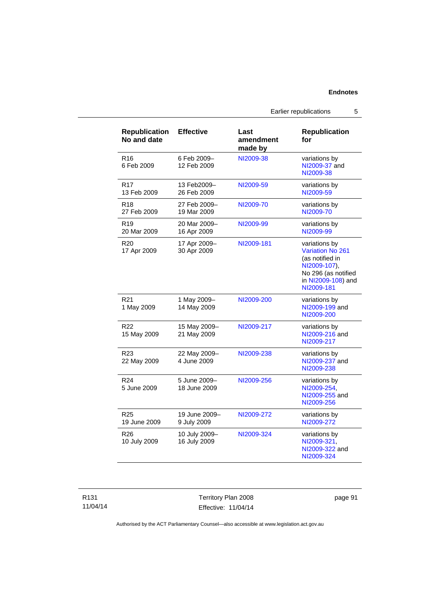| R <sub>19</sub><br>20 Mar 2009  | 20 Mar 2009-<br>16 Apr 2009   | NI2009-99  | variations by<br>NI2009-99                                                                                                             |
|---------------------------------|-------------------------------|------------|----------------------------------------------------------------------------------------------------------------------------------------|
| R <sub>20</sub><br>17 Apr 2009  | 17 Apr 2009-<br>30 Apr 2009   | NI2009-181 | variations by<br><b>Variation No 261</b><br>(as notified in<br>NI2009-107),<br>No 296 (as notified<br>in NI2009-108) and<br>NI2009-181 |
| R <sub>21</sub><br>1 May 2009   | 1 May 2009-<br>14 May 2009    | NI2009-200 | variations by<br>NI2009-199 and<br>NI2009-200                                                                                          |
| R <sub>22</sub><br>15 May 2009  | 15 May 2009-<br>21 May 2009   | NI2009-217 | variations by<br>NI2009-216 and<br>NI2009-217                                                                                          |
| R <sub>23</sub><br>22 May 2009  | 22 May 2009-<br>4 June 2009   | NI2009-238 | variations by<br>NI2009-237 and<br>NI2009-238                                                                                          |
| R <sub>24</sub><br>5 June 2009  | 5 June 2009-<br>18 June 2009  | NI2009-256 | variations by<br>NI2009-254,<br>NI2009-255 and<br>NI2009-256                                                                           |
| R <sub>25</sub><br>19 June 2009 | 19 June 2009-<br>9 July 2009  | NI2009-272 | variations by<br>NI2009-272                                                                                                            |
| R <sub>26</sub><br>10 July 2009 | 10 July 2009-<br>16 July 2009 | NI2009-324 | variations by<br>NI2009-321,<br>NI2009-322 and<br>NI2009-324                                                                           |

**Republication Effective Last** 

6 Feb 2009– 12 Feb 2009

13 Feb2009– 26 Feb 2009

27 Feb 2009– 19 Mar 2009

**No and date** 

13 Feb 2009

27 Feb 2009

R16 6 Feb 2009

R17

R18

Earlier republications 5

**for** 

[NI2009-38](http://www.legislation.act.gov.au/ni/2009-38/) variations by

[NI2009-59](http://www.legislation.act.gov.au/ni/2009-59/) variations by

[NI2009-70](http://www.legislation.act.gov.au/ni/2009-70/) variations by

**Republication** 

[NI2009-37](http://www.legislation.act.gov.au/ni/2009-37/) and [NI2009-38](http://www.legislation.act.gov.au/ni/2009-38/)

[NI2009-59](http://www.legislation.act.gov.au/ni/2009-59/)

[NI2009-70](http://www.legislation.act.gov.au/ni/2009-70/)

**amendment made by** 

R131 11/04/14 Territory Plan 2008 Effective: 11/04/14 page 91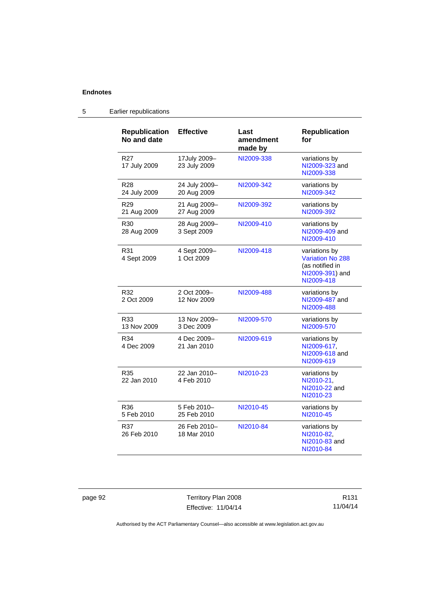| <b>Republication</b><br>No and date | <b>Effective</b>             | Last<br>amendment<br>made by | <b>Republication</b><br>for                                                                  |
|-------------------------------------|------------------------------|------------------------------|----------------------------------------------------------------------------------------------|
| R <sub>27</sub><br>17 July 2009     | 17July 2009-<br>23 July 2009 | NI2009-338                   | variations by<br>NI2009-323 and<br>NI2009-338                                                |
| <b>R28</b><br>24 July 2009          | 24 July 2009-<br>20 Aug 2009 | NI2009-342                   | variations by<br>NI2009-342                                                                  |
| R <sub>29</sub><br>21 Aug 2009      | 21 Aug 2009-<br>27 Aug 2009  | NI2009-392                   | variations by<br>NI2009-392                                                                  |
| R <sub>30</sub><br>28 Aug 2009      | 28 Aug 2009-<br>3 Sept 2009  | NI2009-410                   | variations by<br>NI2009-409 and<br>NI2009-410                                                |
| R31<br>4 Sept 2009                  | 4 Sept 2009-<br>1 Oct 2009   | NI2009-418                   | variations by<br><b>Variation No 288</b><br>(as notified in<br>NI2009-391) and<br>NI2009-418 |
| R32<br>2 Oct 2009                   | 2 Oct 2009-<br>12 Nov 2009   | NI2009-488                   | variations by<br>NI2009-487 and<br>NI2009-488                                                |
| R33<br>13 Nov 2009                  | 13 Nov 2009-<br>3 Dec 2009   | NI2009-570                   | variations by<br>NI2009-570                                                                  |
| R34<br>4 Dec 2009                   | 4 Dec 2009-<br>21 Jan 2010   | NI2009-619                   | variations by<br>NI2009-617.<br>NI2009-618 and<br>NI2009-619                                 |
| R35<br>22 Jan 2010                  | 22 Jan 2010-<br>4 Feb 2010   | NI2010-23                    | variations by<br>NI2010-21,<br>NI2010-22 and<br>NI2010-23                                    |
| R36<br>5 Feb 2010                   | 5 Feb 2010-<br>25 Feb 2010   | NI2010-45                    | variations by<br>NI2010-45                                                                   |
| R37<br>26 Feb 2010                  | 26 Feb 2010-<br>18 Mar 2010  | NI2010-84                    | variations by<br>NI2010-82,<br>NI2010-83 and<br>NI2010-84                                    |

## 5 Earlier republications

page 92 Territory Plan 2008 Effective: 11/04/14

R131 11/04/14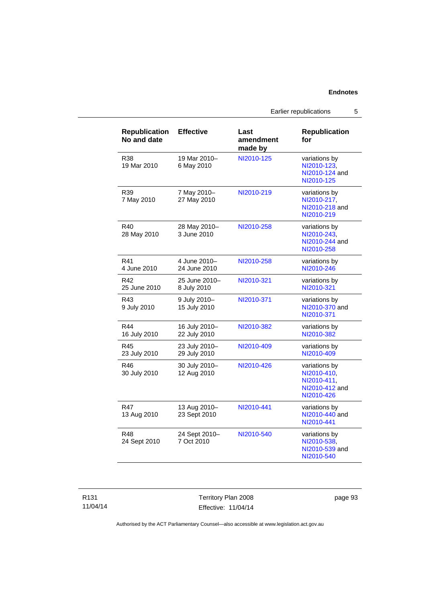Earlier republications 5

| <b>Republication</b><br>No and date | <b>Effective</b>              | Last<br>amendment<br>made by | <b>Republication</b><br>for                                                 |
|-------------------------------------|-------------------------------|------------------------------|-----------------------------------------------------------------------------|
| R38<br>19 Mar 2010                  | 19 Mar 2010-<br>6 May 2010    | NI2010-125                   | variations by<br>NI2010-123.<br>NI2010-124 and<br>NI2010-125                |
| R <sub>39</sub><br>7 May 2010       | 7 May 2010-<br>27 May 2010    | NI2010-219                   | variations by<br>NI2010-217,<br>NI2010-218 and<br>NI2010-219                |
| R40<br>28 May 2010                  | 28 May 2010-<br>3 June 2010   | NI2010-258                   | variations by<br>NI2010-243.<br>NI2010-244 and<br>NI2010-258                |
| R41<br>4 June 2010                  | 4 June 2010-<br>24 June 2010  | NI2010-258                   | variations by<br>NI2010-246                                                 |
| R42<br>25 June 2010                 | 25 June 2010-<br>8 July 2010  | NI2010-321                   | variations by<br>NI2010-321                                                 |
| R43<br>9 July 2010                  | 9 July 2010-<br>15 July 2010  | NI2010-371                   | variations by<br>NI2010-370 and<br>NI2010-371                               |
| R44<br>16 July 2010                 | 16 July 2010-<br>22 July 2010 | NI2010-382                   | variations by<br>NI2010-382                                                 |
| R45<br>23 July 2010                 | 23 July 2010-<br>29 July 2010 | NI2010-409                   | variations by<br>NI2010-409                                                 |
| R46<br>30 July 2010                 | 30 July 2010-<br>12 Aug 2010  | NI2010-426                   | variations by<br>NI2010-410,<br>NI2010-411,<br>NI2010-412 and<br>NI2010-426 |
| R47<br>13 Aug 2010                  | 13 Aug 2010-<br>23 Sept 2010  | NI2010-441                   | variations by<br>NI2010-440 and<br>NI2010-441                               |
| R48<br>24 Sept 2010                 | 24 Sept 2010-<br>7 Oct 2010   | NI2010-540                   | variations by<br>NI2010-538.<br>NI2010-539 and<br>NI2010-540                |

R131 11/04/14

Territory Plan 2008 Effective: 11/04/14 page 93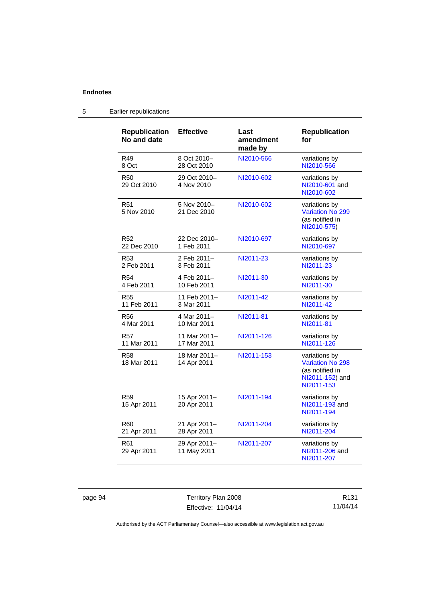| <b>Republication</b><br>No and date | <b>Effective</b>            | Last<br>amendment<br>made by | <b>Republication</b><br>for                                                           |
|-------------------------------------|-----------------------------|------------------------------|---------------------------------------------------------------------------------------|
| R49                                 | 8 Oct 2010-                 | NI2010-566                   | variations by                                                                         |
| 8 Oct                               | 28 Oct 2010                 |                              | NI2010-566                                                                            |
| <b>R50</b><br>29 Oct 2010           | 29 Oct 2010-<br>4 Nov 2010  | NI2010-602                   | variations by<br>NI2010-601 and<br>NI2010-602                                         |
| R <sub>51</sub><br>5 Nov 2010       | 5 Nov 2010-<br>21 Dec 2010  | NI2010-602                   | variations by<br><b>Variation No 299</b><br>(as notified in<br>NI2010-575)            |
| R <sub>52</sub>                     | 22 Dec 2010-                | NI2010-697                   | variations by                                                                         |
| 22 Dec 2010                         | 1 Feb 2011                  |                              | NI2010-697                                                                            |
| R <sub>53</sub>                     | 2 Feb 2011-                 | NI2011-23                    | variations by                                                                         |
| 2 Feb 2011                          | 3 Feb 2011                  |                              | NI2011-23                                                                             |
| <b>R54</b>                          | 4 Feb 2011-                 | NI2011-30                    | variations by                                                                         |
| 4 Feb 2011                          | 10 Feb 2011                 |                              | NI2011-30                                                                             |
| <b>R55</b>                          | 11 Feb 2011-                | NI2011-42                    | variations by                                                                         |
| 11 Feb 2011                         | 3 Mar 2011                  |                              | NI2011-42                                                                             |
| <b>R56</b>                          | 4 Mar 2011-                 | NI2011-81                    | variations by                                                                         |
| 4 Mar 2011                          | 10 Mar 2011                 |                              | NI2011-81                                                                             |
| R57                                 | 11 Mar 2011-                | NI2011-126                   | variations by                                                                         |
| 11 Mar 2011                         | 17 Mar 2011                 |                              | NI2011-126                                                                            |
| <b>R58</b><br>18 Mar 2011           | 18 Mar 2011-<br>14 Apr 2011 | NI2011-153                   | variations by<br>Variation No 298<br>(as notified in<br>NI2011-152) and<br>NI2011-153 |
| R <sub>59</sub><br>15 Apr 2011      | 15 Apr 2011-<br>20 Apr 2011 | NI2011-194                   | variations by<br>NI2011-193 and<br>NI2011-194                                         |
| R <sub>60</sub>                     | 21 Apr 2011-                | NI2011-204                   | variations by                                                                         |
| 21 Apr 2011                         | 28 Apr 2011                 |                              | NI2011-204                                                                            |
| R <sub>61</sub><br>29 Apr 2011      | 29 Apr 2011-<br>11 May 2011 | NI2011-207                   | variations by<br>NI2011-206 and<br>NI2011-207                                         |

## 5 Earlier republications

page 94 Territory Plan 2008 Effective: 11/04/14

R131 11/04/14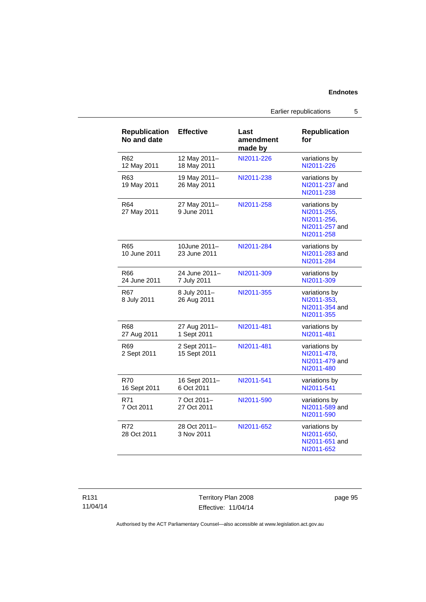Earlier republications 5

| <b>Republication</b><br>No and date | <b>Effective</b>             | Last<br>amendment<br>made by | <b>Republication</b><br>for                                                 |
|-------------------------------------|------------------------------|------------------------------|-----------------------------------------------------------------------------|
| R62<br>12 May 2011                  | 12 May 2011-<br>18 May 2011  | NI2011-226                   | variations by<br>NI2011-226                                                 |
| R <sub>63</sub><br>19 May 2011      | 19 May 2011-<br>26 May 2011  | NI2011-238                   | variations by<br>NI2011-237 and<br>NI2011-238                               |
| R64<br>27 May 2011                  | 27 May 2011-<br>9 June 2011  | NI2011-258                   | variations by<br>NI2011-255,<br>NI2011-256,<br>NI2011-257 and<br>NI2011-258 |
| R65<br>10 June 2011                 | 10June 2011-<br>23 June 2011 | NI2011-284                   | variations by<br>NI2011-283 and<br>NI2011-284                               |
| R66<br>24 June 2011                 | 24 June 2011-<br>7 July 2011 | NI2011-309                   | variations by<br>NI2011-309                                                 |
| R67<br>8 July 2011                  | 8 July 2011-<br>26 Aug 2011  | NI2011-355                   | variations by<br>NI2011-353,<br>NI2011-354 and<br>NI2011-355                |
| R68<br>27 Aug 2011                  | 27 Aug 2011-<br>1 Sept 2011  | NI2011-481                   | variations by<br>NI2011-481                                                 |
| R69<br>2 Sept 2011                  | 2 Sept 2011-<br>15 Sept 2011 | NI2011-481                   | variations by<br>NI2011-478,<br>NI2011-479 and<br>NI2011-480                |
| R70<br>16 Sept 2011                 | 16 Sept 2011-<br>6 Oct 2011  | NI2011-541                   | variations by<br>NI2011-541                                                 |
| R71<br>7 Oct 2011                   | 7 Oct 2011-<br>27 Oct 2011   | NI2011-590                   | variations by<br>NI2011-589 and<br>NI2011-590                               |
| R72<br>28 Oct 2011                  | 28 Oct 2011-<br>3 Nov 2011   | NI2011-652                   | variations by<br>NI2011-650,<br>NI2011-651 and<br>NI2011-652                |

Territory Plan 2008 Effective: 11/04/14 page 95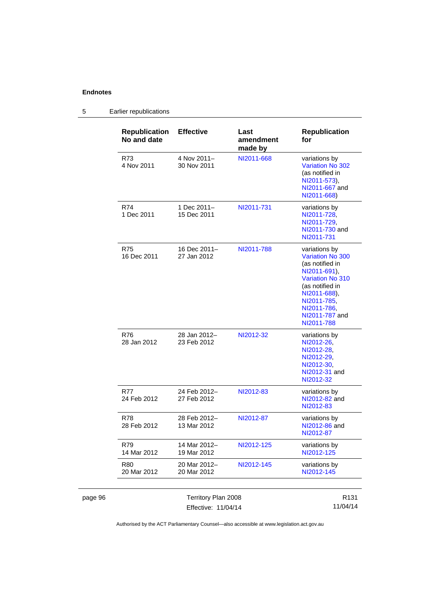|         | <b>Republication</b><br>No and date | <b>Effective</b>            | Last<br>amendment<br>made by | <b>Republication</b><br>for                                                                                                                                                                      |
|---------|-------------------------------------|-----------------------------|------------------------------|--------------------------------------------------------------------------------------------------------------------------------------------------------------------------------------------------|
|         | R73<br>4 Nov 2011                   | 4 Nov 2011-<br>30 Nov 2011  | NI2011-668                   | variations by<br>Variation No 302<br>(as notified in<br>NI2011-573),<br>NI2011-667 and<br>NI2011-668)                                                                                            |
|         | R74<br>1 Dec 2011                   | 1 Dec 2011-<br>15 Dec 2011  | NI2011-731                   | variations by<br>NI2011-728.<br>NI2011-729,<br>NI2011-730 and<br>NI2011-731                                                                                                                      |
|         | R75<br>16 Dec 2011                  | 16 Dec 2011-<br>27 Jan 2012 | NI2011-788                   | variations by<br>Variation No 300<br>(as notified in<br>NI2011-691),<br><b>Variation No 310</b><br>(as notified in<br>NI2011-688),<br>NI2011-785.<br>NI2011-786,<br>NI2011-787 and<br>NI2011-788 |
|         | R76<br>28 Jan 2012                  | 28 Jan 2012-<br>23 Feb 2012 | NI2012-32                    | variations by<br>NI2012-26,<br>NI2012-28.<br>NI2012-29,<br>NI2012-30,<br>NI2012-31 and<br>NI2012-32                                                                                              |
|         | R77<br>24 Feb 2012                  | 24 Feb 2012-<br>27 Feb 2012 | NI2012-83                    | variations by<br>NI2012-82 and<br>NI2012-83                                                                                                                                                      |
|         | R78<br>28 Feb 2012                  | 28 Feb 2012-<br>13 Mar 2012 | NI2012-87                    | variations by<br>NI2012-86 and<br>NI2012-87                                                                                                                                                      |
|         | R79<br>14 Mar 2012                  | 14 Mar 2012-<br>19 Mar 2012 | NI2012-125                   | variations by<br>NI2012-125                                                                                                                                                                      |
|         | R80<br>20 Mar 2012                  | 20 Mar 2012-<br>20 Mar 2012 | NI2012-145                   | variations by<br>NI2012-145                                                                                                                                                                      |
| page 96 |                                     | Territory Plan 2008         |                              | R131                                                                                                                                                                                             |

## 5 Earlier republications

Authorised by the ACT Parliamentary Counsel—also accessible at www.legislation.act.gov.au

11/04/14

Effective: 11/04/14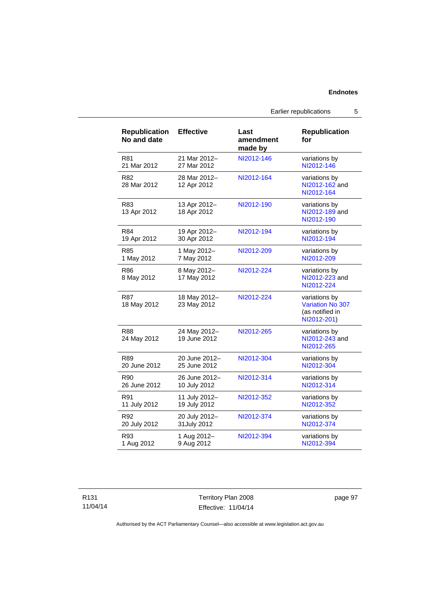| <b>Republication</b><br>No and date | <b>Effective</b>             | Last<br>amendment<br>made by | <b>Republication</b><br>for                                                |
|-------------------------------------|------------------------------|------------------------------|----------------------------------------------------------------------------|
| <b>R81</b>                          | 21 Mar 2012-                 | NI2012-146                   | variations by                                                              |
| 21 Mar 2012                         | 27 Mar 2012                  |                              | NI2012-146                                                                 |
| R <sub>82</sub><br>28 Mar 2012      | 28 Mar 2012-<br>12 Apr 2012  | NI2012-164                   | variations by<br>NI2012-162 and<br>NI2012-164                              |
| R83<br>13 Apr 2012                  | 13 Apr 2012-<br>18 Apr 2012  | NI2012-190                   | variations by<br>NI2012-189 and<br>NI2012-190                              |
| R84                                 | 19 Apr 2012-                 | NI2012-194                   | variations by                                                              |
| 19 Apr 2012                         | 30 Apr 2012                  |                              | NI2012-194                                                                 |
| R <sub>85</sub>                     | 1 May 2012-                  | NI2012-209                   | variations by                                                              |
| 1 May 2012                          | 7 May 2012                   |                              | NI2012-209                                                                 |
| R86<br>8 May 2012                   | 8 May 2012-<br>17 May 2012   | NI2012-224                   | variations by<br>NI2012-223 and<br>NI2012-224                              |
| R87<br>18 May 2012                  | 18 May 2012-<br>23 May 2012  | NI2012-224                   | variations by<br><b>Variation No 307</b><br>(as notified in<br>NI2012-201) |
| R88<br>24 May 2012                  | 24 May 2012-<br>19 June 2012 | NI2012-265                   | variations by<br>NI2012-243 and<br>NI2012-265                              |
| R89                                 | 20 June 2012-                | NI2012-304                   | variations by                                                              |
| 20 June 2012                        | 25 June 2012                 |                              | NI2012-304                                                                 |
| R <sub>90</sub>                     | 26 June 2012-                | NI2012-314                   | variations by                                                              |
| 26 June 2012                        | 10 July 2012                 |                              | NI2012-314                                                                 |
| R91                                 | 11 July 2012-                | NI2012-352                   | variations by                                                              |
| 11 July 2012                        | 19 July 2012                 |                              | NI2012-352                                                                 |
| R92                                 | 20 July 2012-                | NI2012-374                   | variations by                                                              |
| 20 July 2012                        | 31 July 2012                 |                              | NI2012-374                                                                 |
| R93                                 | 1 Aug 2012-                  | NI2012-394                   | variations by                                                              |
| 1 Aug 2012                          | 9 Aug 2012                   |                              | NI2012-394                                                                 |

R131 11/04/14

Territory Plan 2008 Effective: 11/04/14 page 97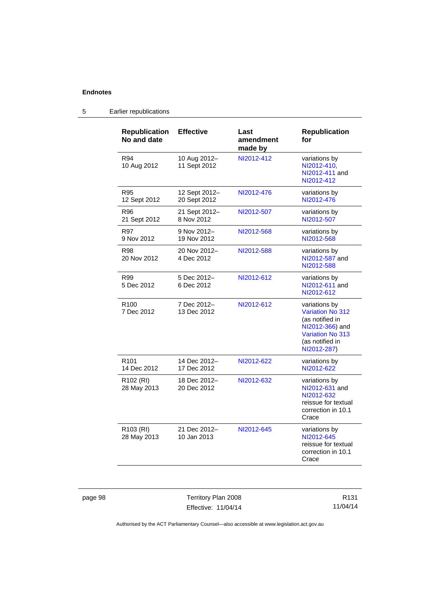| <b>Republication</b><br>No and date  | <b>Effective</b>              | Last<br>amendment<br>made by | Republication<br>for                                                                                                                 |
|--------------------------------------|-------------------------------|------------------------------|--------------------------------------------------------------------------------------------------------------------------------------|
| R94<br>10 Aug 2012                   | 10 Aug 2012-<br>11 Sept 2012  | NI2012-412                   | variations by<br>NI2012-410,<br>NI2012-411 and<br>NI2012-412                                                                         |
| R95<br>12 Sept 2012                  | 12 Sept 2012-<br>20 Sept 2012 | NI2012-476                   | variations by<br>NI2012-476                                                                                                          |
| R96<br>21 Sept 2012                  | 21 Sept 2012-<br>8 Nov 2012   | NI2012-507                   | variations by<br>NI2012-507                                                                                                          |
| R97<br>9 Nov 2012                    | 9 Nov 2012-<br>19 Nov 2012    | NI2012-568                   | variations by<br>NI2012-568                                                                                                          |
| R98<br>20 Nov 2012                   | 20 Nov 2012-<br>4 Dec 2012    | NI2012-588                   | variations by<br>NI2012-587 and<br>NI2012-588                                                                                        |
| R99<br>5 Dec 2012                    | 5 Dec 2012-<br>6 Dec 2012     | NI2012-612                   | variations by<br>NI2012-611 and<br>NI2012-612                                                                                        |
| R <sub>100</sub><br>7 Dec 2012       | 7 Dec 2012-<br>13 Dec 2012    | NI2012-612                   | variations by<br>Variation No 312<br>(as notified in<br>NI2012-366) and<br><b>Variation No 313</b><br>(as notified in<br>NI2012-287) |
| R <sub>101</sub><br>14 Dec 2012      | 14 Dec 2012-<br>17 Dec 2012   | NI2012-622                   | variations by<br>NI2012-622                                                                                                          |
| R102 (RI)<br>28 May 2013             | 18 Dec 2012-<br>20 Dec 2012   | NI2012-632                   | variations by<br>NI2012-631 and<br>NI2012-632<br>reissue for textual<br>correction in 10.1<br>Crace                                  |
| R <sub>103</sub> (RI)<br>28 May 2013 | 21 Dec 2012-<br>10 Jan 2013   | NI2012-645                   | variations by<br>NI2012-645<br>reissue for textual<br>correction in 10.1<br>Crace                                                    |

## 5 Earlier republications

page 98 Territory Plan 2008 Effective: 11/04/14

R131 11/04/14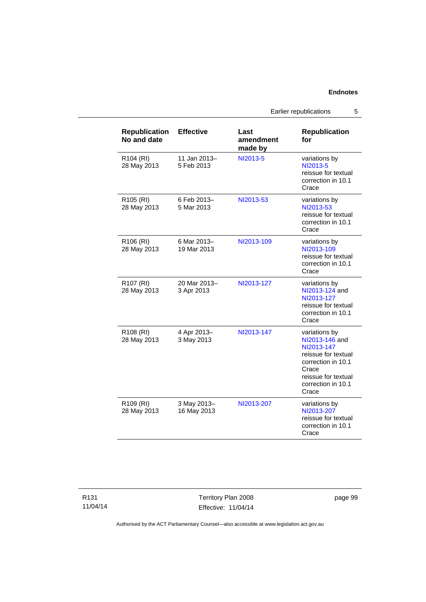Earlier republications 5

| <b>Republication</b><br>No and date  | <b>Effective</b>           | Last<br>amendment<br>made by | <b>Republication</b><br>for                                                                                                                               |
|--------------------------------------|----------------------------|------------------------------|-----------------------------------------------------------------------------------------------------------------------------------------------------------|
| R104 (RI)<br>28 May 2013             | 11 Jan 2013-<br>5 Feb 2013 | NI2013-5                     | variations by<br>NI2013-5<br>reissue for textual<br>correction in 10.1<br>Crace                                                                           |
| R <sub>105</sub> (RI)<br>28 May 2013 | 6 Feb 2013-<br>5 Mar 2013  | NI2013-53                    | variations by<br>NI2013-53<br>reissue for textual<br>correction in 10.1<br>Crace                                                                          |
| R <sub>106</sub> (RI)<br>28 May 2013 | 6 Mar 2013-<br>19 Mar 2013 | NI2013-109                   | variations by<br>NI2013-109<br>reissue for textual<br>correction in 10.1<br>Crace                                                                         |
| R <sub>107</sub> (RI)<br>28 May 2013 | 20 Mar 2013-<br>3 Apr 2013 | NI2013-127                   | variations by<br>NI2013-124 and<br>NI2013-127<br>reissue for textual<br>correction in 10.1<br>Crace                                                       |
| R108 (RI)<br>28 May 2013             | 4 Apr 2013-<br>3 May 2013  | NI2013-147                   | variations by<br>NI2013-146 and<br>NI2013-147<br>reissue for textual<br>correction in 10.1<br>Crace<br>reissue for textual<br>correction in 10.1<br>Crace |
| R109 (RI)<br>28 May 2013             | 3 May 2013-<br>16 May 2013 | NI2013-207                   | variations by<br>NI2013-207<br>reissue for textual<br>correction in 10.1<br>Crace                                                                         |

Territory Plan 2008 Effective: 11/04/14 page 99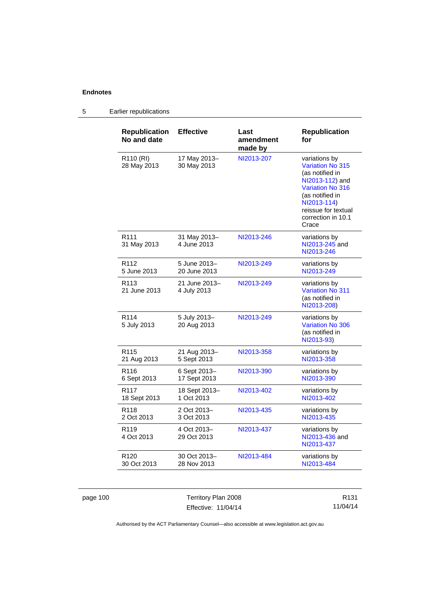## 5 Earlier republications

| <b>Republication</b><br>No and date | <b>Effective</b>             | Last<br>amendment<br>made by | <b>Republication</b><br>for                                                                                                                                                                       |
|-------------------------------------|------------------------------|------------------------------|---------------------------------------------------------------------------------------------------------------------------------------------------------------------------------------------------|
| R110 (RI)<br>28 May 2013            | 17 May 2013-<br>30 May 2013  | NI2013-207                   | variations by<br><b>Variation No 315</b><br>(as notified in<br>NI2013-112) and<br><b>Variation No 316</b><br>(as notified in<br>NI2013-114)<br>reissue for textual<br>correction in 10.1<br>Crace |
| R <sub>111</sub><br>31 May 2013     | 31 May 2013-<br>4 June 2013  | NI2013-246                   | variations by<br>NI2013-245 and<br>NI2013-246                                                                                                                                                     |
| R <sub>112</sub>                    | 5 June 2013-                 | NI2013-249                   | variations by                                                                                                                                                                                     |
| 5 June 2013                         | 20 June 2013                 |                              | NI2013-249                                                                                                                                                                                        |
| R <sub>113</sub><br>21 June 2013    | 21 June 2013-<br>4 July 2013 | NI2013-249                   | variations by<br>Variation No 311<br>(as notified in<br>NI2013-208)                                                                                                                               |
| R <sub>114</sub><br>5 July 2013     | 5 July 2013-<br>20 Aug 2013  | NI2013-249                   | variations by<br>Variation No 306<br>(as notified in<br>NI2013-93)                                                                                                                                |
| R <sub>115</sub>                    | 21 Aug 2013-                 | NI2013-358                   | variations by                                                                                                                                                                                     |
| 21 Aug 2013                         | 5 Sept 2013                  |                              | NI2013-358                                                                                                                                                                                        |
| R <sub>116</sub>                    | 6 Sept 2013-                 | NI2013-390                   | variations by                                                                                                                                                                                     |
| 6 Sept 2013                         | 17 Sept 2013                 |                              | NI2013-390                                                                                                                                                                                        |
| R <sub>117</sub>                    | 18 Sept 2013-                | NI2013-402                   | variations by                                                                                                                                                                                     |
| 18 Sept 2013                        | 1 Oct 2013                   |                              | NI2013-402                                                                                                                                                                                        |
| R <sub>118</sub>                    | 2 Oct 2013-                  | NI2013-435                   | variations by                                                                                                                                                                                     |
| 2 Oct 2013                          | 3 Oct 2013                   |                              | NI2013-435                                                                                                                                                                                        |
| R <sub>119</sub><br>4 Oct 2013      | 4 Oct 2013-<br>29 Oct 2013   | NI2013-437                   | variations by<br>NI2013-436 and<br>NI2013-437                                                                                                                                                     |
| R <sub>120</sub>                    | 30 Oct 2013-                 | NI2013-484                   | variations by                                                                                                                                                                                     |
| 30 Oct 2013                         | 28 Nov 2013                  |                              | NI2013-484                                                                                                                                                                                        |

page 100 Territory Plan 2008 Effective: 11/04/14

R131 11/04/14